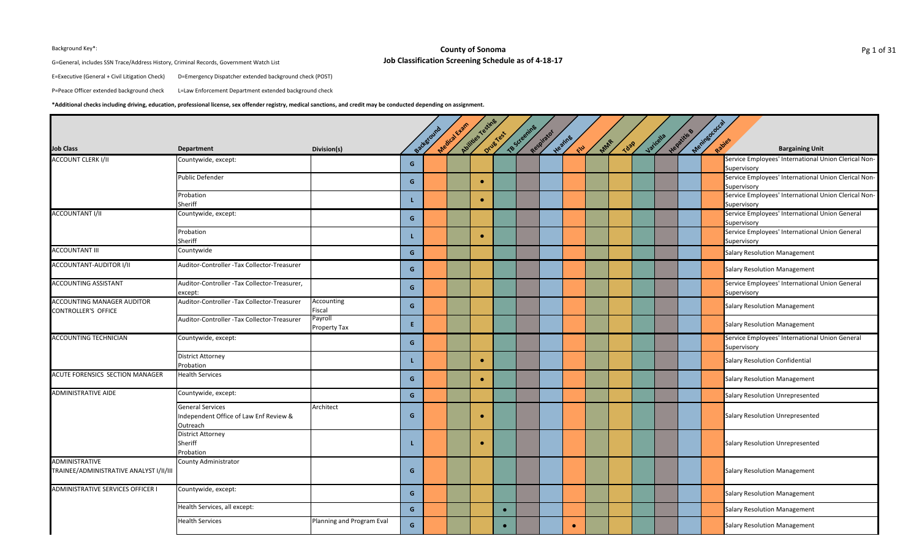## **County of Sonoma Job Classification Screening Schedule as of 4-18-17** Background Key\*: **Example 20** County of Sonoma **Pg** 1 of 31

G=General, includes SSN Trace/Address History, Criminal Records, Government Watch List

E=Executive (General + Civil Litigation Check) D=Emergency Dispatcher extended background check (POST)

P=Peace Officer extended background check L=Law Enforcement Department extended background check

## **\*Additional checks including driving, education, professional license, sex offender registry, medical sanctions, and credit may be conducted depending on assignment.**

| <b>Job Class</b>                                          | Department                                                                    | Division(s)               |    | Background | Medical Evann | Avilides Testine | Drug Test | TB Screening | Respirator | Heating<br>E | MAR | Tdap | Jaricella | Hepatitis & | Meninsococcal | <b>Bargaining Unit</b>                                                             |
|-----------------------------------------------------------|-------------------------------------------------------------------------------|---------------------------|----|------------|---------------|------------------|-----------|--------------|------------|--------------|-----|------|-----------|-------------|---------------|------------------------------------------------------------------------------------|
| <b>ACCOUNT CLERK I/II</b>                                 | Countywide, except:                                                           |                           | G  |            |               |                  |           |              |            |              |     |      |           |             |               | Service Employees' International Union Clerical Non-                               |
|                                                           | <b>Public Defender</b>                                                        |                           | G  |            |               | $\bullet$        |           |              |            |              |     |      |           |             |               | Supervisory<br>Service Employees' International Union Clerical Non-<br>Supervisory |
|                                                           | Probation<br>Sheriff                                                          |                           | L. |            |               | $\bullet$        |           |              |            |              |     |      |           |             |               | Service Employees' International Union Clerical Non-<br>Supervisory                |
| <b>ACCOUNTANT I/II</b>                                    | Countywide, except:                                                           |                           | G  |            |               |                  |           |              |            |              |     |      |           |             |               | Service Employees' International Union General<br>Supervisory                      |
|                                                           | Probation<br>Sheriff                                                          |                           | L  |            |               | $\bullet$        |           |              |            |              |     |      |           |             |               | Service Employees' International Union General<br>Supervisory                      |
| <b>ACCOUNTANT III</b>                                     | Countywide                                                                    |                           | G  |            |               |                  |           |              |            |              |     |      |           |             |               | <b>Salary Resolution Management</b>                                                |
| ACCOUNTANT-AUDITOR I/II                                   | Auditor-Controller -Tax Collector-Treasurer                                   |                           | G  |            |               |                  |           |              |            |              |     |      |           |             |               | <b>Salary Resolution Management</b>                                                |
| ACCOUNTING ASSISTANT                                      | Auditor-Controller -Tax Collector-Treasurer,<br>except:                       |                           | G  |            |               |                  |           |              |            |              |     |      |           |             |               | Service Employees' International Union General<br>Supervisory                      |
| ACCOUNTING MANAGER AUDITOR<br>CONTROLLER'S OFFICE         | Auditor-Controller - Tax Collector-Treasurer                                  | Accounting<br>Fiscal      | G  |            |               |                  |           |              |            |              |     |      |           |             |               | <b>Salary Resolution Management</b>                                                |
|                                                           | Auditor-Controller - Tax Collector-Treasurer                                  | Payroll<br>Property Tax   | E. |            |               |                  |           |              |            |              |     |      |           |             |               | <b>Salary Resolution Management</b>                                                |
| <b>ACCOUNTING TECHNICIAN</b>                              | Countywide, except:                                                           |                           | G  |            |               |                  |           |              |            |              |     |      |           |             |               | Service Employees' International Union General<br>Supervisory                      |
|                                                           | <b>District Attorney</b><br>Probation                                         |                           | L  |            |               | $\bullet$        |           |              |            |              |     |      |           |             |               | <b>Salary Resolution Confidential</b>                                              |
| ACUTE FORENSICS SECTION MANAGER                           | <b>Health Services</b>                                                        |                           | G  |            |               | $\bullet$        |           |              |            |              |     |      |           |             |               | <b>Salary Resolution Management</b>                                                |
| <b>ADMINISTRATIVE AIDE</b>                                | Countywide, except:                                                           |                           | G  |            |               |                  |           |              |            |              |     |      |           |             |               | <b>Salary Resolution Unrepresented</b>                                             |
|                                                           | <b>General Services</b><br>Independent Office of Law Enf Review &<br>Outreach | Architect                 | G  |            |               | $\bullet$        |           |              |            |              |     |      |           |             |               | <b>Salary Resolution Unrepresented</b>                                             |
|                                                           | <b>District Attorney</b><br>Sheriff<br>Probation                              |                           | L  |            |               | $\bullet$        |           |              |            |              |     |      |           |             |               | <b>Salary Resolution Unrepresented</b>                                             |
| ADMINISTRATIVE<br>TRAINEE/ADMINISTRATIVE ANALYST I/II/III | <b>County Administrator</b>                                                   |                           | G  |            |               |                  |           |              |            |              |     |      |           |             |               | <b>Salary Resolution Management</b>                                                |
| <b>ADMINISTRATIVE SERVICES OFFICER I</b>                  | Countywide, except:                                                           |                           | G  |            |               |                  |           |              |            |              |     |      |           |             |               | <b>Salary Resolution Management</b>                                                |
|                                                           | Health Services, all except:                                                  |                           | G  |            |               |                  |           |              |            |              |     |      |           |             |               | <b>Salary Resolution Management</b>                                                |
|                                                           | Health Services                                                               | Planning and Program Eval | G  |            |               |                  |           |              |            | $\bullet$    |     |      |           |             |               | <b>Salary Resolution Management</b>                                                |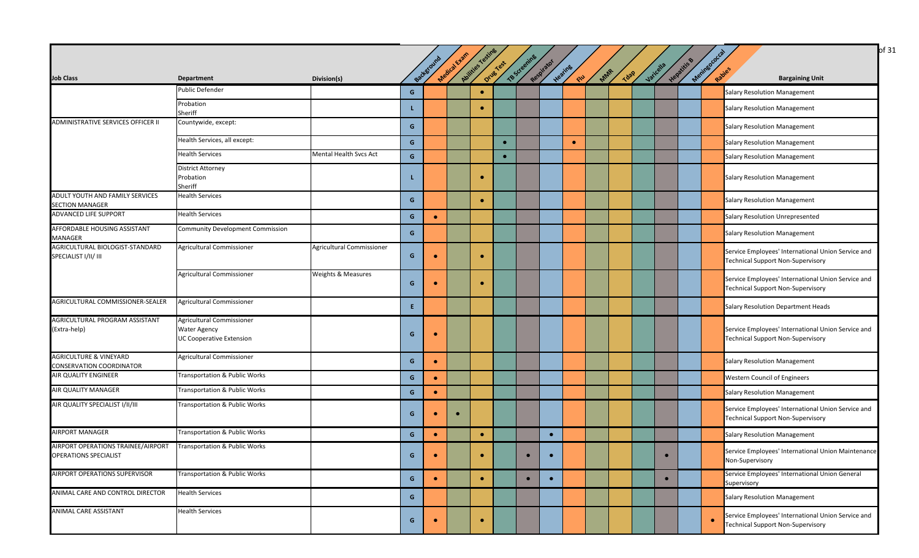| <b>Job Class</b>                                                     | <b>Department</b>                                                                   | Division(s)                   |              | Background | Medical Exam | Abilities resting | Drug Yest | <b>TB Screening</b> | Respirator | Heating<br>CIU | Mar | <b>Tdap</b> | Varicella | Hepatitis B | Meninsococ | Rabies<br><b>Bargaining Unit</b>                                                               |
|----------------------------------------------------------------------|-------------------------------------------------------------------------------------|-------------------------------|--------------|------------|--------------|-------------------|-----------|---------------------|------------|----------------|-----|-------------|-----------|-------------|------------|------------------------------------------------------------------------------------------------|
|                                                                      | Public Defender                                                                     |                               | G            |            |              | $\bullet$         |           |                     |            |                |     |             |           |             |            | <b>Salary Resolution Management</b>                                                            |
|                                                                      | Probation<br>Sheriff                                                                |                               |              |            |              | $\bullet$         |           |                     |            |                |     |             |           |             |            | <b>Salary Resolution Management</b>                                                            |
| ADMINISTRATIVE SERVICES OFFICER II                                   | Countywide, except:                                                                 |                               | G            |            |              |                   |           |                     |            |                |     |             |           |             |            | <b>Salary Resolution Management</b>                                                            |
|                                                                      | Health Services, all except:                                                        |                               | $\mathbf{G}$ |            |              |                   | $\bullet$ |                     |            | $\bullet$      |     |             |           |             |            | <b>Salary Resolution Management</b>                                                            |
|                                                                      | <b>Health Services</b>                                                              | Mental Health Svcs Act        | G            |            |              |                   | $\bullet$ |                     |            |                |     |             |           |             |            | <b>Salary Resolution Management</b>                                                            |
|                                                                      | District Attorney<br>Probation<br>Sheriff                                           |                               |              |            |              |                   |           |                     |            |                |     |             |           |             |            | <b>Salary Resolution Management</b>                                                            |
| ADULT YOUTH AND FAMILY SERVICES<br><b>SECTION MANAGER</b>            | <b>Health Services</b>                                                              |                               | G            |            |              | $\bullet$         |           |                     |            |                |     |             |           |             |            | <b>Salary Resolution Management</b>                                                            |
| ADVANCED LIFE SUPPORT                                                | <b>Health Services</b>                                                              |                               | G            | $\bullet$  |              |                   |           |                     |            |                |     |             |           |             |            | <b>Salary Resolution Unrepresented</b>                                                         |
| <b>AFFORDABLE HOUSING ASSISTANT</b><br><b>MANAGER</b>                | Community Development Commission                                                    |                               | G            |            |              |                   |           |                     |            |                |     |             |           |             |            | <b>Salary Resolution Management</b>                                                            |
| AGRICULTURAL BIOLOGIST-STANDARD<br>SPECIALIST I/II/ III              | Agricultural Commissioner                                                           | Agricultural Commissioner     | G            |            |              | $\bullet$         |           |                     |            |                |     |             |           |             |            | Service Employees' International Union Service and<br><b>Technical Support Non-Supervisory</b> |
|                                                                      | Agricultural Commissioner                                                           | <b>Weights &amp; Measures</b> | G            |            |              |                   |           |                     |            |                |     |             |           |             |            | Service Employees' International Union Service and<br><b>Technical Support Non-Supervisory</b> |
| AGRICULTURAL COMMISSIONER-SEALER                                     | <b>Agricultural Commissioner</b>                                                    |                               | E.           |            |              |                   |           |                     |            |                |     |             |           |             |            | Salary Resolution Department Heads                                                             |
| AGRICULTURAL PROGRAM ASSISTANT<br>(Extra-help)                       | Agricultural Commissioner<br><b>Water Agency</b><br><b>UC Cooperative Extension</b> |                               | G            | $\bullet$  |              |                   |           |                     |            |                |     |             |           |             |            | Service Employees' International Union Service and<br><b>Technical Support Non-Supervisory</b> |
| <b>AGRICULTURE &amp; VINEYARD</b><br><b>CONSERVATION COORDINATOR</b> | Agricultural Commissioner                                                           |                               | G            | $\bullet$  |              |                   |           |                     |            |                |     |             |           |             |            | <b>Salary Resolution Management</b>                                                            |
| AIR QUALITY ENGINEER                                                 | Transportation & Public Works                                                       |                               | G            | $\bullet$  |              |                   |           |                     |            |                |     |             |           |             |            | <b>Western Council of Engineers</b>                                                            |
| AIR QUALITY MANAGER                                                  | Transportation & Public Works                                                       |                               | G            | $\bullet$  |              |                   |           |                     |            |                |     |             |           |             |            | <b>Salary Resolution Management</b>                                                            |
| AIR QUALITY SPECIALIST I/II/III                                      | Transportation & Public Works                                                       |                               | G            | $\bullet$  | $\bullet$    |                   |           |                     |            |                |     |             |           |             |            | Service Employees' International Union Service and<br><b>Technical Support Non-Supervisory</b> |
| <b>AIRPORT MANAGER</b>                                               | Transportation & Public Works                                                       |                               | G            | $\bullet$  |              | $\bullet$         |           |                     | $\bullet$  |                |     |             |           |             |            | <b>Salary Resolution Management</b>                                                            |
| AIRPORT OPERATIONS TRAINEE/AIRPORT<br><b>OPERATIONS SPECIALIST</b>   | <b>Transportation &amp; Public Works</b>                                            |                               | G            | $\bullet$  |              | $\bullet$         |           |                     |            |                |     |             | $\bullet$ |             |            | Service Employees' International Union Maintenance<br>Non-Supervisory                          |
| <b>AIRPORT OPERATIONS SUPERVISOR</b>                                 | Transportation & Public Works                                                       |                               | G            | $\bullet$  |              | $\bullet$         |           | $\bullet$           | $\bullet$  |                |     |             | $\bullet$ |             |            | Service Employees' International Union General<br>Supervisory                                  |
| ANIMAL CARE AND CONTROL DIRECTOR                                     | <b>Health Services</b>                                                              |                               | G            |            |              |                   |           |                     |            |                |     |             |           |             |            | <b>Salary Resolution Management</b>                                                            |
| ANIMAL CARE ASSISTANT                                                | <b>Health Services</b>                                                              |                               | G            |            |              | $\bullet$         |           |                     |            |                |     |             |           |             | $\bullet$  | Service Employees' International Union Service and<br><b>Technical Support Non-Supervisory</b> |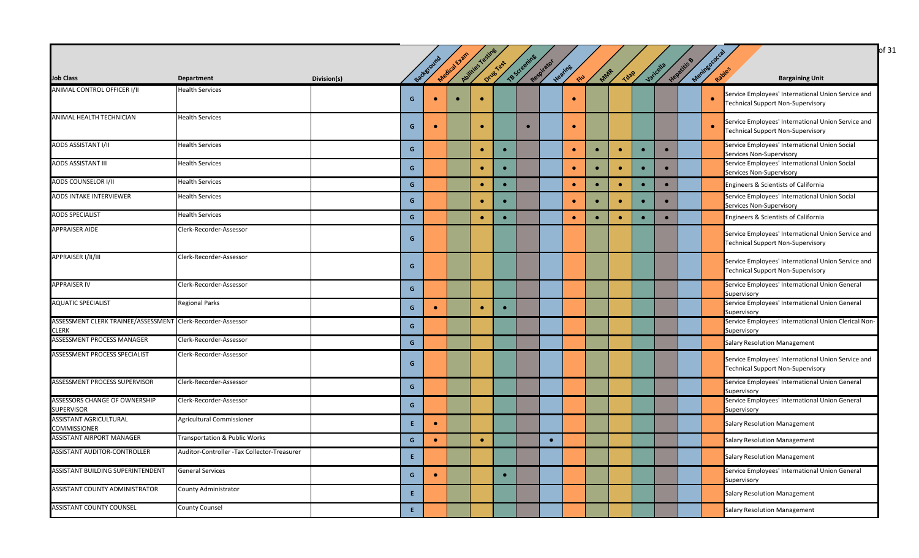|                                                                      |                                             |             |                                        |           |              |                  |           |              |            |               |           |           |             |           |           |                      | of 31                                                                                          |
|----------------------------------------------------------------------|---------------------------------------------|-------------|----------------------------------------|-----------|--------------|------------------|-----------|--------------|------------|---------------|-----------|-----------|-------------|-----------|-----------|----------------------|------------------------------------------------------------------------------------------------|
|                                                                      |                                             |             |                                        |           |              |                  |           |              |            |               |           |           |             |           |           |                      |                                                                                                |
| <b>Job Class</b>                                                     | Department                                  | Division(s) |                                        | Backgroun | Medical Exam | Abilities Testin | Drug Test | TB Screening | Respirator | Heating<br>RU | MAR       |           | <b>Tdap</b> | Jaicella  | Hepatitis | Meringococ<br>Rabies | <b>Bargaining Unit</b>                                                                         |
| ANIMAL CONTROL OFFICER I/II                                          | <b>Health Services</b>                      |             | G                                      | $\bullet$ | $\bullet$    | $\bullet$        |           |              |            | $\bullet$     |           |           |             |           |           | $\bullet$            | Service Employees' International Union Service and<br><b>Technical Support Non-Supervisory</b> |
| ANIMAL HEALTH TECHNICIAN                                             | <b>Health Services</b>                      |             | G                                      | $\bullet$ |              | $\bullet$        |           | $\bullet$    |            | $\bullet$     |           |           |             |           |           | $\bullet$            | Service Employees' International Union Service and<br><b>Technical Support Non-Supervisory</b> |
| AODS ASSISTANT I/II                                                  | <b>Health Services</b>                      |             | $\mathbf{G}$                           |           |              | $\bullet$        |           |              |            | $\bullet$     | $\bullet$ | $\bullet$ | $\bullet$   | $\bullet$ |           |                      | Service Employees' International Union Social<br>Services Non-Supervisory                      |
| AODS ASSISTANT III                                                   | <b>Health Services</b>                      |             | $\mathbf{G}$                           |           |              | $\bullet$        |           |              |            | $\bullet$     | $\bullet$ | $\bullet$ | $\bullet$   | $\bullet$ |           |                      | Service Employees' International Union Social<br>Services Non-Supervisory                      |
| AODS COUNSELOR I/II                                                  | <b>Health Services</b>                      |             | $\mathbf{G}$                           |           |              | $\bullet$        | $\bullet$ |              |            | $\bullet$     | $\bullet$ | $\bullet$ | $\bullet$   | $\bullet$ |           |                      | Engineers & Scientists of California                                                           |
| AODS INTAKE INTERVIEWER                                              | <b>Health Services</b>                      |             | G                                      |           |              |                  |           |              |            | $\bullet$     | $\bullet$ | $\bullet$ | $\bullet$   | $\bullet$ |           |                      | Service Employees' International Union Social<br>Services Non-Supervisory                      |
| <b>AODS SPECIALIST</b>                                               | <b>Health Services</b>                      |             | $\mathbf{G}$                           |           |              | $\bullet$        |           |              |            | $\bullet$     | $\bullet$ | $\bullet$ | $\bullet$   | $\bullet$ |           |                      | Engineers & Scientists of California                                                           |
| <b>APPRAISER AIDE</b>                                                | Clerk-Recorder-Assessor                     |             | G                                      |           |              |                  |           |              |            |               |           |           |             |           |           |                      | Service Employees' International Union Service and<br><b>Technical Support Non-Supervisory</b> |
| APPRAISER I/II/III                                                   | Clerk-Recorder-Assessor                     |             | G                                      |           |              |                  |           |              |            |               |           |           |             |           |           |                      | Service Employees' International Union Service and<br><b>Technical Support Non-Supervisory</b> |
| <b>APPRAISER IV</b>                                                  | Clerk-Recorder-Assessor                     |             | G                                      |           |              |                  |           |              |            |               |           |           |             |           |           |                      | Service Employees' International Union General<br>Supervisory                                  |
| <b>AQUATIC SPECIALIST</b>                                            | <b>Regional Parks</b>                       |             | $\mathbf{G}$                           | $\bullet$ |              | $\bullet$        | $\bullet$ |              |            |               |           |           |             |           |           |                      | Service Employees' International Union General<br>Supervisory                                  |
| ASSESSMENT CLERK TRAINEE/ASSESSMENT Clerk-Recorder-Assessor<br>CLERK |                                             |             | G                                      |           |              |                  |           |              |            |               |           |           |             |           |           |                      | Service Employees' International Union Clerical Non-<br>Supervisory                            |
| ASSESSMENT PROCESS MANAGER                                           | Clerk-Recorder-Assessor                     |             | $\mathbf{G}$                           |           |              |                  |           |              |            |               |           |           |             |           |           |                      | <b>Salary Resolution Management</b>                                                            |
| ASSESSMENT PROCESS SPECIALIST                                        | Clerk-Recorder-Assessor                     |             | G                                      |           |              |                  |           |              |            |               |           |           |             |           |           |                      | Service Employees' International Union Service and<br><b>Technical Support Non-Supervisory</b> |
| ASSESSMENT PROCESS SUPERVISOR                                        | Clerk-Recorder-Assessor                     |             | G                                      |           |              |                  |           |              |            |               |           |           |             |           |           |                      | Service Employees' International Union General<br>Supervisory                                  |
| ASSESSORS CHANGE OF OWNERSHIP<br><b>SUPERVISOR</b>                   | Clerk-Recorder-Assessor                     |             | $\mathbf{G}$                           |           |              |                  |           |              |            |               |           |           |             |           |           |                      | Service Employees' International Union General<br>Supervisory                                  |
| ASSISTANT AGRICULTURAL<br><b>COMMISSIONER</b>                        | Agricultural Commissioner                   |             | E.                                     |           |              |                  |           |              |            |               |           |           |             |           |           |                      | <b>Salary Resolution Management</b>                                                            |
| ASSISTANT AIRPORT MANAGER                                            | Transportation & Public Works               |             | $\mathbf{G}$                           | $\bullet$ |              | $\bullet$        |           |              | $\bullet$  |               |           |           |             |           |           |                      | <b>Salary Resolution Management</b>                                                            |
| ASSISTANT AUDITOR-CONTROLLER                                         | Auditor-Controller -Tax Collector-Treasurer |             | $\mathsf{E}^{\scriptscriptstyle \top}$ |           |              |                  |           |              |            |               |           |           |             |           |           |                      | <b>Salary Resolution Management</b>                                                            |
| ASSISTANT BUILDING SUPERINTENDENT                                    | <b>General Services</b>                     |             | $\mathbf{G}$                           | $\bullet$ |              |                  | $\bullet$ |              |            |               |           |           |             |           |           |                      | Service Employees' International Union General<br>Supervisory                                  |
| ASSISTANT COUNTY ADMINISTRATOR                                       | County Administrator                        |             | E.                                     |           |              |                  |           |              |            |               |           |           |             |           |           |                      | <b>Salary Resolution Management</b>                                                            |
| ASSISTANT COUNTY COUNSEL                                             | <b>County Counsel</b>                       |             | E.                                     |           |              |                  |           |              |            |               |           |           |             |           |           |                      | <b>Salary Resolution Management</b>                                                            |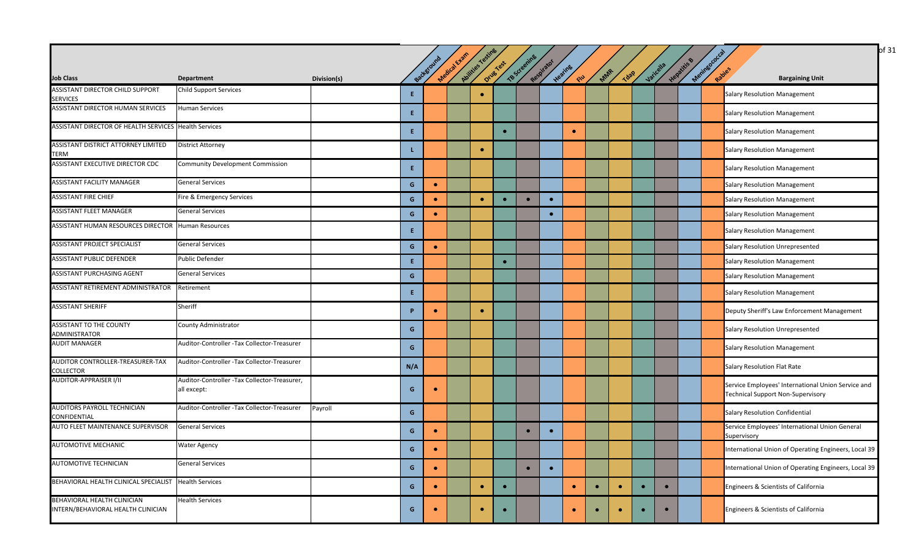|                                                                          |                                                             |             |     | Backgroun | Medical Exam | Avitties Testing | Drug Test | TB Screening | Respirator |                         |           |             |           |           | Hepatitis B | Meningococ |                                                                                                |
|--------------------------------------------------------------------------|-------------------------------------------------------------|-------------|-----|-----------|--------------|------------------|-----------|--------------|------------|-------------------------|-----------|-------------|-----------|-----------|-------------|------------|------------------------------------------------------------------------------------------------|
| <b>Job Class</b>                                                         | <b>Department</b>                                           | Division(s) |     |           |              |                  |           |              |            | Heating<br><b>SILLE</b> | MAR       | <b>Tdap</b> |           | Varicella |             |            | <b>Bargaining Unit</b>                                                                         |
| <b>ASSISTANT DIRECTOR CHILD SUPPORT</b><br><b>SERVICES</b>               | <b>Child Support Services</b>                               |             | E.  |           |              | $\bullet$        |           |              |            |                         |           |             |           |           |             |            | <b>Salary Resolution Management</b>                                                            |
| ASSISTANT DIRECTOR HUMAN SERVICES                                        | <b>Human Services</b>                                       |             | E.  |           |              |                  |           |              |            |                         |           |             |           |           |             |            | <b>Salary Resolution Management</b>                                                            |
| ASSISTANT DIRECTOR OF HEALTH SERVICES Health Services                    |                                                             |             | E.  |           |              |                  | $\bullet$ |              |            | $\bullet$               |           |             |           |           |             |            | <b>Salary Resolution Management</b>                                                            |
| <b>ASSISTANT DISTRICT ATTORNEY LIMITED</b><br><b>TERM</b>                | <b>District Attorney</b>                                    |             |     |           |              | $\bullet$        |           |              |            |                         |           |             |           |           |             |            | <b>Salary Resolution Management</b>                                                            |
| ASSISTANT EXECUTIVE DIRECTOR CDC                                         | <b>Community Development Commission</b>                     |             | E.  |           |              |                  |           |              |            |                         |           |             |           |           |             |            | <b>Salary Resolution Management</b>                                                            |
| <b>ASSISTANT FACILITY MANAGER</b>                                        | <b>General Services</b>                                     |             | G   | $\bullet$ |              |                  |           |              |            |                         |           |             |           |           |             |            | <b>Salary Resolution Management</b>                                                            |
| <b>ASSISTANT FIRE CHIEF</b>                                              | Fire & Emergency Services                                   |             | G   | $\bullet$ |              | $\bullet$        | $\bullet$ | $\bullet$    | $\bullet$  |                         |           |             |           |           |             |            | <b>Salary Resolution Management</b>                                                            |
| <b>ASSISTANT FLEET MANAGER</b>                                           | <b>General Services</b>                                     |             | G   | $\bullet$ |              |                  |           |              | $\bullet$  |                         |           |             |           |           |             |            | <b>Salary Resolution Management</b>                                                            |
| ASSISTANT HUMAN RESOURCES DIRECTOR                                       | <b>Human Resources</b>                                      |             | E.  |           |              |                  |           |              |            |                         |           |             |           |           |             |            | <b>Salary Resolution Management</b>                                                            |
| <b>ASSISTANT PROJECT SPECIALIST</b>                                      | <b>General Services</b>                                     |             | G   | $\bullet$ |              |                  |           |              |            |                         |           |             |           |           |             |            | <b>Salary Resolution Unrepresented</b>                                                         |
| <b>ASSISTANT PUBLIC DEFENDER</b>                                         | Public Defender                                             |             | Æ.  |           |              |                  | $\bullet$ |              |            |                         |           |             |           |           |             |            | <b>Salary Resolution Management</b>                                                            |
| ASSISTANT PURCHASING AGENT                                               | General Services                                            |             | G   |           |              |                  |           |              |            |                         |           |             |           |           |             |            | <b>Salary Resolution Management</b>                                                            |
| ASSISTANT RETIREMENT ADMINISTRATOR                                       | Retirement                                                  |             | E.  |           |              |                  |           |              |            |                         |           |             |           |           |             |            | <b>Salary Resolution Management</b>                                                            |
| <b>ASSISTANT SHERIFF</b>                                                 | Sheriff                                                     |             | P   | $\bullet$ |              | $\bullet$        |           |              |            |                         |           |             |           |           |             |            | Deputy Sheriff's Law Enforcement Management                                                    |
| <b>ASSISTANT TO THE COUNTY</b><br><b>ADMINISTRATOR</b>                   | <b>County Administrator</b>                                 |             | G   |           |              |                  |           |              |            |                         |           |             |           |           |             |            | Salary Resolution Unrepresented                                                                |
| <b>AUDIT MANAGER</b>                                                     | Auditor-Controller -Tax Collector-Treasurer                 |             | G   |           |              |                  |           |              |            |                         |           |             |           |           |             |            | <b>Salary Resolution Management</b>                                                            |
| AUDITOR CONTROLLER-TREASURER-TAX<br><b>COLLECTOR</b>                     | Auditor-Controller -Tax Collector-Treasurer                 |             | N/A |           |              |                  |           |              |            |                         |           |             |           |           |             |            | <b>Salary Resolution Flat Rate</b>                                                             |
| <b>AUDITOR-APPRAISER I/II</b>                                            | Auditor-Controller -Tax Collector-Treasurer,<br>all except: |             | G   | $\bullet$ |              |                  |           |              |            |                         |           |             |           |           |             |            | Service Employees' International Union Service and<br><b>Technical Support Non-Supervisory</b> |
| AUDITORS PAYROLL TECHNICIAN<br><b>CONFIDENTIAL</b>                       | Auditor-Controller -Tax Collector-Treasurer                 | Payroll     | G   |           |              |                  |           |              |            |                         |           |             |           |           |             |            | <b>Salary Resolution Confidential</b>                                                          |
| AUTO FLEET MAINTENANCE SUPERVISOR                                        | <b>General Services</b>                                     |             | G   | $\bullet$ |              |                  |           |              |            |                         |           |             |           |           |             |            | Service Employees' International Union General<br>Supervisory                                  |
| <b>AUTOMOTIVE MECHANIC</b>                                               | Water Agency                                                |             | G   | $\bullet$ |              |                  |           |              |            |                         |           |             |           |           |             |            | International Union of Operating Engineers, Local 39                                           |
| <b>AUTOMOTIVE TECHNICIAN</b>                                             | <b>General Services</b>                                     |             | G   | $\bullet$ |              |                  |           | $\bullet$    | $\bullet$  |                         |           |             |           |           |             |            | International Union of Operating Engineers, Local 39                                           |
| BEHAVIORAL HEALTH CLINICAL SPECIALIST                                    | <b>Health Services</b>                                      |             | G   | $\bullet$ |              | $\bullet$        | $\bullet$ |              |            | $\bullet$               | $\bullet$ | $\bullet$   | $\bullet$ | $\bullet$ |             |            | Engineers & Scientists of California                                                           |
| <b>BEHAVIORAL HEALTH CLINICIAN</b><br>INTERN/BEHAVIORAL HEALTH CLINICIAN | <b>Health Services</b>                                      |             | G   | $\bullet$ |              | $\bullet$        | $\bullet$ |              |            | $\bullet$               | $\bullet$ | $\bullet$   | $\bullet$ | $\bullet$ |             |            | Engineers & Scientists of California                                                           |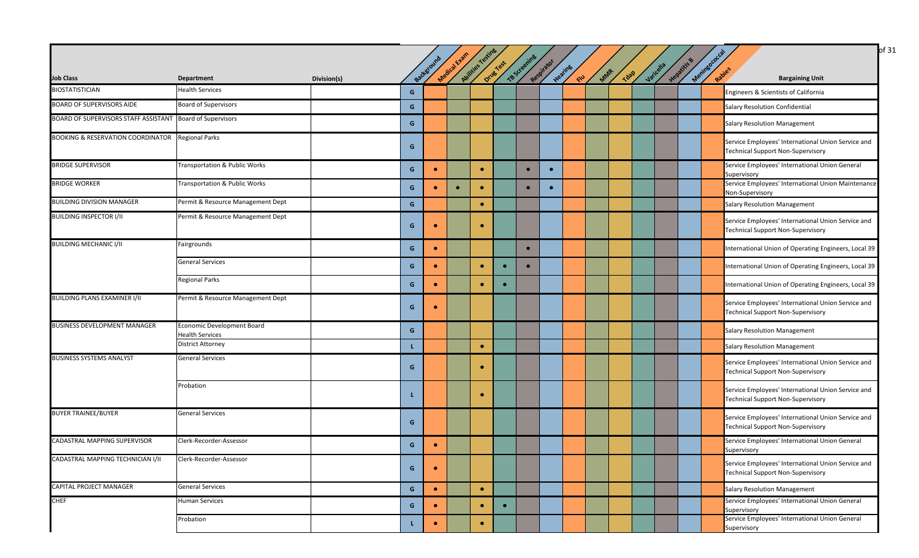| <b>Job Class</b>                                                 | Department                                           | Division(s) |   | Background | Medical Exam | Avitties Testing | Drug Test | TB Screening | Respirator | Heating<br>RU | MAR | <b>Tdap</b> | Varicella | Hepatitis & | Meninsococ<br>Rapies<br><b>Bargaining Unit</b>                                                 |
|------------------------------------------------------------------|------------------------------------------------------|-------------|---|------------|--------------|------------------|-----------|--------------|------------|---------------|-----|-------------|-----------|-------------|------------------------------------------------------------------------------------------------|
| <b>BIOSTATISTICIAN</b>                                           | <b>Health Services</b>                               |             | G |            |              |                  |           |              |            |               |     |             |           |             | Engineers & Scientists of California                                                           |
| <b>BOARD OF SUPERVISORS AIDE</b>                                 | <b>Board of Supervisors</b>                          |             | G |            |              |                  |           |              |            |               |     |             |           |             | Salary Resolution Confidential                                                                 |
| <b>BOARD OF SUPERVISORS STAFF ASSISTANT Board of Supervisors</b> |                                                      |             | G |            |              |                  |           |              |            |               |     |             |           |             | <b>Salary Resolution Management</b>                                                            |
| <b>BOOKING &amp; RESERVATION COORDINATOR Regional Parks</b>      |                                                      |             | G |            |              |                  |           |              |            |               |     |             |           |             | Service Employees' International Union Service and<br><b>Technical Support Non-Supervisory</b> |
| <b>BRIDGE SUPERVISOR</b>                                         | <b>Transportation &amp; Public Works</b>             |             | G | $\bullet$  |              | $\bullet$        |           | $\bullet$    | $\bullet$  |               |     |             |           |             | Service Employees' International Union General<br>Supervisory                                  |
| <b>BRIDGE WORKER</b>                                             | Transportation & Public Works                        |             | G |            |              |                  |           | $\bullet$    | $\bullet$  |               |     |             |           |             | Service Employees' International Union Maintenance<br>Non-Supervisory                          |
| <b>BUILDING DIVISION MANAGER</b>                                 | Permit & Resource Management Dept                    |             | G |            |              | $\bullet$        |           |              |            |               |     |             |           |             | <b>Salary Resolution Management</b>                                                            |
| <b>BUILDING INSPECTOR I/II</b>                                   | Permit & Resource Management Dept                    |             | G | $\bullet$  |              | $\bullet$        |           |              |            |               |     |             |           |             | Service Employees' International Union Service and<br><b>Technical Support Non-Supervisory</b> |
| <b>BUILDING MECHANIC I/II</b>                                    | Fairgrounds                                          |             | G |            |              |                  |           | $\bullet$    |            |               |     |             |           |             | International Union of Operating Engineers, Local 39                                           |
|                                                                  | <b>General Services</b>                              |             | G | $\bullet$  |              | $\bullet$        |           |              |            |               |     |             |           |             | International Union of Operating Engineers, Local 39                                           |
|                                                                  | <b>Regional Parks</b>                                |             | G |            |              |                  |           |              |            |               |     |             |           |             | International Union of Operating Engineers, Local 39                                           |
| <b>BUILDING PLANS EXAMINER I/II</b>                              | Permit & Resource Management Dept                    |             | G |            |              |                  |           |              |            |               |     |             |           |             | Service Employees' International Union Service and<br><b>Technical Support Non-Supervisory</b> |
| <b>BUSINESS DEVELOPMENT MANAGER</b>                              | Economic Development Board<br><b>Health Services</b> |             | G |            |              |                  |           |              |            |               |     |             |           |             | <b>Salary Resolution Management</b>                                                            |
|                                                                  | <b>District Attorney</b>                             |             |   |            |              | $\bullet$        |           |              |            |               |     |             |           |             | Salary Resolution Management                                                                   |
| <b>BUSINESS SYSTEMS ANALYST</b>                                  | <b>General Services</b>                              |             | G |            |              | $\bullet$        |           |              |            |               |     |             |           |             | Service Employees' International Union Service and<br><b>Technical Support Non-Supervisory</b> |
|                                                                  | Probation                                            |             |   |            |              |                  |           |              |            |               |     |             |           |             | Service Employees' International Union Service and<br><b>Technical Support Non-Supervisory</b> |
| <b>BUYER TRAINEE/BUYER</b>                                       | <b>General Services</b>                              |             | G |            |              |                  |           |              |            |               |     |             |           |             | Service Employees' International Union Service and<br><b>Technical Support Non-Supervisory</b> |
| CADASTRAL MAPPING SUPERVISOR                                     | Clerk-Recorder-Assessor                              |             | G | $\bullet$  |              |                  |           |              |            |               |     |             |           |             | Service Employees' International Union General<br>Supervisory                                  |
| CADASTRAL MAPPING TECHNICIAN I/II                                | Clerk-Recorder-Assessor                              |             | G |            |              |                  |           |              |            |               |     |             |           |             | Service Employees' International Union Service and<br><b>Technical Support Non-Supervisory</b> |
| <b>CAPITAL PROJECT MANAGER</b>                                   | <b>General Services</b>                              |             | G | $\bullet$  |              | $\bullet$        |           |              |            |               |     |             |           |             | Salary Resolution Management                                                                   |
| <b>CHEF</b>                                                      | Human Services                                       |             | G |            |              |                  | $\bullet$ |              |            |               |     |             |           |             | Service Employees' International Union General<br>Supervisory                                  |
|                                                                  | Probation                                            |             |   | $\bullet$  |              | $\bullet$        |           |              |            |               |     |             |           |             | Service Employees' International Union General<br>Supervisory                                  |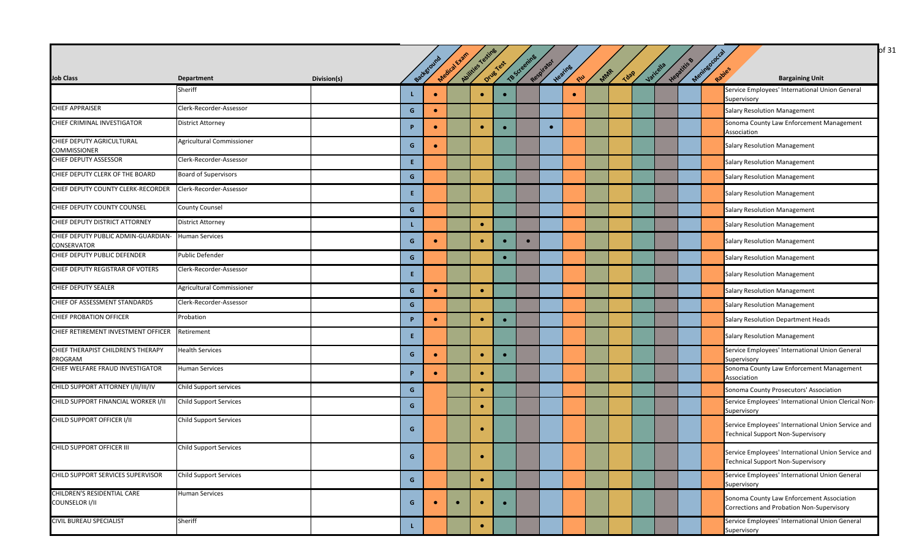|                                                    |                               |             |    |           |              |                    |           |              |            |                   |     |      |           |             |            | of 31                                                                                          |
|----------------------------------------------------|-------------------------------|-------------|----|-----------|--------------|--------------------|-----------|--------------|------------|-------------------|-----|------|-----------|-------------|------------|------------------------------------------------------------------------------------------------|
| <b>Job Class</b>                                   | Department                    | Division(s) |    | Backstoum | Medical Exam | Abilities restings | Drug Test | TB Screening | Respirator | Heating<br>$40 -$ | MAR | Tdap | Varicella | Hepatitis & | Meringococ | <b>Bargaining Unit</b>                                                                         |
|                                                    | Sheriff                       |             | L. | $\bullet$ |              | $\bullet$          |           |              |            | $\bullet$         |     |      |           |             |            | Service Employees' International Union General<br>Supervisory                                  |
| <b>CHIEF APPRAISER</b>                             | Clerk-Recorder-Assessor       |             | G  | $\bullet$ |              |                    |           |              |            |                   |     |      |           |             |            | <b>Salary Resolution Management</b>                                                            |
| CHIEF CRIMINAL INVESTIGATOR                        | <b>District Attorney</b>      |             | P  | $\bullet$ |              | $\bullet$          |           |              | $\bullet$  |                   |     |      |           |             |            | Sonoma County Law Enforcement Management<br>Association                                        |
| CHIEF DEPUTY AGRICULTURAL<br><b>COMMISSIONER</b>   | Agricultural Commissioner     |             | G  | $\bullet$ |              |                    |           |              |            |                   |     |      |           |             |            | <b>Salary Resolution Management</b>                                                            |
| CHIEF DEPUTY ASSESSOR                              | Clerk-Recorder-Assessor       |             | Ε. |           |              |                    |           |              |            |                   |     |      |           |             |            | Salary Resolution Management                                                                   |
| CHIEF DEPUTY CLERK OF THE BOARD                    | <b>Board of Supervisors</b>   |             | G  |           |              |                    |           |              |            |                   |     |      |           |             |            | <b>Salary Resolution Management</b>                                                            |
| CHIEF DEPUTY COUNTY CLERK-RECORDER                 | Clerk-Recorder-Assessor       |             | E. |           |              |                    |           |              |            |                   |     |      |           |             |            | <b>Salary Resolution Management</b>                                                            |
| CHIEF DEPUTY COUNTY COUNSEL                        | <b>County Counsel</b>         |             | G  |           |              |                    |           |              |            |                   |     |      |           |             |            | <b>Salary Resolution Management</b>                                                            |
| CHIEF DEPUTY DISTRICT ATTORNEY                     | <b>District Attorney</b>      |             | L. |           |              | $\bullet$          |           |              |            |                   |     |      |           |             |            | <b>Salary Resolution Management</b>                                                            |
| CHIEF DEPUTY PUBLIC ADMIN-GUARDIAN-<br>CONSERVATOR | <b>Human Services</b>         |             | G. |           |              | $\bullet$          |           | $\bullet$    |            |                   |     |      |           |             |            | <b>Salary Resolution Management</b>                                                            |
| CHIEF DEPUTY PUBLIC DEFENDER                       | Public Defender               |             | G  |           |              |                    | $\bullet$ |              |            |                   |     |      |           |             |            | <b>Salary Resolution Management</b>                                                            |
| CHIEF DEPUTY REGISTRAR OF VOTERS                   | Clerk-Recorder-Assessor       |             | Ε. |           |              |                    |           |              |            |                   |     |      |           |             |            | <b>Salary Resolution Management</b>                                                            |
| <b>CHIEF DEPUTY SEALER</b>                         | Agricultural Commissioner     |             | G  | $\bullet$ |              | $\bullet$          |           |              |            |                   |     |      |           |             |            | <b>Salary Resolution Management</b>                                                            |
| CHIEF OF ASSESSMENT STANDARDS                      | Clerk-Recorder-Assessor       |             | G  |           |              |                    |           |              |            |                   |     |      |           |             |            | <b>Salary Resolution Management</b>                                                            |
| <b>CHIEF PROBATION OFFICER</b>                     | Probation                     |             | P  | $\bullet$ |              | $\bullet$          | $\bullet$ |              |            |                   |     |      |           |             |            | Salary Resolution Department Heads                                                             |
| CHIEF RETIREMENT INVESTMENT OFFICER                | Retirement                    |             | E. |           |              |                    |           |              |            |                   |     |      |           |             |            | <b>Salary Resolution Management</b>                                                            |
| CHIEF THERAPIST CHILDREN'S THERAPY<br>PROGRAM      | <b>Health Services</b>        |             | G. | $\bullet$ |              | $\bullet$          |           |              |            |                   |     |      |           |             |            | Service Employees' International Union General<br>Supervisory                                  |
| CHIEF WELFARE FRAUD INVESTIGATOR                   | <b>Human Services</b>         |             | P  |           |              | $\bullet$          |           |              |            |                   |     |      |           |             |            | Sonoma County Law Enforcement Management<br>Association                                        |
| CHILD SUPPORT ATTORNEY I/II/III/IV                 | Child Support services        |             | G  |           |              | $\bullet$          |           |              |            |                   |     |      |           |             |            | Sonoma County Prosecutors' Association                                                         |
| CHILD SUPPORT FINANCIAL WORKER I/II                | <b>Child Support Services</b> |             | G  |           |              | $\bullet$          |           |              |            |                   |     |      |           |             |            | Service Employees' International Union Clerical Non-<br>Supervisory                            |
| CHILD SUPPORT OFFICER I/II                         | <b>Child Support Services</b> |             | G. |           |              | $\bullet$          |           |              |            |                   |     |      |           |             |            | Service Employees' International Union Service and<br><b>Technical Support Non-Supervisory</b> |
| CHILD SUPPORT OFFICER III                          | <b>Child Support Services</b> |             | G  |           |              | $\bullet$          |           |              |            |                   |     |      |           |             |            | Service Employees' International Union Service and<br><b>Technical Support Non-Supervisory</b> |
| <b>CHILD SUPPORT SERVICES SUPERVISOR</b>           | <b>Child Support Services</b> |             | G  |           |              | $\bullet$          |           |              |            |                   |     |      |           |             |            | Service Employees' International Union General<br>Supervisory                                  |
| CHILDREN'S RESIDENTIAL CARE<br>COUNSELOR I/II      | <b>Human Services</b>         |             | G  |           | $\bullet$    | $\bullet$          | $\bullet$ |              |            |                   |     |      |           |             |            | Sonoma County Law Enforcement Association<br>Corrections and Probation Non-Supervisory         |
| <b>CIVIL BUREAU SPECIALIST</b>                     | Sheriff                       |             | L. |           |              | $\bullet$          |           |              |            |                   |     |      |           |             |            | Service Employees' International Union General<br>Supervisory                                  |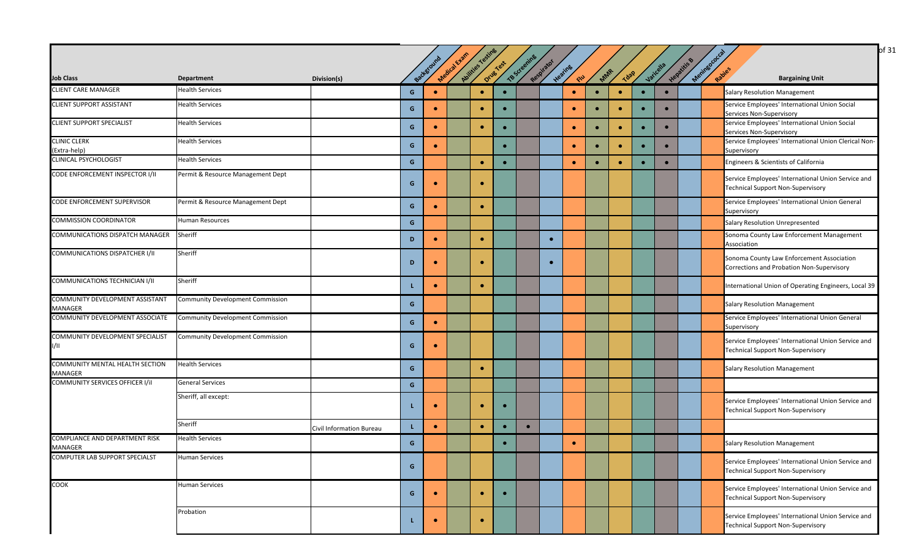|                                                  |                                         |                          |   |            | Medical Exam | Abilities resting |           | TB Screening |            |               |           |             |           |           |             | Meningococc | of 31                                                                                          |
|--------------------------------------------------|-----------------------------------------|--------------------------|---|------------|--------------|-------------------|-----------|--------------|------------|---------------|-----------|-------------|-----------|-----------|-------------|-------------|------------------------------------------------------------------------------------------------|
| <b>Job Class</b>                                 | <b>Department</b>                       | Division(s)              |   | Background |              |                   | Drug Test |              | Respirator | Heating<br>RU | MAR       | <b>Tdap</b> |           | Varicella | Hepatitis B |             | <b>Bargaining Unit</b>                                                                         |
| <b>CLIENT CARE MANAGER</b>                       | <b>Health Services</b>                  |                          | G | $\bullet$  |              | $\bullet$         |           |              |            | $\bullet$     |           | $\bullet$   | $\bullet$ | $\bullet$ |             |             | <b>Salary Resolution Management</b>                                                            |
| <b>CLIENT SUPPORT ASSISTANT</b>                  | <b>Health Services</b>                  |                          | G |            |              | $\bullet$         |           |              |            | $\bullet$     |           | $\bullet$   | $\bullet$ | $\bullet$ |             |             | Service Employees' International Union Social<br>Services Non-Supervisory                      |
| <b>CLIENT SUPPORT SPECIALIST</b>                 | <b>Health Services</b>                  |                          | G | $\bullet$  |              | $\bullet$         |           |              |            | $\bullet$     | $\bullet$ | $\bullet$   | $\bullet$ | $\bullet$ |             |             | Service Employees' International Union Social<br>Services Non-Supervisory                      |
| <b>CLINIC CLERK</b><br>(Extra-help)              | <b>Health Services</b>                  |                          | G | $\bullet$  |              |                   |           |              |            | $\bullet$     | $\bullet$ | $\bullet$   | $\bullet$ | $\bullet$ |             |             | Service Employees' International Union Clerical Non-<br>Supervisory                            |
| CLINICAL PSYCHOLOGIST                            | <b>Health Services</b>                  |                          | G |            |              | $\bullet$         | $\bullet$ |              |            | $\bullet$     | $\bullet$ | $\bullet$   | $\bullet$ | $\bullet$ |             |             | Engineers & Scientists of California                                                           |
| CODE ENFORCEMENT INSPECTOR I/II                  | Permit & Resource Management Dept       |                          | G | $\bullet$  |              | $\bullet$         |           |              |            |               |           |             |           |           |             |             | Service Employees' International Union Service and<br><b>Technical Support Non-Supervisory</b> |
| CODE ENFORCEMENT SUPERVISOR                      | Permit & Resource Management Dept       |                          | G |            |              | $\bullet$         |           |              |            |               |           |             |           |           |             |             | Service Employees' International Union General<br>Supervisory                                  |
| <b>COMMISSION COORDINATOR</b>                    | <b>Human Resources</b>                  |                          | G |            |              |                   |           |              |            |               |           |             |           |           |             |             | <b>Salary Resolution Unrepresented</b>                                                         |
| COMMUNICATIONS DISPATCH MANAGER                  | Sheriff                                 |                          | D |            |              | $\bullet$         |           |              | $\bullet$  |               |           |             |           |           |             |             | Sonoma County Law Enforcement Management<br>Association                                        |
| COMMUNICATIONS DISPATCHER I/II                   | Sheriff                                 |                          | D |            |              |                   |           |              |            |               |           |             |           |           |             |             | Sonoma County Law Enforcement Association<br>Corrections and Probation Non-Supervisory         |
| COMMUNICATIONS TECHNICIAN I/II                   | Sheriff                                 |                          |   | $\bullet$  |              | $\bullet$         |           |              |            |               |           |             |           |           |             |             | International Union of Operating Engineers, Local 39                                           |
| COMMUNITY DEVELOPMENT ASSISTANT<br>MANAGER       | <b>Community Development Commission</b> |                          | G |            |              |                   |           |              |            |               |           |             |           |           |             |             | <b>Salary Resolution Management</b>                                                            |
| COMMUNITY DEVELOPMENT ASSOCIATE                  | <b>Community Development Commission</b> |                          | G | $\bullet$  |              |                   |           |              |            |               |           |             |           |           |             |             | Service Employees' International Union General<br>Supervisory                                  |
| COMMUNITY DEVELOPMENT SPECIALIST<br>I/II.        | <b>Community Development Commission</b> |                          | G | $\bullet$  |              |                   |           |              |            |               |           |             |           |           |             |             | Service Employees' International Union Service and<br><b>Technical Support Non-Supervisory</b> |
| COMMUNITY MENTAL HEALTH SECTION<br>MANAGER       | <b>Health Services</b>                  |                          | G |            |              | $\bullet$         |           |              |            |               |           |             |           |           |             |             | <b>Salary Resolution Management</b>                                                            |
| COMMUNITY SERVICES OFFICER I/iI                  | <b>General Services</b>                 |                          | G |            |              |                   |           |              |            |               |           |             |           |           |             |             |                                                                                                |
|                                                  | Sheriff, all except:                    |                          |   | $\bullet$  |              | $\bullet$         |           |              |            |               |           |             |           |           |             |             | Service Employees' International Union Service and<br><b>Technical Support Non-Supervisory</b> |
|                                                  | Sheriff                                 | Civil Information Bureau |   | $\bullet$  |              | $\bullet$         |           |              |            |               |           |             |           |           |             |             |                                                                                                |
| COMPLIANCE AND DEPARTMENT RISK<br><b>MANAGER</b> | <b>Health Services</b>                  |                          | G |            |              |                   |           |              |            | $\bullet$     |           |             |           |           |             |             | <b>Salary Resolution Management</b>                                                            |
| COMPUTER LAB SUPPORT SPECIALST                   | <b>Human Services</b>                   |                          | G |            |              |                   |           |              |            |               |           |             |           |           |             |             | Service Employees' International Union Service and<br><b>Technical Support Non-Supervisory</b> |
| <b>COOK</b>                                      | <b>Human Services</b>                   |                          | G | $\bullet$  |              | $\bullet$         | $\bullet$ |              |            |               |           |             |           |           |             |             | Service Employees' International Union Service and<br><b>Technical Support Non-Supervisory</b> |
|                                                  | Probation                               |                          |   | $\bullet$  |              | $\bullet$         |           |              |            |               |           |             |           |           |             |             | Service Employees' International Union Service and<br><b>Technical Support Non-Supervisory</b> |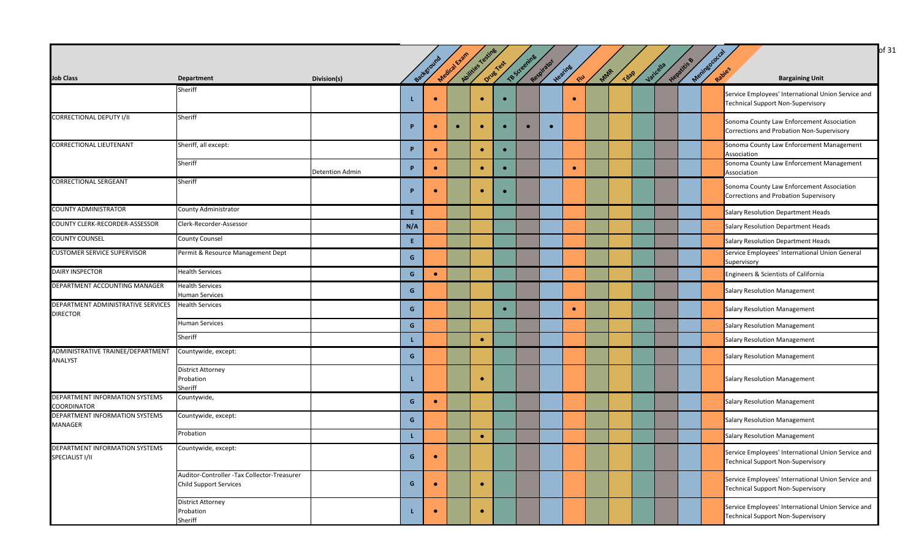|                                                       |                                                                              |                        |              |           |              |                  |           |              |            |            |     |      |           |             |                      | of 31                                                                                          |
|-------------------------------------------------------|------------------------------------------------------------------------------|------------------------|--------------|-----------|--------------|------------------|-----------|--------------|------------|------------|-----|------|-----------|-------------|----------------------|------------------------------------------------------------------------------------------------|
|                                                       |                                                                              |                        |              | Backstoum | Medical Exam | Avitties Testing | Drug Test | TB Screening | Respirator | Heating    |     |      | Varicella | Hepatitis B | Meninsococ<br>Rapies |                                                                                                |
| <b>Job Class</b>                                      | <b>Department</b>                                                            | Division(s)            |              |           |              |                  |           |              |            | <b>CIU</b> | Mar | Tdap |           |             |                      | <b>Bargaining Unit</b>                                                                         |
|                                                       | Sheriff                                                                      |                        | L            |           |              | $\bullet$        |           |              |            | $\bullet$  |     |      |           |             |                      | Service Employees' International Union Service and<br><b>Technical Support Non-Supervisory</b> |
| <b>CORRECTIONAL DEPUTY I/II</b>                       | Sheriff                                                                      |                        | P            | $\bullet$ | $\bullet$    | $\bullet$        |           | $\bullet$    | $\bullet$  |            |     |      |           |             |                      | Sonoma County Law Enforcement Association<br>Corrections and Probation Non-Supervisory         |
| <b>CORRECTIONAL LIEUTENANT</b>                        | Sheriff, all except:                                                         |                        | P            | $\bullet$ |              | $\bullet$        | $\bullet$ |              |            |            |     |      |           |             |                      | Sonoma County Law Enforcement Management<br>Association                                        |
|                                                       | Sheriff                                                                      | <b>Detention Admin</b> | P            | $\bullet$ |              | $\bullet$        |           |              |            | $\bullet$  |     |      |           |             |                      | Sonoma County Law Enforcement Management<br>Association                                        |
| <b>CORRECTIONAL SERGEANT</b>                          | Sheriff                                                                      |                        | Þ            |           |              | $\bullet$        |           |              |            |            |     |      |           |             |                      | Sonoma County Law Enforcement Association<br>Corrections and Probation Supervisory             |
| <b>COUNTY ADMINISTRATOR</b>                           | County Administrator                                                         |                        | Æ.           |           |              |                  |           |              |            |            |     |      |           |             |                      | Salary Resolution Department Heads                                                             |
| COUNTY CLERK-RECORDER-ASSESSOR                        | Clerk-Recorder-Assessor                                                      |                        | N/A          |           |              |                  |           |              |            |            |     |      |           |             |                      | Salary Resolution Department Heads                                                             |
| <b>COUNTY COUNSEL</b>                                 | <b>County Counsel</b>                                                        |                        | E.           |           |              |                  |           |              |            |            |     |      |           |             |                      | Salary Resolution Department Heads                                                             |
| <b>CUSTOMER SERVICE SUPERVISOR</b>                    | Permit & Resource Management Dept                                            |                        | G            |           |              |                  |           |              |            |            |     |      |           |             |                      | Service Employees' International Union General<br>Supervisory                                  |
| <b>DAIRY INSPECTOR</b>                                | <b>Health Services</b>                                                       |                        | G            | $\bullet$ |              |                  |           |              |            |            |     |      |           |             |                      | Engineers & Scientists of California                                                           |
| DEPARTMENT ACCOUNTING MANAGER                         | Health Services<br>Human Services                                            |                        | G            |           |              |                  |           |              |            |            |     |      |           |             |                      | Salary Resolution Management                                                                   |
| DEPARTMENT ADMINISTRATIVE SERVICES<br><b>DIRECTOR</b> | <b>Health Services</b>                                                       |                        | G            |           |              |                  |           |              |            | $\bullet$  |     |      |           |             |                      | <b>Salary Resolution Management</b>                                                            |
|                                                       | Human Services                                                               |                        | $\mathsf{G}$ |           |              |                  |           |              |            |            |     |      |           |             |                      | <b>Salary Resolution Management</b>                                                            |
|                                                       | Sheriff                                                                      |                        | L.           |           |              | $\bullet$        |           |              |            |            |     |      |           |             |                      | Salary Resolution Management                                                                   |
| ADMINISTRATIVE TRAINEE/DEPARTMENT<br><b>ANALYST</b>   | Countywide, except:                                                          |                        | G            |           |              |                  |           |              |            |            |     |      |           |             |                      | Salary Resolution Management                                                                   |
|                                                       | <b>District Attorney</b><br>Probation<br>Sheriff                             |                        | L            |           |              | $\bullet$        |           |              |            |            |     |      |           |             |                      | <b>Salary Resolution Management</b>                                                            |
| DEPARTMENT INFORMATION SYSTEMS<br><b>COORDINATOR</b>  | Countywide,                                                                  |                        | G            |           |              |                  |           |              |            |            |     |      |           |             |                      | <b>Salary Resolution Management</b>                                                            |
| DEPARTMENT INFORMATION SYSTEMS<br><b>MANAGER</b>      | Countywide, except:                                                          |                        | G            |           |              |                  |           |              |            |            |     |      |           |             |                      | <b>Salary Resolution Management</b>                                                            |
|                                                       | Probation                                                                    |                        | L            |           |              | $\bullet$        |           |              |            |            |     |      |           |             |                      | <b>Salary Resolution Management</b>                                                            |
| DEPARTMENT INFORMATION SYSTEMS<br>SPECIALIST I/II     | Countywide, except:                                                          |                        | G            |           |              |                  |           |              |            |            |     |      |           |             |                      | Service Employees' International Union Service and<br><b>Technical Support Non-Supervisory</b> |
|                                                       | Auditor-Controller -Tax Collector-Treasurer<br><b>Child Support Services</b> |                        | G            | $\bullet$ |              | $\bullet$        |           |              |            |            |     |      |           |             |                      | Service Employees' International Union Service and<br><b>Technical Support Non-Supervisory</b> |
|                                                       | <b>District Attorney</b><br>Probation<br>Sheriff                             |                        | L.           |           |              | $\bullet$        |           |              |            |            |     |      |           |             |                      | Service Employees' International Union Service and<br><b>Technical Support Non-Supervisory</b> |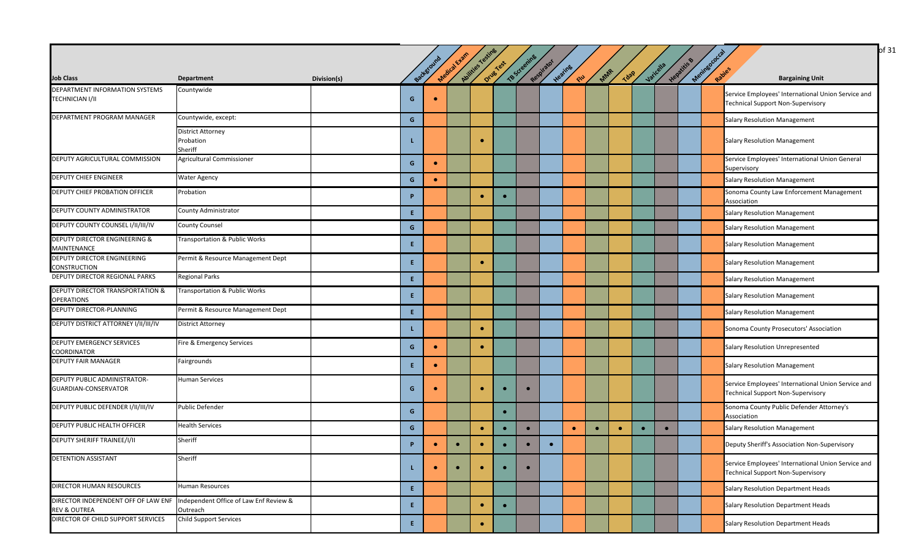|                                                          |                                                                                        |             |                |           |              |                  |           |              |            |                |           |             |           |             |             | of 31                                                                                          |
|----------------------------------------------------------|----------------------------------------------------------------------------------------|-------------|----------------|-----------|--------------|------------------|-----------|--------------|------------|----------------|-----------|-------------|-----------|-------------|-------------|------------------------------------------------------------------------------------------------|
| <b>Job Class</b>                                         | <b>Department</b>                                                                      | Division(s) |                | Backgroun | Medical Exam | Aulities Testing | Drug Yest | TB Screening | Respirator | Heating<br>CIU | MAR       | <b>Tdap</b> | Varicella | Hepatitis & | Meninegococ | <b>Bargaining Unit</b>                                                                         |
| DEPARTMENT INFORMATION SYSTEMS<br><b>TECHNICIAN I/II</b> | Countywide                                                                             |             | G              |           |              |                  |           |              |            |                |           |             |           |             |             | Service Employees' International Union Service and<br><b>Technical Support Non-Supervisory</b> |
| DEPARTMENT PROGRAM MANAGER                               | Countywide, except:                                                                    |             | G              |           |              |                  |           |              |            |                |           |             |           |             |             | <b>Salary Resolution Management</b>                                                            |
|                                                          | <b>District Attorney</b><br>Probation<br>Sheriff                                       |             |                |           |              | $\bullet$        |           |              |            |                |           |             |           |             |             | <b>Salary Resolution Management</b>                                                            |
| DEPUTY AGRICULTURAL COMMISSION                           | Agricultural Commissioner                                                              |             | G              | $\bullet$ |              |                  |           |              |            |                |           |             |           |             |             | Service Employees' International Union General<br>Supervisory                                  |
| <b>DEPUTY CHIEF ENGINEER</b>                             | <b>Water Agency</b>                                                                    |             | G              | $\bullet$ |              |                  |           |              |            |                |           |             |           |             |             | <b>Salary Resolution Management</b>                                                            |
| DEPUTY CHIEF PROBATION OFFICER                           | Probation                                                                              |             | P              |           |              |                  | $\bullet$ |              |            |                |           |             |           |             |             | Sonoma County Law Enforcement Management<br>Association                                        |
| DEPUTY COUNTY ADMINISTRATOR                              | County Administrator                                                                   |             | E.             |           |              |                  |           |              |            |                |           |             |           |             |             | Salary Resolution Management                                                                   |
| DEPUTY COUNTY COUNSEL I/II/III/IV                        | <b>County Counsel</b>                                                                  |             | G              |           |              |                  |           |              |            |                |           |             |           |             |             | <b>Salary Resolution Management</b>                                                            |
| <b>DEPUTY DIRECTOR ENGINEERING &amp;</b><br>MAINTENANCE  | Transportation & Public Works                                                          |             | E.             |           |              |                  |           |              |            |                |           |             |           |             |             | <b>Salary Resolution Management</b>                                                            |
| DEPUTY DIRECTOR ENGINEERING<br><b>CONSTRUCTION</b>       | Permit & Resource Management Dept                                                      |             | E.             |           |              | $\bullet$        |           |              |            |                |           |             |           |             |             | <b>Salary Resolution Management</b>                                                            |
| DEPUTY DIRECTOR REGIONAL PARKS                           | <b>Regional Parks</b>                                                                  |             | $\mathbf{E}$ . |           |              |                  |           |              |            |                |           |             |           |             |             | Salary Resolution Management                                                                   |
| DEPUTY DIRECTOR TRANSPORTATION &<br><b>OPERATIONS</b>    | Transportation & Public Works                                                          |             | Æ.             |           |              |                  |           |              |            |                |           |             |           |             |             | <b>Salary Resolution Management</b>                                                            |
| DEPUTY DIRECTOR-PLANNING                                 | Permit & Resource Management Dept                                                      |             | E.             |           |              |                  |           |              |            |                |           |             |           |             |             | <b>Salary Resolution Management</b>                                                            |
| DEPUTY DISTRICT ATTORNEY I/II/III/IV                     | <b>District Attorney</b>                                                               |             | L.             |           |              | ٠                |           |              |            |                |           |             |           |             |             | Sonoma County Prosecutors' Association                                                         |
| <b>DEPUTY EMERGENCY SERVICES</b><br><b>COORDINATOR</b>   | Fire & Emergency Services                                                              |             | G              | $\bullet$ |              | $\bullet$        |           |              |            |                |           |             |           |             |             | <b>Salary Resolution Unrepresented</b>                                                         |
| <b>DEPUTY FAIR MANAGER</b>                               | Fairgrounds                                                                            |             | E.             | $\bullet$ |              |                  |           |              |            |                |           |             |           |             |             | <b>Salary Resolution Management</b>                                                            |
| DEPUTY PUBLIC ADMINISTRATOR-<br>GUARDIAN-CONSERVATOR     | <b>Human Services</b>                                                                  |             | G              | $\bullet$ |              | $\bullet$        | $\bullet$ | $\bullet$    |            |                |           |             |           |             |             | Service Employees' International Union Service and<br><b>Technical Support Non-Supervisory</b> |
| DEPUTY PUBLIC DEFENDER I/II/III/IV                       | <b>Public Defender</b>                                                                 |             | G              |           |              |                  | $\bullet$ |              |            |                |           |             |           |             |             | Sonoma County Public Defender Attorney's<br>Association                                        |
| DEPUTY PUBLIC HEALTH OFFICER                             | <b>Health Services</b>                                                                 |             | G              |           |              | $\bullet$        | $\bullet$ | $\bullet$    |            | $\bullet$      | $\bullet$ | $\bullet$   | $\bullet$ |             |             | <b>Salary Resolution Management</b>                                                            |
| <b>DEPUTY SHERIFF TRAINEE/I/II</b>                       | Sheriff                                                                                |             | P              | $\bullet$ | $\bullet$    | $\bullet$        | $\bullet$ | $\bullet$    | $\bullet$  |                |           |             |           |             |             | Deputy Sheriff's Association Non-Supervisory                                                   |
| DETENTION ASSISTANT                                      | Sheriff                                                                                |             |                | $\bullet$ | $\bullet$    | $\bullet$        | $\bullet$ | $\bullet$    |            |                |           |             |           |             |             | Service Employees' International Union Service and<br><b>Technical Support Non-Supervisory</b> |
| <b>DIRECTOR HUMAN RESOURCES</b>                          | <b>Human Resources</b>                                                                 |             | E.             |           |              |                  |           |              |            |                |           |             |           |             |             | Salary Resolution Department Heads                                                             |
| <b>REV &amp; OUTREA</b>                                  | DIRECTOR INDEPENDENT OFF OF LAW ENF Independent Office of Law Enf Review &<br>Outreach |             | E.             |           |              | $\bullet$        | $\bullet$ |              |            |                |           |             |           |             |             | Salary Resolution Department Heads                                                             |
| DIRECTOR OF CHILD SUPPORT SERVICES                       | <b>Child Support Services</b>                                                          |             | $\mathsf{E}$   |           |              |                  |           |              |            |                |           |             |           |             |             | Salary Resolution Department Heads                                                             |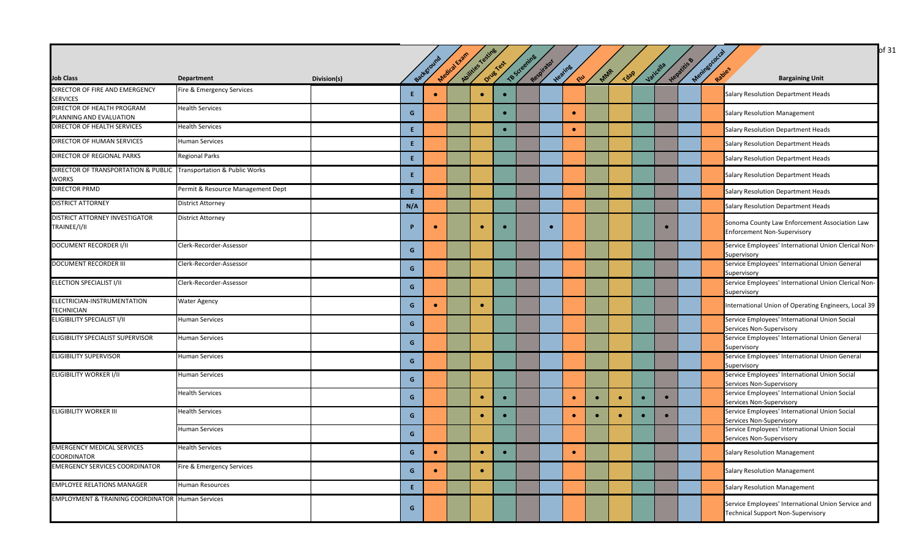|                                                                                   |                                   |             |     | Backgroun | Medical Exam | Abilities Testing | Drug Test | TB Screening | Respirator |                       |           |             |           |           | Hepatitis | Meninsococ |                                                                                                |
|-----------------------------------------------------------------------------------|-----------------------------------|-------------|-----|-----------|--------------|-------------------|-----------|--------------|------------|-----------------------|-----------|-------------|-----------|-----------|-----------|------------|------------------------------------------------------------------------------------------------|
| <b>Job Class</b>                                                                  | <b>Department</b>                 | Division(s) |     |           |              |                   |           |              |            | Heating<br><b>CIU</b> | MAR       | <b>Tdap</b> | Varicella |           |           | Rapies     | <b>Bargaining Unit</b>                                                                         |
| DIRECTOR OF FIRE AND EMERGENCY<br><b>SERVICES</b>                                 | Fire & Emergency Services         |             | E.  | $\bullet$ |              | $\bullet$         | $\bullet$ |              |            |                       |           |             |           |           |           |            | Salary Resolution Department Heads                                                             |
| DIRECTOR OF HEALTH PROGRAM<br>PLANNING AND EVALUATION                             | <b>Health Services</b>            |             | G   |           |              |                   | $\bullet$ |              |            | $\bullet$             |           |             |           |           |           |            | <b>Salary Resolution Management</b>                                                            |
| DIRECTOR OF HEALTH SERVICES                                                       | <b>Health Services</b>            |             | E.  |           |              |                   | $\bullet$ |              |            | $\bullet$             |           |             |           |           |           |            | Salary Resolution Department Heads                                                             |
| DIRECTOR OF HUMAN SERVICES                                                        | <b>Human Services</b>             |             | E.  |           |              |                   |           |              |            |                       |           |             |           |           |           |            | Salary Resolution Department Heads                                                             |
| DIRECTOR OF REGIONAL PARKS                                                        | <b>Regional Parks</b>             |             | E.  |           |              |                   |           |              |            |                       |           |             |           |           |           |            | Salary Resolution Department Heads                                                             |
| DIRECTOR OF TRANSPORTATION & PUBLIC Transportation & Public Works<br><b>WORKS</b> |                                   |             | E.  |           |              |                   |           |              |            |                       |           |             |           |           |           |            | Salary Resolution Department Heads                                                             |
| <b>DIRECTOR PRMD</b>                                                              | Permit & Resource Management Dept |             | E.  |           |              |                   |           |              |            |                       |           |             |           |           |           |            | Salary Resolution Department Heads                                                             |
| <b>DISTRICT ATTORNEY</b>                                                          | <b>District Attorney</b>          |             | N/A |           |              |                   |           |              |            |                       |           |             |           |           |           |            | Salary Resolution Department Heads                                                             |
| DISTRICT ATTORNEY INVESTIGATOR<br>TRAINEE/I/II                                    | <b>District Attorney</b>          |             | D   | $\bullet$ |              | $\bullet$         | $\bullet$ |              | $\bullet$  |                       |           |             |           | $\bullet$ |           |            | Sonoma County Law Enforcement Association Law<br><b>Enforcement Non-Supervisory</b>            |
| <b>DOCUMENT RECORDER I/II</b>                                                     | Clerk-Recorder-Assessor           |             | G   |           |              |                   |           |              |            |                       |           |             |           |           |           |            | Service Employees' International Union Clerical Non-<br>Supervisory                            |
| <b>DOCUMENT RECORDER III</b>                                                      | Clerk-Recorder-Assessor           |             | G   |           |              |                   |           |              |            |                       |           |             |           |           |           |            | Service Employees' International Union General<br>Supervisory                                  |
| ELECTION SPECIALIST I/II                                                          | Clerk-Recorder-Assessor           |             | G   |           |              |                   |           |              |            |                       |           |             |           |           |           |            | Service Employees' International Union Clerical Non-<br>Supervisory                            |
| ELECTRICIAN-INSTRUMENTATION<br>TECHNICIAN                                         | <b>Water Agency</b>               |             | G   |           |              | $\bullet$         |           |              |            |                       |           |             |           |           |           |            | International Union of Operating Engineers, Local 39                                           |
| ELIGIBILITY SPECIALIST I/II                                                       | <b>Human Services</b>             |             | G   |           |              |                   |           |              |            |                       |           |             |           |           |           |            | Service Employees' International Union Social<br>Services Non-Supervisory                      |
| ELIGIBILITY SPECIALIST SUPERVISOR                                                 | <b>Human Services</b>             |             | G   |           |              |                   |           |              |            |                       |           |             |           |           |           |            | Service Employees' International Union General<br>Supervisory                                  |
| <b>ELIGIBILITY SUPERVISOR</b>                                                     | <b>Human Services</b>             |             | G   |           |              |                   |           |              |            |                       |           |             |           |           |           |            | Service Employees' International Union General<br>Supervisory                                  |
| <b>ELIGIBILITY WORKER I/II</b>                                                    | <b>Human Services</b>             |             | G   |           |              |                   |           |              |            |                       |           |             |           |           |           |            | Service Employees' International Union Social<br>Services Non-Supervisory                      |
|                                                                                   | <b>Health Services</b>            |             | G   |           |              | $\bullet$         | $\bullet$ |              |            | $\bullet$             | $\bullet$ | $\bullet$   |           | $\bullet$ |           |            | Service Employees' International Union Social<br>Services Non-Supervisory                      |
| <b>ELIGIBILITY WORKER III</b>                                                     | <b>Health Services</b>            |             | G   |           |              | $\bullet$         | $\bullet$ |              |            | $\bullet$             | $\bullet$ | $\bullet$   |           | $\bullet$ |           |            | Service Employees' International Union Social<br>Services Non-Supervisory                      |
|                                                                                   | <b>Human Services</b>             |             | G   |           |              |                   |           |              |            |                       |           |             |           |           |           |            | Service Employees' International Union Social<br>Services Non-Supervisory                      |
| <b>EMERGENCY MEDICAL SERVICES</b><br><b>COORDINATOR</b>                           | <b>Health Services</b>            |             | G   |           |              |                   |           |              |            |                       |           |             |           |           |           |            | <b>Salary Resolution Management</b>                                                            |
| <b>EMERGENCY SERVICES COORDINATOR</b>                                             | Fire & Emergency Services         |             | G   | $\bullet$ |              | $\bullet$         |           |              |            |                       |           |             |           |           |           |            | <b>Salary Resolution Management</b>                                                            |
| <b>EMPLOYEE RELATIONS MANAGER</b>                                                 | <b>Human Resources</b>            |             | E.  |           |              |                   |           |              |            |                       |           |             |           |           |           |            | Salary Resolution Management                                                                   |
| <b>EMPLOYMENT &amp; TRAINING COORDINATOR Human Services</b>                       |                                   |             | G   |           |              |                   |           |              |            |                       |           |             |           |           |           |            | Service Employees' International Union Service and<br><b>Technical Support Non-Supervisory</b> |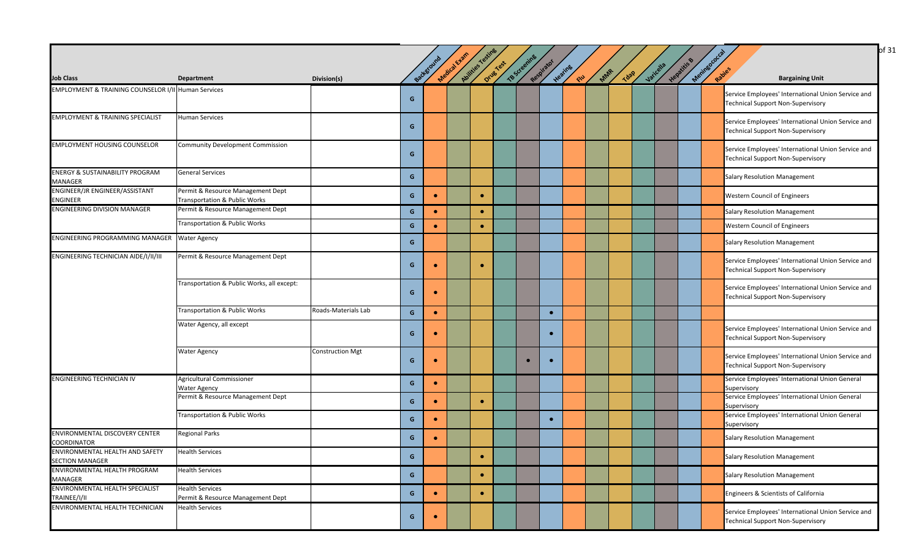|                                                                |                                                                    |                         |   |            | Medical Evan | Abilities Testines |          | TB Screening |            |               |      |             |           |             |             | of 31                                                                                          |
|----------------------------------------------------------------|--------------------------------------------------------------------|-------------------------|---|------------|--------------|--------------------|----------|--------------|------------|---------------|------|-------------|-----------|-------------|-------------|------------------------------------------------------------------------------------------------|
| <b>Job Class</b>                                               | <b>Department</b>                                                  | Division(s)             |   | Background |              |                    | Orugicas |              | Respirator | Heating<br>RU | Mars | <b>TO2P</b> | Varicella | Hepatitis B | Meninsococo | Rapies<br><b>Bargaining Unit</b>                                                               |
| <b>EMPLOYMENT &amp; TRAINING COUNSELOR I/II Human Services</b> |                                                                    |                         | G |            |              |                    |          |              |            |               |      |             |           |             |             | Service Employees' International Union Service and<br><b>Technical Support Non-Supervisory</b> |
| <b>EMPLOYMENT &amp; TRAINING SPECIALIST</b>                    | <b>Human Services</b>                                              |                         | G |            |              |                    |          |              |            |               |      |             |           |             |             | Service Employees' International Union Service and<br><b>Technical Support Non-Supervisory</b> |
| <b>EMPLOYMENT HOUSING COUNSELOR</b>                            | <b>Community Development Commission</b>                            |                         | G |            |              |                    |          |              |            |               |      |             |           |             |             | Service Employees' International Union Service and<br><b>Technical Support Non-Supervisory</b> |
| <b>ENERGY &amp; SUSTAINABILITY PROGRAM</b><br>MANAGER          | <b>General Services</b>                                            |                         | G |            |              |                    |          |              |            |               |      |             |           |             |             | <b>Salary Resolution Management</b>                                                            |
| ENGINEER/JR ENGINEER/ASSISTANT<br>ENGINEER                     | Permit & Resource Management Dept<br>Transportation & Public Works |                         | G | $\bullet$  |              | $\bullet$          |          |              |            |               |      |             |           |             |             | <b>Western Council of Engineers</b>                                                            |
| <b>ENGINEERING DIVISION MANAGER</b>                            | Permit & Resource Management Dept                                  |                         | G | $\bullet$  |              | $\bullet$          |          |              |            |               |      |             |           |             |             | <b>Salary Resolution Management</b>                                                            |
|                                                                | Transportation & Public Works                                      |                         | G | $\bullet$  |              | $\bullet$          |          |              |            |               |      |             |           |             |             | Western Council of Engineers                                                                   |
| ENGINEERING PROGRAMMING MANAGER Water Agency                   |                                                                    |                         | G |            |              |                    |          |              |            |               |      |             |           |             |             | <b>Salary Resolution Management</b>                                                            |
| ENGINEERING TECHNICIAN AIDE/I/II/III                           | Permit & Resource Management Dept                                  |                         | G | $\bullet$  |              | $\bullet$          |          |              |            |               |      |             |           |             |             | Service Employees' International Union Service and<br><b>Technical Support Non-Supervisory</b> |
|                                                                | Transportation & Public Works, all except:                         |                         | G | $\bullet$  |              |                    |          |              |            |               |      |             |           |             |             | Service Employees' International Union Service and<br><b>Technical Support Non-Supervisory</b> |
|                                                                | Transportation & Public Works                                      | Roads-Materials Lab     | G | $\bullet$  |              |                    |          |              | $\bullet$  |               |      |             |           |             |             |                                                                                                |
|                                                                | Water Agency, all except                                           |                         | G |            |              |                    |          |              | $\bullet$  |               |      |             |           |             |             | Service Employees' International Union Service and<br><b>Technical Support Non-Supervisory</b> |
|                                                                | <b>Water Agency</b>                                                | <b>Construction Mgt</b> | G |            |              |                    |          |              | $\bullet$  |               |      |             |           |             |             | Service Employees' International Union Service and<br><b>Technical Support Non-Supervisory</b> |
| <b>ENGINEERING TECHNICIAN IV</b>                               | Agricultural Commissioner<br><b>Water Agency</b>                   |                         | G | $\bullet$  |              |                    |          |              |            |               |      |             |           |             |             | Service Employees' International Union General<br>Supervisory                                  |
|                                                                | Permit & Resource Management Dept                                  |                         | G | $\bullet$  |              | $\bullet$          |          |              |            |               |      |             |           |             |             | Service Employees' International Union General<br>Supervisory                                  |
|                                                                | Transportation & Public Works                                      |                         | G | $\bullet$  |              |                    |          |              | $\bullet$  |               |      |             |           |             |             | Service Employees' International Union General<br>Supervisory                                  |
| ENVIRONMENTAL DISCOVERY CENTER<br>COORDINATOR                  | <b>Regional Parks</b>                                              |                         | G | $\bullet$  |              |                    |          |              |            |               |      |             |           |             |             | <b>Salary Resolution Management</b>                                                            |
| ENVIRONMENTAL HEALTH AND SAFETY<br><b>SECTION MANAGER</b>      | <b>Health Services</b>                                             |                         | G |            |              | $\bullet$          |          |              |            |               |      |             |           |             |             | <b>Salary Resolution Management</b>                                                            |
| ENVIRONMENTAL HEALTH PROGRAM<br>MANAGER                        | <b>Health Services</b>                                             |                         | G |            |              | $\bullet$          |          |              |            |               |      |             |           |             |             | <b>Salary Resolution Management</b>                                                            |
| ENVIRONMENTAL HEALTH SPECIALIST<br>TRAINEE/I/II                | <b>Health Services</b><br>Permit & Resource Management Dept        |                         | G | $\bullet$  |              | $\bullet$          |          |              |            |               |      |             |           |             |             | Engineers & Scientists of California                                                           |
| ENVIRONMENTAL HEALTH TECHNICIAN                                | <b>Health Services</b>                                             |                         | G | $\bullet$  |              |                    |          |              |            |               |      |             |           |             |             | Service Employees' International Union Service and<br><b>Technical Support Non-Supervisory</b> |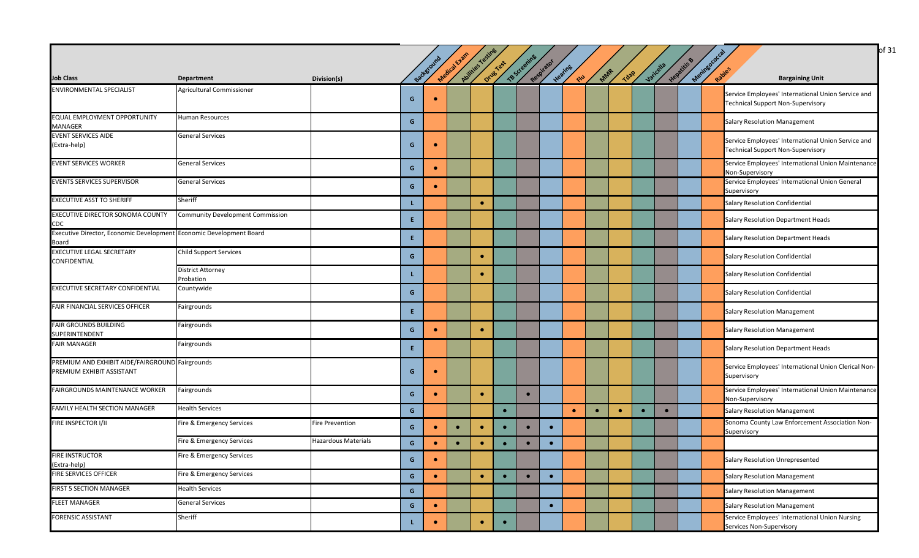|                                                                              |                                         |                            |    |           |              |                  |             |              |            |                        |           |             |           |             |                                                                                                | of 31 |
|------------------------------------------------------------------------------|-----------------------------------------|----------------------------|----|-----------|--------------|------------------|-------------|--------------|------------|------------------------|-----------|-------------|-----------|-------------|------------------------------------------------------------------------------------------------|-------|
|                                                                              |                                         |                            |    |           |              |                  |             |              |            |                        |           |             |           |             |                                                                                                |       |
| <b>Job Class</b>                                                             | Department                              |                            |    | Backgroun | Medical Exam | Avilides Testing | Drives Yest | TB Screening | Respirator | Heating<br><b>SHOP</b> | MAR       | <b>Tdap</b> | Varicella | Hepatitis B | Meringococ<br>Rapies<br><b>Bargaining Unit</b>                                                 |       |
| <b>ENVIRONMENTAL SPECIALIST</b>                                              | Agricultural Commissioner               | Division(s)                |    |           |              |                  |             |              |            |                        |           |             |           |             |                                                                                                |       |
|                                                                              |                                         |                            | G  |           |              |                  |             |              |            |                        |           |             |           |             | Service Employees' International Union Service and<br><b>Technical Support Non-Supervisory</b> |       |
| EQUAL EMPLOYMENT OPPORTUNITY<br><b>MANAGER</b>                               | <b>Human Resources</b>                  |                            | G  |           |              |                  |             |              |            |                        |           |             |           |             | <b>Salary Resolution Management</b>                                                            |       |
| <b>EVENT SERVICES AIDE</b><br>(Extra-help)                                   | <b>General Services</b>                 |                            | G  | $\bullet$ |              |                  |             |              |            |                        |           |             |           |             | Service Employees' International Union Service and<br><b>Technical Support Non-Supervisory</b> |       |
| <b>EVENT SERVICES WORKER</b>                                                 | <b>General Services</b>                 |                            | G  | $\bullet$ |              |                  |             |              |            |                        |           |             |           |             | Service Employees' International Union Maintenance<br>Non-Supervisory                          |       |
| <b>EVENTS SERVICES SUPERVISOR</b>                                            | <b>General Services</b>                 |                            | G  | $\bullet$ |              |                  |             |              |            |                        |           |             |           |             | Service Employees' International Union General<br>Supervisory                                  |       |
| <b>EXECUTIVE ASST TO SHERIFF</b>                                             | Sheriff                                 |                            | L. |           |              | $\bullet$        |             |              |            |                        |           |             |           |             | Salary Resolution Confidential                                                                 |       |
| EXECUTIVE DIRECTOR SONOMA COUNTY<br>CDC                                      | <b>Community Development Commission</b> |                            | E. |           |              |                  |             |              |            |                        |           |             |           |             | Salary Resolution Department Heads                                                             |       |
| Executive Director, Economic Development Economic Development Board<br>Board |                                         |                            | E. |           |              |                  |             |              |            |                        |           |             |           |             | Salary Resolution Department Heads                                                             |       |
| <b>EXECUTIVE LEGAL SECRETARY</b><br><b>CONFIDENTIAL</b>                      | <b>Child Support Services</b>           |                            | G  |           |              | $\bullet$        |             |              |            |                        |           |             |           |             | <b>Salary Resolution Confidential</b>                                                          |       |
|                                                                              | <b>District Attorney</b><br>Probation   |                            |    |           |              | $\bullet$        |             |              |            |                        |           |             |           |             | Salary Resolution Confidential                                                                 |       |
| <b>EXECUTIVE SECRETARY CONFIDENTIAL</b>                                      | Countywide                              |                            | G  |           |              |                  |             |              |            |                        |           |             |           |             | <b>Salary Resolution Confidential</b>                                                          |       |
| FAIR FINANCIAL SERVICES OFFICER                                              | Fairgrounds                             |                            | E. |           |              |                  |             |              |            |                        |           |             |           |             | <b>Salary Resolution Management</b>                                                            |       |
| <b>FAIR GROUNDS BUILDING</b><br>SUPERINTENDENT                               | Fairgrounds                             |                            | G  |           |              | $\bullet$        |             |              |            |                        |           |             |           |             | <b>Salary Resolution Management</b>                                                            |       |
| <b>FAIR MANAGER</b>                                                          | Fairgrounds                             |                            | E. |           |              |                  |             |              |            |                        |           |             |           |             | Salary Resolution Department Heads                                                             |       |
| PREMIUM AND EXHIBIT AIDE/FAIRGROUND Fairgrounds<br>PREMIUM EXHIBIT ASSISTANT |                                         |                            | G  |           |              |                  |             |              |            |                        |           |             |           |             | Service Employees' International Union Clerical Non-<br>Supervisory                            |       |
| FAIRGROUNDS MAINTENANCE WORKER                                               | Fairgrounds                             |                            | G  | $\bullet$ |              | $\bullet$        |             | $\bullet$    |            |                        |           |             |           |             | Service Employees' International Union Maintenance<br>Non-Supervisory                          |       |
| FAMILY HEALTH SECTION MANAGER                                                | <b>Health Services</b>                  |                            | G  |           |              |                  | $\bullet$   |              |            | $\bullet$              | $\bullet$ | $\bullet$   | $\bullet$ |             | <b>Salary Resolution Management</b>                                                            |       |
| FIRE INSPECTOR I/II                                                          | Fire & Emergency Services               | <b>Fire Prevention</b>     | G  | $\bullet$ | $\bullet$    | $\bullet$        | $\bullet$   | $\bullet$    | $\bullet$  |                        |           |             |           |             | Sonoma County Law Enforcement Association Non-<br>Supervisory                                  |       |
|                                                                              | Fire & Emergency Services               | <b>Hazardous Materials</b> | G  | $\bullet$ | $\bullet$    | $\bullet$        | $\bullet$   | $\bullet$    |            |                        |           |             |           |             |                                                                                                |       |
| <b>FIRE INSTRUCTOR</b><br>(Extra-help)                                       | Fire & Emergency Services               |                            | G  | $\bullet$ |              |                  |             |              |            |                        |           |             |           |             | Salary Resolution Unrepresented                                                                |       |
| <b>FIRE SERVICES OFFICER</b>                                                 | Fire & Emergency Services               |                            | G  | $\bullet$ |              | $\bullet$        | $\bullet$   | $\bullet$    | $\bullet$  |                        |           |             |           |             | <b>Salary Resolution Management</b>                                                            |       |
| FIRST 5 SECTION MANAGER                                                      | <b>Health Services</b>                  |                            | G  |           |              |                  |             |              |            |                        |           |             |           |             | <b>Salary Resolution Management</b>                                                            |       |
| <b>FLEET MANAGER</b>                                                         | <b>General Services</b>                 |                            | G  | $\bullet$ |              |                  |             |              | $\bullet$  |                        |           |             |           |             | <b>Salary Resolution Management</b>                                                            |       |
| <b>FORENSIC ASSISTANT</b>                                                    | Sheriff                                 |                            |    |           |              | ۰                | $\bullet$   |              |            |                        |           |             |           |             | Service Employees' International Union Nursing<br>Services Non-Supervisory                     |       |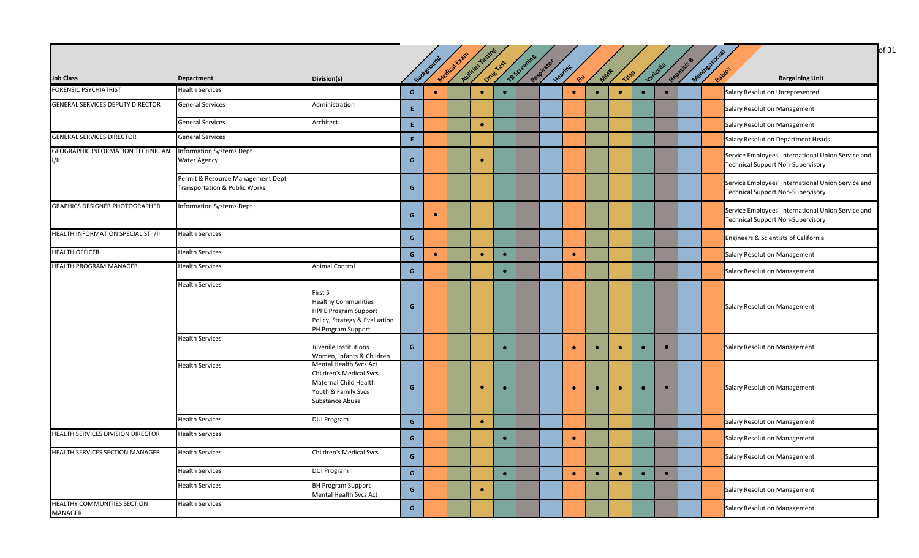|                                           |                                                                    |                                                                                                                                    |                                        |            |              |                 |           |              |            |                |           |           |           |           |           |                      | of 31                                                                                          |
|-------------------------------------------|--------------------------------------------------------------------|------------------------------------------------------------------------------------------------------------------------------------|----------------------------------------|------------|--------------|-----------------|-----------|--------------|------------|----------------|-----------|-----------|-----------|-----------|-----------|----------------------|------------------------------------------------------------------------------------------------|
| <b>Job Class</b>                          | <b>Department</b>                                                  | Division(s)                                                                                                                        |                                        | Background | Medical Exam | Aulities Testin | Drug Test | TB Screening | Respirator | Heating<br>END | MAR       | Jdap      |           | Varicella | Hepatitis | Meningococ<br>Rabies | <b>Bargaining Unit</b>                                                                         |
| <b>FORENSIC PSYCHIATRIST</b>              | <b>Health Services</b>                                             |                                                                                                                                    | $\mathbf{G}$                           | $\bullet$  |              | $\bullet$       |           |              |            | $\bullet$      | $\bullet$ | $\bullet$ | $\bullet$ | $\bullet$ |           |                      | Salary Resolution Unrepresented                                                                |
| <b>GENERAL SERVICES DEPUTY DIRECTOR</b>   | <b>General Services</b>                                            | Administration                                                                                                                     | $\mathsf{E}$                           |            |              |                 |           |              |            |                |           |           |           |           |           |                      | <b>Salary Resolution Management</b>                                                            |
|                                           | <b>General Services</b>                                            | Architect                                                                                                                          | E                                      |            |              | $\bullet$       |           |              |            |                |           |           |           |           |           |                      | <b>Salary Resolution Management</b>                                                            |
| <b>GENERAL SERVICES DIRECTOR</b>          | <b>General Services</b>                                            |                                                                                                                                    | $\mathsf{E}^{\scriptscriptstyle \top}$ |            |              |                 |           |              |            |                |           |           |           |           |           |                      | Salary Resolution Department Heads                                                             |
| GEOGRAPHIC INFORMATION TECHNICIAN<br>1/11 | <b>Information Systems Dept</b><br><b>Water Agency</b>             |                                                                                                                                    | G                                      |            |              | $\bullet$       |           |              |            |                |           |           |           |           |           |                      | Service Employees' International Union Service and<br><b>Technical Support Non-Supervisory</b> |
|                                           | Permit & Resource Management Dept<br>Transportation & Public Works |                                                                                                                                    | G                                      |            |              |                 |           |              |            |                |           |           |           |           |           |                      | Service Employees' International Union Service and<br><b>Technical Support Non-Supervisory</b> |
| <b>GRAPHICS DESIGNER PHOTOGRAPHER</b>     | <b>Information Systems Dept</b>                                    |                                                                                                                                    | G                                      | $\bullet$  |              |                 |           |              |            |                |           |           |           |           |           |                      | Service Employees' International Union Service and<br><b>Technical Support Non-Supervisory</b> |
| HEALTH INFORMATION SPECIALIST I/II        | <b>Health Services</b>                                             |                                                                                                                                    | $\mathbf{G}$                           |            |              |                 |           |              |            |                |           |           |           |           |           |                      | Engineers & Scientists of California                                                           |
| <b>HEALTH OFFICER</b>                     | <b>Health Services</b>                                             |                                                                                                                                    | $\mathbf{G}$                           | $\bullet$  |              | $\bullet$       | $\bullet$ |              |            | $\bullet$      |           |           |           |           |           |                      | <b>Salary Resolution Management</b>                                                            |
| <b>HEALTH PROGRAM MANAGER</b>             | <b>Health Services</b>                                             | Animal Control                                                                                                                     | $\mathsf{G}$                           |            |              |                 | $\bullet$ |              |            |                |           |           |           |           |           |                      | <b>Salary Resolution Management</b>                                                            |
|                                           | <b>Health Services</b>                                             | First 5<br><b>Healthy Communities</b><br><b>HPPE Program Support</b><br>Policy, Strategy & Evaluation<br>PH Program Support        | $\mathsf{G}$                           |            |              |                 |           |              |            |                |           |           |           |           |           |                      | <b>Salary Resolution Management</b>                                                            |
|                                           | <b>Health Services</b>                                             | Juvenile Institutions<br>Women, Infants & Children                                                                                 | G                                      |            |              |                 | $\bullet$ |              |            | $\bullet$      | $\bullet$ | $\bullet$ | $\bullet$ | $\bullet$ |           |                      | <b>Salary Resolution Management</b>                                                            |
|                                           | <b>Health Services</b>                                             | <b>Mental Health Svcs Act</b><br><b>Children's Medical Svcs</b><br>Maternal Child Health<br>Youth & Family Svcs<br>Substance Abuse | G                                      |            |              |                 |           |              |            | $\bullet$      | $\bullet$ | $\bullet$ | $\bullet$ | $\bullet$ |           |                      | <b>Salary Resolution Management</b>                                                            |
|                                           | <b>Health Services</b>                                             | <b>DUI Program</b>                                                                                                                 | G                                      |            |              | $\bullet$       |           |              |            |                |           |           |           |           |           |                      | <b>Salary Resolution Management</b>                                                            |
| HEALTH SERVICES DIVISION DIRECTOR         | <b>Health Services</b>                                             |                                                                                                                                    | $\mathbf{G}$                           |            |              |                 | $\bullet$ |              |            | $\bullet$      |           |           |           |           |           |                      | <b>Salary Resolution Management</b>                                                            |
| HEALTH SERVICES SECTION MANAGER           | <b>Health Services</b>                                             | Children's Medical Svcs                                                                                                            | G                                      |            |              |                 |           |              |            |                |           |           |           |           |           |                      | <b>Salary Resolution Management</b>                                                            |
|                                           | <b>Health Services</b>                                             | <b>DUI Program</b>                                                                                                                 | $\mathsf{G}^-$                         |            |              |                 | $\bullet$ |              |            | $\bullet$      | $\bullet$ | $\bullet$ | $\bullet$ | $\bullet$ |           |                      |                                                                                                |
|                                           | <b>Health Services</b>                                             | <b>BH Program Support</b><br>Mental Health Svcs Act                                                                                | $\mathbf{G}$                           |            |              | $\bullet$       |           |              |            |                |           |           |           |           |           |                      | <b>Salary Resolution Management</b>                                                            |
| HEALTHY COMMUNITIES SECTION<br>MANAGER    | <b>Health Services</b>                                             |                                                                                                                                    | G                                      |            |              |                 |           |              |            |                |           |           |           |           |           |                      | <b>Salary Resolution Management</b>                                                            |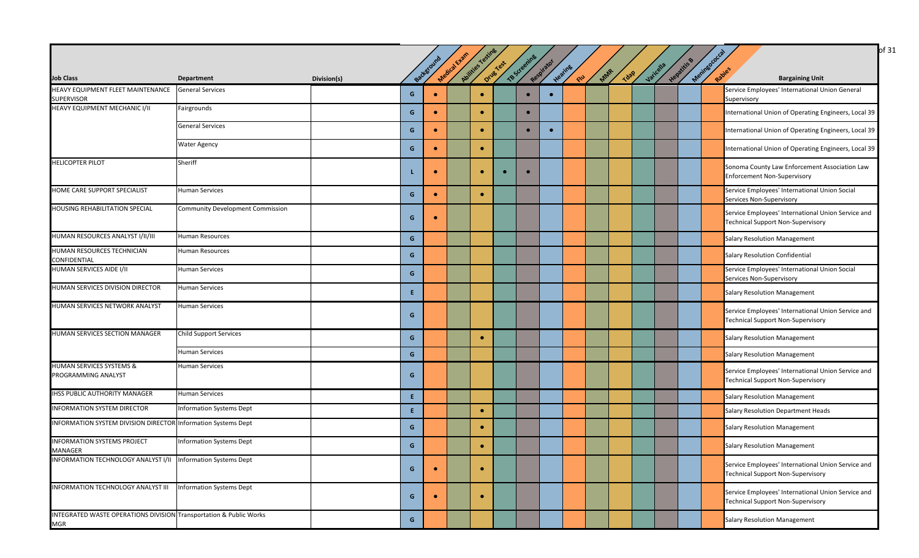|                                                                                  |                                  |             |              |           |              |                  |           |              |            |                |     |             |           |             |                       | of 31                                                                                          |
|----------------------------------------------------------------------------------|----------------------------------|-------------|--------------|-----------|--------------|------------------|-----------|--------------|------------|----------------|-----|-------------|-----------|-------------|-----------------------|------------------------------------------------------------------------------------------------|
|                                                                                  |                                  |             |              |           |              |                  |           |              |            |                |     |             |           |             |                       |                                                                                                |
| <b>Job Class</b>                                                                 | <b>Department</b>                | Division(s) |              | Backgroun | Medical Exam | Avitties Testing | Drug Test | TB Screening | Respirator | Heating<br>SIL | MAR | <b>Tdap</b> | Varicella | Hepatitis B | Meninegococ<br>Rapies | <b>Bargaining Unit</b>                                                                         |
| HEAVY EQUIPMENT FLEET MAINTENANCE<br><b>SUPERVISOR</b>                           | <b>General Services</b>          |             | G            | $\bullet$ |              | $\bullet$        |           | $\bullet$    | $\bullet$  |                |     |             |           |             |                       | Service Employees' International Union General<br>Supervisory                                  |
| HEAVY EQUIPMENT MECHANIC I/II                                                    | Fairgrounds                      |             | G            | $\bullet$ |              | $\bullet$        |           |              |            |                |     |             |           |             |                       | International Union of Operating Engineers, Local 39                                           |
|                                                                                  | <b>General Services</b>          |             | G            |           |              |                  |           |              | $\bullet$  |                |     |             |           |             |                       | International Union of Operating Engineers, Local 39                                           |
|                                                                                  | <b>Water Agency</b>              |             | G            | $\bullet$ |              | ۰                |           |              |            |                |     |             |           |             |                       | International Union of Operating Engineers, Local 39                                           |
| <b>HELICOPTER PILOT</b>                                                          | Sheriff                          |             |              |           |              | $\bullet$        | $\bullet$ | $\bullet$    |            |                |     |             |           |             |                       | Sonoma County Law Enforcement Association Law<br><b>Enforcement Non-Supervisory</b>            |
| HOME CARE SUPPORT SPECIALIST                                                     | <b>Human Services</b>            |             | G            | $\bullet$ |              | $\bullet$        |           |              |            |                |     |             |           |             |                       | Service Employees' International Union Social<br>Services Non-Supervisory                      |
| <b>HOUSING REHABILITATION SPECIAL</b>                                            | Community Development Commission |             | G            |           |              |                  |           |              |            |                |     |             |           |             |                       | Service Employees' International Union Service and<br><b>Technical Support Non-Supervisory</b> |
| HUMAN RESOURCES ANALYST I/II/III                                                 | <b>Human Resources</b>           |             | G            |           |              |                  |           |              |            |                |     |             |           |             |                       | <b>Salary Resolution Management</b>                                                            |
| HUMAN RESOURCES TECHNICIAN<br><b>CONFIDENTIAL</b>                                | <b>Human Resources</b>           |             | G            |           |              |                  |           |              |            |                |     |             |           |             |                       | <b>Salary Resolution Confidential</b>                                                          |
| <b>HUMAN SERVICES AIDE I/II</b>                                                  | <b>Human Services</b>            |             | G            |           |              |                  |           |              |            |                |     |             |           |             |                       | Service Employees' International Union Social<br>Services Non-Supervisory                      |
| HUMAN SERVICES DIVISION DIRECTOR                                                 | <b>Human Services</b>            |             | E.           |           |              |                  |           |              |            |                |     |             |           |             |                       | <b>Salary Resolution Management</b>                                                            |
| HUMAN SERVICES NETWORK ANALYST                                                   | <b>Human Services</b>            |             | G            |           |              |                  |           |              |            |                |     |             |           |             |                       | Service Employees' International Union Service and<br><b>Technical Support Non-Supervisory</b> |
| HUMAN SERVICES SECTION MANAGER                                                   | <b>Child Support Services</b>    |             | G            |           |              | $\bullet$        |           |              |            |                |     |             |           |             |                       | <b>Salary Resolution Management</b>                                                            |
|                                                                                  | <b>Human Services</b>            |             | G            |           |              |                  |           |              |            |                |     |             |           |             |                       | <b>Salary Resolution Management</b>                                                            |
| <b>HUMAN SERVICES SYSTEMS &amp;</b><br>PROGRAMMING ANALYST                       | <b>Human Services</b>            |             | G            |           |              |                  |           |              |            |                |     |             |           |             |                       | Service Employees' International Union Service and<br><b>Technical Support Non-Supervisory</b> |
| <b>IHSS PUBLIC AUTHORITY MANAGER</b>                                             | <b>Human Services</b>            |             | E.           |           |              |                  |           |              |            |                |     |             |           |             |                       | Salary Resolution Management                                                                   |
| <b>INFORMATION SYSTEM DIRECTOR</b>                                               | <b>Information Systems Dept</b>  |             | E.           |           |              | $\bullet$        |           |              |            |                |     |             |           |             |                       | Salary Resolution Department Heads                                                             |
| INFORMATION SYSTEM DIVISION DIRECTOR Information Systems Dept                    |                                  |             | G            |           |              | $\bullet$        |           |              |            |                |     |             |           |             |                       | <b>Salary Resolution Management</b>                                                            |
| <b>INFORMATION SYSTEMS PROJECT</b><br><b>MANAGER</b>                             | <b>Information Systems Dept</b>  |             | G            |           |              | $\bullet$        |           |              |            |                |     |             |           |             |                       | <b>Salary Resolution Management</b>                                                            |
| <b>INFORMATION TECHNOLOGY ANALYST I/II</b>                                       | <b>Information Systems Dept</b>  |             | G            |           |              |                  |           |              |            |                |     |             |           |             |                       | Service Employees' International Union Service and<br><b>Technical Support Non-Supervisory</b> |
| <b>INFORMATION TECHNOLOGY ANALYST III</b>                                        | <b>Information Systems Dept</b>  |             | G            | $\bullet$ |              | $\bullet$        |           |              |            |                |     |             |           |             |                       | Service Employees' International Union Service and<br><b>Technical Support Non-Supervisory</b> |
| INTEGRATED WASTE OPERATIONS DIVISION Transportation & Public Works<br><b>MGR</b> |                                  |             | $\mathsf{G}$ |           |              |                  |           |              |            |                |     |             |           |             |                       | <b>Salary Resolution Management</b>                                                            |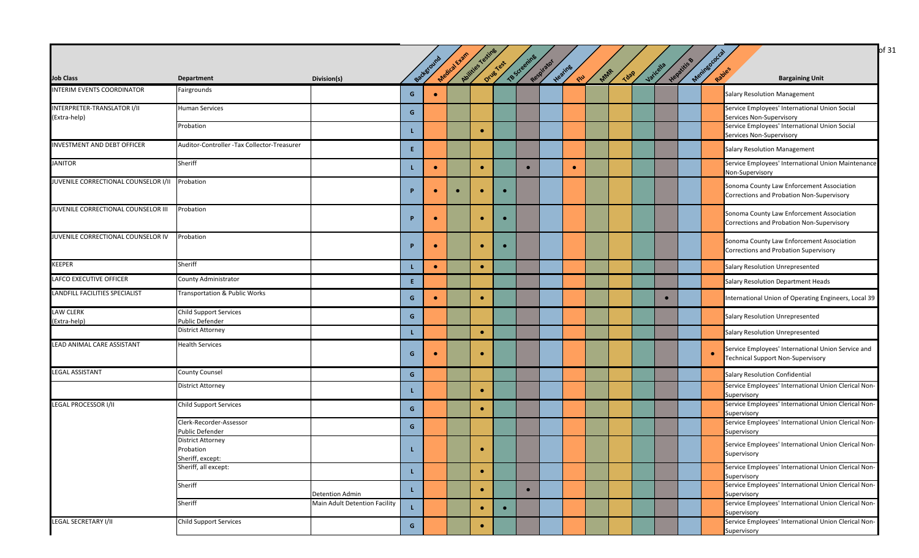|                                                    |                                                           |                               |          | Background | Medical Exam | Abilities Testing | Orug Test | TB Screening | Respirator |                           |     |             |           | Hepatitis & | Meninsococcal |                                                                                                |
|----------------------------------------------------|-----------------------------------------------------------|-------------------------------|----------|------------|--------------|-------------------|-----------|--------------|------------|---------------------------|-----|-------------|-----------|-------------|---------------|------------------------------------------------------------------------------------------------|
| <b>Job Class</b>                                   | <b>Department</b>                                         | Division(s)                   |          |            |              |                   |           |              |            | Heating<br>$\mathbb{R}^3$ | MAR | <b>Tdap</b> | Varicella |             |               | Rapies<br><b>Bargaining Unit</b>                                                               |
| INTERIM EVENTS COORDINATOR                         | Fairgrounds                                               |                               | G        | $\bullet$  |              |                   |           |              |            |                           |     |             |           |             |               | <b>Salary Resolution Management</b>                                                            |
| <b>INTERPRETER-TRANSLATOR I/II</b><br>(Extra-help) | <b>Human Services</b>                                     |                               | G        |            |              |                   |           |              |            |                           |     |             |           |             |               | Service Employees' International Union Social<br>Services Non-Supervisory                      |
|                                                    | Probation                                                 |                               |          |            |              | $\bullet$         |           |              |            |                           |     |             |           |             |               | Service Employees' International Union Social<br>Services Non-Supervisory                      |
| <b>INVESTMENT AND DEBT OFFICER</b>                 | Auditor-Controller -Tax Collector-Treasurer               |                               | E.       |            |              |                   |           |              |            |                           |     |             |           |             |               | <b>Salary Resolution Management</b>                                                            |
| <b>JANITOR</b>                                     | Sheriff                                                   |                               |          | $\bullet$  |              | $\bullet$         |           | $\bullet$    |            | $\bullet$                 |     |             |           |             |               | Service Employees' International Union Maintenance<br>Non-Supervisory                          |
| JUVENILE CORRECTIONAL COUNSELOR I/II Probation     |                                                           |                               | P        |            |              |                   | $\bullet$ |              |            |                           |     |             |           |             |               | Sonoma County Law Enforcement Association<br>Corrections and Probation Non-Supervisory         |
| JUVENILE CORRECTIONAL COUNSELOR III                | Probation                                                 |                               | P        | $\bullet$  |              | $\bullet$         | $\bullet$ |              |            |                           |     |             |           |             |               | Sonoma County Law Enforcement Association<br>Corrections and Probation Non-Supervisory         |
| JUVENILE CORRECTIONAL COUNSELOR IV                 | Probation                                                 |                               | <b>P</b> | $\bullet$  |              | ۰                 | $\bullet$ |              |            |                           |     |             |           |             |               | Sonoma County Law Enforcement Association<br>Corrections and Probation Supervisory             |
| <b>KEEPER</b>                                      | Sheriff                                                   |                               |          | $\bullet$  |              | $\bullet$         |           |              |            |                           |     |             |           |             |               | Salary Resolution Unrepresented                                                                |
| LAFCO EXECUTIVE OFFICER                            | County Administrator                                      |                               | Æ.       |            |              |                   |           |              |            |                           |     |             |           |             |               | <b>Salary Resolution Department Heads</b>                                                      |
| LANDFILL FACILITIES SPECIALIST                     | Transportation & Public Works                             |                               | G        |            |              | $\bullet$         |           |              |            |                           |     |             |           |             |               | International Union of Operating Engineers, Local 39                                           |
| <b>LAW CLERK</b><br>(Extra-help)                   | <b>Child Support Services</b><br>Public Defender          |                               | G        |            |              |                   |           |              |            |                           |     |             |           |             |               | Salary Resolution Unrepresented                                                                |
|                                                    | <b>District Attorney</b>                                  |                               |          |            |              | $\bullet$         |           |              |            |                           |     |             |           |             |               | Salary Resolution Unrepresented                                                                |
| LEAD ANIMAL CARE ASSISTANT                         | <b>Health Services</b>                                    |                               | G        |            |              | $\bullet$         |           |              |            |                           |     |             |           |             |               | Service Employees' International Union Service and<br><b>Technical Support Non-Supervisory</b> |
| <b>LEGAL ASSISTANT</b>                             | <b>County Counsel</b>                                     |                               | G        |            |              |                   |           |              |            |                           |     |             |           |             |               | <b>Salary Resolution Confidential</b>                                                          |
|                                                    | <b>District Attorney</b>                                  |                               |          |            |              | $\bullet$         |           |              |            |                           |     |             |           |             |               | Service Employees' International Union Clerical Non-<br>Supervisory                            |
| <b>LEGAL PROCESSOR I/II</b>                        | <b>Child Support Services</b>                             |                               | G        |            |              | $\bullet$         |           |              |            |                           |     |             |           |             |               | Service Employees' International Union Clerical Non-<br>Supervisory                            |
|                                                    | Clerk-Recorder-Assessor<br>Public Defender                |                               | G        |            |              |                   |           |              |            |                           |     |             |           |             |               | Service Employees' International Union Clerical Non-<br>Supervisory                            |
|                                                    | <b>District Attorney</b><br>Probation<br>Sheriff, except: |                               |          |            |              |                   |           |              |            |                           |     |             |           |             |               | Service Employees' International Union Clerical Non-<br>Supervisory                            |
|                                                    | Sheriff, all except:                                      |                               |          |            |              | $\bullet$         |           |              |            |                           |     |             |           |             |               | Service Employees' International Union Clerical Non-<br>Supervisory                            |
|                                                    | Sheriff                                                   | <b>Detention Admin</b>        |          |            |              | ٠                 |           | $\bullet$    |            |                           |     |             |           |             |               | Service Employees' International Union Clerical Non-<br>Supervisory                            |
|                                                    | Sheriff                                                   | Main Adult Detention Facility |          |            |              | $\bullet$         | $\bullet$ |              |            |                           |     |             |           |             |               | Service Employees' International Union Clerical Non-<br>Supervisory                            |
| LEGAL SECRETARY I/II                               | Child Support Services                                    |                               | G        |            |              | $\bullet$         |           |              |            |                           |     |             |           |             |               | Service Employees' International Union Clerical Non-<br>Supervisory                            |

 $\int$ of 31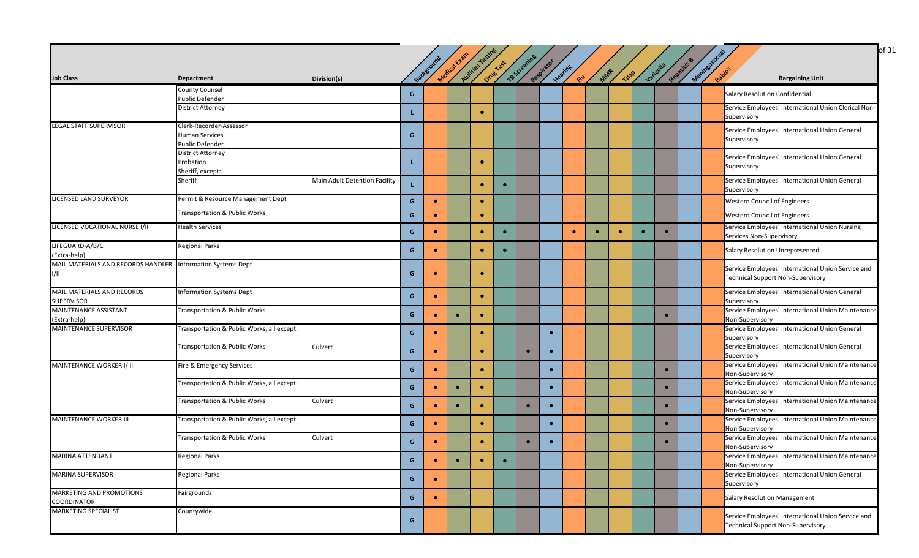| <b>Job Class</b>                                            | <b>Department</b>                           | Division(s)                   |   | Background | Medical Exam | Aulities Testing | Drug Yest | TB Screening | Respirator | Heating<br>CIU | MAR       |           | <b>Tdap</b> | Varicella | Hepatitis & | Meningococ | <b>Bargaining Unit</b>                                                                         |
|-------------------------------------------------------------|---------------------------------------------|-------------------------------|---|------------|--------------|------------------|-----------|--------------|------------|----------------|-----------|-----------|-------------|-----------|-------------|------------|------------------------------------------------------------------------------------------------|
|                                                             | <b>County Counsel</b>                       |                               | G |            |              |                  |           |              |            |                |           |           |             |           |             |            | Salary Resolution Confidential                                                                 |
|                                                             | Public Defender<br><b>District Attorney</b> |                               |   |            |              |                  |           |              |            |                |           |           |             |           |             |            | Service Employees' International Union Clerical Non                                            |
|                                                             |                                             |                               | L |            |              | $\bullet$        |           |              |            |                |           |           |             |           |             |            | Supervisory                                                                                    |
| <b>LEGAL STAFF SUPERVISOR</b>                               | Clerk-Recorder-Assessor                     |                               |   |            |              |                  |           |              |            |                |           |           |             |           |             |            | Service Employees' International Union General                                                 |
|                                                             | <b>Human Services</b>                       |                               | G |            |              |                  |           |              |            |                |           |           |             |           |             |            | Supervisory                                                                                    |
|                                                             | Public Defender                             |                               |   |            |              |                  |           |              |            |                |           |           |             |           |             |            |                                                                                                |
|                                                             | <b>District Attorney</b><br>Probation       |                               | L |            |              | $\bullet$        |           |              |            |                |           |           |             |           |             |            | Service Employees' International Union General                                                 |
|                                                             | Sheriff, except:                            |                               |   |            |              |                  |           |              |            |                |           |           |             |           |             |            | Supervisory                                                                                    |
|                                                             | Sheriff                                     | Main Adult Detention Facility |   |            |              |                  |           |              |            |                |           |           |             |           |             |            | Service Employees' International Union General                                                 |
|                                                             |                                             |                               |   |            |              | $\bullet$        |           |              |            |                |           |           |             |           |             |            | Supervisory                                                                                    |
| LICENSED LAND SURVEYOR                                      | Permit & Resource Management Dept           |                               | G | $\bullet$  |              | $\bullet$        |           |              |            |                |           |           |             |           |             |            | <b>Western Council of Engineers</b>                                                            |
|                                                             | Transportation & Public Works               |                               | G | $\bullet$  |              | $\bullet$        |           |              |            |                |           |           |             |           |             |            | <b>Western Council of Engineers</b>                                                            |
| LICENSED VOCATIONAL NURSE I/II                              | <b>Health Services</b>                      |                               |   |            |              |                  |           |              |            |                |           |           |             |           |             |            | Service Employees' International Union Nursing                                                 |
|                                                             |                                             |                               | G |            |              | $\bullet$        | $\bullet$ |              |            | $\bullet$      | $\bullet$ | $\bullet$ | $\bullet$   | $\bullet$ |             |            | Services Non-Supervisory                                                                       |
| LIFEGUARD-A/B/C                                             | <b>Regional Parks</b>                       |                               | G |            |              | $\bullet$        |           |              |            |                |           |           |             |           |             |            | Salary Resolution Unrepresented                                                                |
| (Extra-help)                                                |                                             |                               |   |            |              |                  |           |              |            |                |           |           |             |           |             |            |                                                                                                |
| MAIL MATERIALS AND RECORDS HANDLER Information Systems Dept |                                             |                               |   |            |              |                  |           |              |            |                |           |           |             |           |             |            | Service Employees' International Union Service and                                             |
| 1/11                                                        |                                             |                               | G |            |              |                  |           |              |            |                |           |           |             |           |             |            | <b>Technical Support Non-Supervisory</b>                                                       |
| MAIL MATERIALS AND RECORDS                                  | <b>Information Systems Dept</b>             |                               |   |            |              |                  |           |              |            |                |           |           |             |           |             |            | Service Employees' International Union General                                                 |
| SUPERVISOR                                                  |                                             |                               | G | $\bullet$  |              | $\bullet$        |           |              |            |                |           |           |             |           |             |            | Supervisory                                                                                    |
| <b>MAINTENANCE ASSISTANT</b>                                | Transportation & Public Works               |                               |   |            |              |                  |           |              |            |                |           |           |             |           |             |            | Service Employees' International Union Maintenance                                             |
| (Extra-help)                                                |                                             |                               | G | $\bullet$  | $\bullet$    | $\bullet$        |           |              |            |                |           |           |             | $\bullet$ |             |            | Non-Supervisory                                                                                |
| <b>MAINTENANCE SUPERVISOR</b>                               | Transportation & Public Works, all except:  |                               | G | $\bullet$  |              | $\bullet$        |           |              | $\bullet$  |                |           |           |             |           |             |            | Service Employees' International Union General                                                 |
|                                                             |                                             |                               |   |            |              |                  |           |              |            |                |           |           |             |           |             |            | Supervisory                                                                                    |
|                                                             | Transportation & Public Works               | Culvert                       | G | $\bullet$  |              | $\bullet$        |           | $\bullet$    | $\bullet$  |                |           |           |             |           |             |            | Service Employees' International Union General                                                 |
|                                                             |                                             |                               |   |            |              |                  |           |              |            |                |           |           |             |           |             |            | Supervisory                                                                                    |
| MAINTENANCE WORKER I/ II                                    | Fire & Emergency Services                   |                               | G | $\bullet$  |              | $\bullet$        |           |              |            |                |           |           |             | $\bullet$ |             |            | Service Employees' International Union Maintenance                                             |
|                                                             | Transportation & Public Works, all except:  |                               |   |            |              |                  |           |              |            |                |           |           |             |           |             |            | Non-Supervisory<br>Service Employees' International Union Maintenance                          |
|                                                             |                                             |                               | G |            |              | $\bullet$        |           |              | $\bullet$  |                |           |           |             | $\bullet$ |             |            | <b>Non-Supervisory</b>                                                                         |
|                                                             | Transportation & Public Works               | Culvert                       |   |            |              |                  |           |              |            |                |           |           |             |           |             |            | Service Employees' International Union Maintenance                                             |
|                                                             |                                             |                               | G | ۰          | $\bullet$    | $\bullet$        |           | $\bullet$    | $\bullet$  |                |           |           |             | $\bullet$ |             |            | Non-Supervisory                                                                                |
| <b>MAINTENANCE WORKER III</b>                               | Transportation & Public Works, all except:  |                               | G |            |              | $\bullet$        |           |              |            |                |           |           |             | $\bullet$ |             |            | Service Employees' International Union Maintenance                                             |
|                                                             |                                             |                               |   |            |              |                  |           |              |            |                |           |           |             |           |             |            | Non-Supervisory                                                                                |
|                                                             | Transportation & Public Works               | Culvert                       | G | $\bullet$  |              | $\bullet$        |           |              |            |                |           |           |             | $\bullet$ |             |            | Service Employees' International Union Maintenance                                             |
|                                                             |                                             |                               |   |            |              |                  |           |              |            |                |           |           |             |           |             |            | Non-Supervisory                                                                                |
| <b>MARINA ATTENDANT</b>                                     | <b>Regional Parks</b>                       |                               | G | $\bullet$  | $\bullet$    | $\bullet$        | $\bullet$ |              |            |                |           |           |             |           |             |            | Service Employees' International Union Maintenance                                             |
|                                                             |                                             |                               |   |            |              |                  |           |              |            |                |           |           |             |           |             |            | Non-Supervisory                                                                                |
| <b>MARINA SUPERVISOR</b>                                    | <b>Regional Parks</b>                       |                               | G | $\bullet$  |              |                  |           |              |            |                |           |           |             |           |             |            | Service Employees' International Union General<br>Supervisory                                  |
| MARKETING AND PROMOTIONS                                    | Fairgrounds                                 |                               |   |            |              |                  |           |              |            |                |           |           |             |           |             |            |                                                                                                |
| COORDINATOR                                                 |                                             |                               | G | $\bullet$  |              |                  |           |              |            |                |           |           |             |           |             |            | <b>Salary Resolution Management</b>                                                            |
| <b>MARKETING SPECIALIST</b>                                 | Countywide                                  |                               |   |            |              |                  |           |              |            |                |           |           |             |           |             |            |                                                                                                |
|                                                             |                                             |                               | G |            |              |                  |           |              |            |                |           |           |             |           |             |            |                                                                                                |
|                                                             |                                             |                               |   |            |              |                  |           |              |            |                |           |           |             |           |             |            | Service Employees' International Union Service and<br><b>Technical Support Non-Supervisory</b> |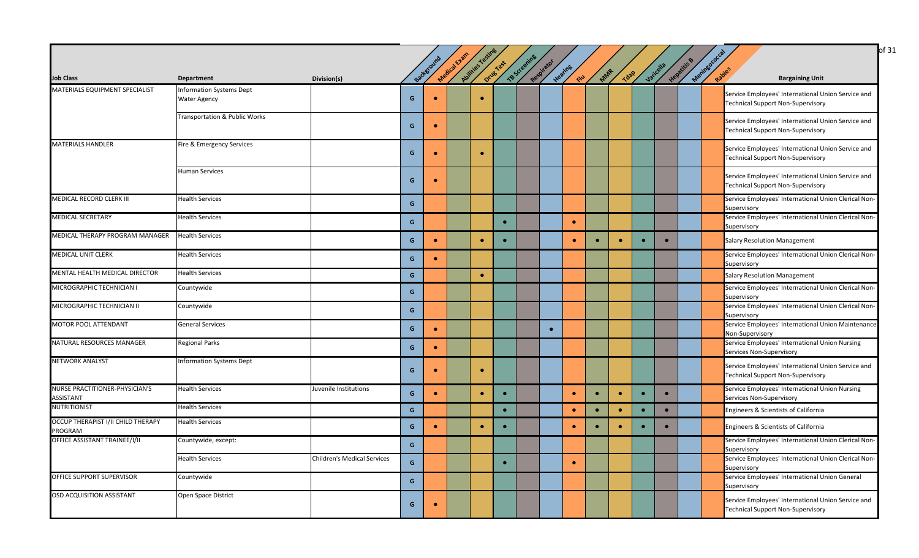|                                               |                                                        |                                    |               |           |              |                  |           |              |            |               |           |           |           |           |           |                      | of 31                                                                                          |
|-----------------------------------------------|--------------------------------------------------------|------------------------------------|---------------|-----------|--------------|------------------|-----------|--------------|------------|---------------|-----------|-----------|-----------|-----------|-----------|----------------------|------------------------------------------------------------------------------------------------|
| <b>Job Class</b>                              | <b>Department</b>                                      | Division(s)                        |               | Backgrou  | Medical Exam | Abilities Testin | Drug Test | TB Screening | Respirator | Heating<br>EW | MAR       | Tdap      |           | Varicella | Hepatitis | Meringococ<br>Rabies | <b>Bargaining Unit</b>                                                                         |
| MATERIALS EQUIPMENT SPECIALIST                | <b>Information Systems Dept</b><br><b>Water Agency</b> |                                    | G             | $\bullet$ |              | $\bullet$        |           |              |            |               |           |           |           |           |           |                      | Service Employees' International Union Service and<br><b>Technical Support Non-Supervisory</b> |
|                                               | Transportation & Public Works                          |                                    | G             | $\bullet$ |              |                  |           |              |            |               |           |           |           |           |           |                      | Service Employees' International Union Service and<br><b>Technical Support Non-Supervisory</b> |
| <b>MATERIALS HANDLER</b>                      | Fire & Emergency Services                              |                                    | G             | $\bullet$ |              | $\bullet$        |           |              |            |               |           |           |           |           |           |                      | Service Employees' International Union Service and<br><b>Technical Support Non-Supervisory</b> |
|                                               | <b>Human Services</b>                                  |                                    | G             | $\bullet$ |              |                  |           |              |            |               |           |           |           |           |           |                      | Service Employees' International Union Service and<br><b>Technical Support Non-Supervisory</b> |
| <b>MEDICAL RECORD CLERK III</b>               | <b>Health Services</b>                                 |                                    | G             |           |              |                  |           |              |            |               |           |           |           |           |           |                      | Service Employees' International Union Clerical Non-<br>Supervisory                            |
| <b>MEDICAL SECRETARY</b>                      | <b>Health Services</b>                                 |                                    | G             |           |              |                  | $\bullet$ |              |            | $\bullet$     |           |           |           |           |           |                      | Service Employees' International Union Clerical Non-<br>Supervisory                            |
| MEDICAL THERAPY PROGRAM MANAGER               | <b>Health Services</b>                                 |                                    | G             | $\bullet$ |              | $\bullet$        |           |              |            | $\bullet$     | $\bullet$ | $\bullet$ | $\bullet$ | $\bullet$ |           |                      | <b>Salary Resolution Management</b>                                                            |
| <b>MEDICAL UNIT CLERK</b>                     | <b>Health Services</b>                                 |                                    | ${\mathsf G}$ | $\bullet$ |              |                  |           |              |            |               |           |           |           |           |           |                      | Service Employees' International Union Clerical Non-<br>Supervisory                            |
| MENTAL HEALTH MEDICAL DIRECTOR                | <b>Health Services</b>                                 |                                    | G             |           |              | $\bullet$        |           |              |            |               |           |           |           |           |           |                      | <b>Salary Resolution Management</b>                                                            |
| MICROGRAPHIC TECHNICIAN I                     | Countywide                                             |                                    | G             |           |              |                  |           |              |            |               |           |           |           |           |           |                      | Service Employees' International Union Clerical Non-<br>Supervisory                            |
| MICROGRAPHIC TECHNICIAN II                    | Countywide                                             |                                    | G             |           |              |                  |           |              |            |               |           |           |           |           |           |                      | Service Employees' International Union Clerical Non-<br>Supervisory                            |
| MOTOR POOL ATTENDANT                          | <b>General Services</b>                                |                                    | G             | $\bullet$ |              |                  |           |              | $\bullet$  |               |           |           |           |           |           |                      | Service Employees' International Union Maintenance<br>Non-Supervisory                          |
| NATURAL RESOURCES MANAGER                     | <b>Regional Parks</b>                                  |                                    | G             | $\bullet$ |              |                  |           |              |            |               |           |           |           |           |           |                      | Service Employees' International Union Nursing<br>Services Non-Supervisory                     |
| <b>NETWORK ANALYST</b>                        | <b>Information Systems Dept</b>                        |                                    | G             | $\bullet$ |              | $\bullet$        |           |              |            |               |           |           |           |           |           |                      | Service Employees' International Union Service and<br><b>Technical Support Non-Supervisory</b> |
| NURSE PRACTITIONER-PHYSICIAN'S<br>ASSISTANT   | <b>Health Services</b>                                 | Juvenile Institutions              | G             | $\bullet$ |              | $\bullet$        | $\bullet$ |              |            | $\bullet$     | $\bullet$ | $\bullet$ | $\bullet$ | $\bullet$ |           |                      | Service Employees' International Union Nursing<br>Services Non-Supervisory                     |
| <b>NUTRITIONIST</b>                           | <b>Health Services</b>                                 |                                    | G             |           |              |                  | $\bullet$ |              |            | $\bullet$     | $\bullet$ | $\bullet$ | $\bullet$ | $\bullet$ |           |                      | Engineers & Scientists of California                                                           |
| OCCUP THERAPIST I/II CHILD THERAPY<br>PROGRAM | <b>Health Services</b>                                 |                                    | G             | $\bullet$ |              | $\bullet$        | $\bullet$ |              |            | $\bullet$     | $\bullet$ | $\bullet$ | $\bullet$ | $\bullet$ |           |                      | Engineers & Scientists of California                                                           |
| OFFICE ASSISTANT TRAINEE/I/II                 | Countywide, except:                                    |                                    | G             |           |              |                  |           |              |            |               |           |           |           |           |           |                      | Service Employees' International Union Clerical Non-<br>Supervisory                            |
|                                               | <b>Health Services</b>                                 | <b>Children's Medical Services</b> | G             |           |              |                  | $\bullet$ |              |            | $\bullet$     |           |           |           |           |           |                      | Service Employees' International Union Clerical Non-<br>Supervisory                            |
| OFFICE SUPPORT SUPERVISOR                     | Countywide                                             |                                    | G             |           |              |                  |           |              |            |               |           |           |           |           |           |                      | Service Employees' International Union General<br>Supervisory                                  |
| <b>OSD ACQUISITION ASSISTANT</b>              | Open Space District                                    |                                    | G             | $\bullet$ |              |                  |           |              |            |               |           |           |           |           |           |                      | Service Employees' International Union Service and<br><b>Technical Support Non-Supervisory</b> |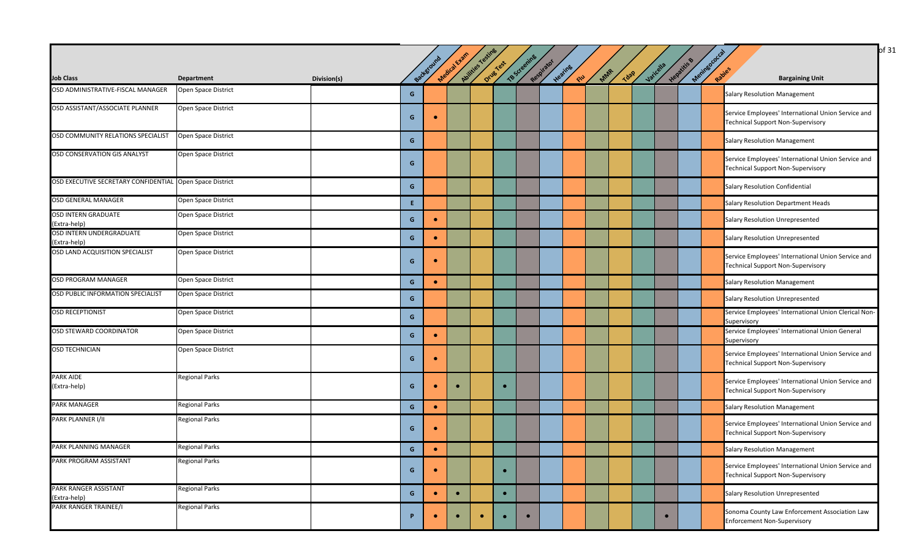|                                                          |                       |             |    |            |              |                  |           |              |            |               |     |             |           |             |            | of 31                                                                                          |
|----------------------------------------------------------|-----------------------|-------------|----|------------|--------------|------------------|-----------|--------------|------------|---------------|-----|-------------|-----------|-------------|------------|------------------------------------------------------------------------------------------------|
| <b>Job Class</b>                                         | <b>Department</b>     | Division(s) |    | Background | Medical Evan | Audities resting | Drug Test | TB Screening | Respirator | Heating<br>RU | MAR | <b>Tdap</b> | Varicella | Hepatitis & | Meningococ | Rapies<br><b>Bargaining Unit</b>                                                               |
| OSD ADMINISTRATIVE-FISCAL MANAGER                        | Open Space District   |             | G  |            |              |                  |           |              |            |               |     |             |           |             |            | <b>Salary Resolution Management</b>                                                            |
| OSD ASSISTANT/ASSOCIATE PLANNER                          | Open Space District   |             | G  | $\bullet$  |              |                  |           |              |            |               |     |             |           |             |            | Service Employees' International Union Service and<br><b>Technical Support Non-Supervisory</b> |
| OSD COMMUNITY RELATIONS SPECIALIST                       | Open Space District   |             | G  |            |              |                  |           |              |            |               |     |             |           |             |            | <b>Salary Resolution Management</b>                                                            |
| OSD CONSERVATION GIS ANALYST                             | Open Space District   |             | G  |            |              |                  |           |              |            |               |     |             |           |             |            | Service Employees' International Union Service and<br><b>Technical Support Non-Supervisory</b> |
| OSD EXECUTIVE SECRETARY CONFIDENTIAL Open Space District |                       |             | G  |            |              |                  |           |              |            |               |     |             |           |             |            | Salary Resolution Confidential                                                                 |
| OSD GENERAL MANAGER                                      | Open Space District   |             | E. |            |              |                  |           |              |            |               |     |             |           |             |            | Salary Resolution Department Heads                                                             |
| <b>OSD INTERN GRADUATE</b><br>(Extra-help)               | Open Space District   |             | G  | $\bullet$  |              |                  |           |              |            |               |     |             |           |             |            | Salary Resolution Unrepresented                                                                |
| OSD INTERN UNDERGRADUATE<br>(Extra-help)                 | Open Space District   |             | G  | $\bullet$  |              |                  |           |              |            |               |     |             |           |             |            | Salary Resolution Unrepresented                                                                |
| OSD LAND ACQUISITION SPECIALIST                          | Open Space District   |             | G  | $\bullet$  |              |                  |           |              |            |               |     |             |           |             |            | Service Employees' International Union Service and<br><b>Technical Support Non-Supervisory</b> |
| OSD PROGRAM MANAGER                                      | Open Space District   |             | G  | $\bullet$  |              |                  |           |              |            |               |     |             |           |             |            | <b>Salary Resolution Management</b>                                                            |
| OSD PUBLIC INFORMATION SPECIALIST                        | Open Space District   |             | G  |            |              |                  |           |              |            |               |     |             |           |             |            | <b>Salary Resolution Unrepresented</b>                                                         |
| <b>OSD RECEPTIONIST</b>                                  | Open Space District   |             | G  |            |              |                  |           |              |            |               |     |             |           |             |            | Service Employees' International Union Clerical Non-<br>Supervisory                            |
| OSD STEWARD COORDINATOR                                  | Open Space District   |             | G  | $\bullet$  |              |                  |           |              |            |               |     |             |           |             |            | Service Employees' International Union General<br>Supervisory                                  |
| <b>OSD TECHNICIAN</b>                                    | Open Space District   |             | G  | $\bullet$  |              |                  |           |              |            |               |     |             |           |             |            | Service Employees' International Union Service and<br><b>Technical Support Non-Supervisory</b> |
| PARK AIDE<br>(Extra-help)                                | <b>Regional Parks</b> |             | G  | $\bullet$  | $\bullet$    |                  | $\bullet$ |              |            |               |     |             |           |             |            | Service Employees' International Union Service and<br><b>Technical Support Non-Supervisory</b> |
| <b>PARK MANAGER</b>                                      | <b>Regional Parks</b> |             | G  | $\bullet$  |              |                  |           |              |            |               |     |             |           |             |            | <b>Salary Resolution Management</b>                                                            |
| PARK PLANNER I/II                                        | <b>Regional Parks</b> |             | G  | $\bullet$  |              |                  |           |              |            |               |     |             |           |             |            | Service Employees' International Union Service and<br><b>Technical Support Non-Supervisory</b> |
| PARK PLANNING MANAGER                                    | <b>Regional Parks</b> |             | G  | $\bullet$  |              |                  |           |              |            |               |     |             |           |             |            | <b>Salary Resolution Management</b>                                                            |
| PARK PROGRAM ASSISTANT                                   | <b>Regional Parks</b> |             | G  |            |              |                  | $\bullet$ |              |            |               |     |             |           |             |            | Service Employees' International Union Service and<br><b>Technical Support Non-Supervisory</b> |
| PARK RANGER ASSISTANT<br>(Extra-help)                    | <b>Regional Parks</b> |             | G  | $\bullet$  | $\bullet$    |                  | $\bullet$ |              |            |               |     |             |           |             |            | Salary Resolution Unrepresented                                                                |
| PARK RANGER TRAINEE/I                                    | <b>Regional Parks</b> |             | P. | $\bullet$  |              | $\bullet$        | $\bullet$ | $\bullet$    |            |               |     |             |           |             |            | Sonoma County Law Enforcement Association Law<br><b>Enforcement Non-Supervisory</b>            |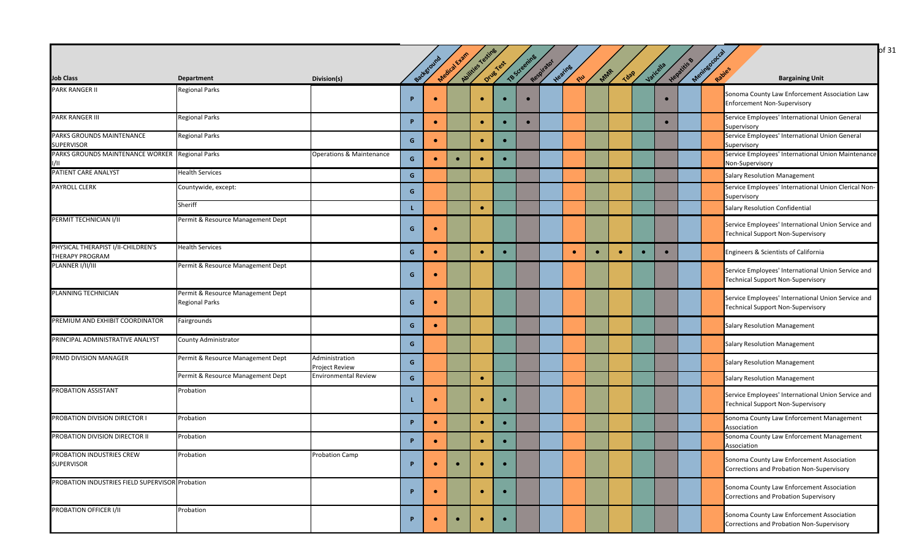|                                                              |                                                            |                                         |   |            |              |                  |           |              |            |               |           |             |           |             |                      | of 31                                                                                          |
|--------------------------------------------------------------|------------------------------------------------------------|-----------------------------------------|---|------------|--------------|------------------|-----------|--------------|------------|---------------|-----------|-------------|-----------|-------------|----------------------|------------------------------------------------------------------------------------------------|
| <b>Job Class</b>                                             | Department                                                 | Division(s)                             |   | Background | Medical Evan | Aulities Testing | Drug Yest | TB Screening | Respirator | Hearing<br>RU | MAR       | <b>Tdap</b> | Varicella | Hepatitis B | Meningococ<br>Rabies | <b>Bargaining Unit</b>                                                                         |
| <b>PARK RANGER II</b>                                        | <b>Regional Parks</b>                                      |                                         | D | $\bullet$  |              | $\bullet$        | $\bullet$ | $\bullet$    |            |               |           |             | $\bullet$ |             |                      | Sonoma County Law Enforcement Association Law<br><b>Enforcement Non-Supervisory</b>            |
| <b>PARK RANGER III</b>                                       | <b>Regional Parks</b>                                      |                                         | P | $\bullet$  |              | $\bullet$        | $\bullet$ | $\bullet$    |            |               |           |             | $\bullet$ |             |                      | Service Employees' International Union General<br>Supervisory                                  |
| PARKS GROUNDS MAINTENANCE<br><b>SUPERVISOR</b>               | <b>Regional Parks</b>                                      |                                         | G | $\bullet$  |              | $\bullet$        | $\bullet$ |              |            |               |           |             |           |             |                      | Service Employees' International Union General<br>Supervisory                                  |
| PARKS GROUNDS MAINTENANCE WORKER Regional Parks              |                                                            | Operations & Maintenance                | G | $\bullet$  | $\bullet$    | $\bullet$        | $\bullet$ |              |            |               |           |             |           |             |                      | Service Employees' International Union Maintenance<br>Non-Supervisory                          |
| PATIENT CARE ANALYST                                         | <b>Health Services</b>                                     |                                         | G |            |              |                  |           |              |            |               |           |             |           |             |                      | <b>Salary Resolution Management</b>                                                            |
| <b>PAYROLL CLERK</b>                                         | Countywide, except:                                        |                                         | G |            |              |                  |           |              |            |               |           |             |           |             |                      | Service Employees' International Union Clerical Non-<br>Supervisory                            |
|                                                              | Sheriff                                                    |                                         |   |            |              | $\bullet$        |           |              |            |               |           |             |           |             |                      | <b>Salary Resolution Confidential</b>                                                          |
| PERMIT TECHNICIAN I/II                                       | Permit & Resource Management Dept                          |                                         | G |            |              |                  |           |              |            |               |           |             |           |             |                      | Service Employees' International Union Service and<br><b>Technical Support Non-Supervisory</b> |
| PHYSICAL THERAPIST I/II-CHILDREN'S<br><b>THERAPY PROGRAM</b> | <b>Health Services</b>                                     |                                         | G | $\bullet$  |              | $\bullet$        | $\bullet$ |              |            | $\bullet$     | $\bullet$ | $\bullet$   | $\bullet$ |             |                      | Engineers & Scientists of California                                                           |
| PLANNER I/II/III                                             | Permit & Resource Management Dept                          |                                         | G | $\bullet$  |              |                  |           |              |            |               |           |             |           |             |                      | Service Employees' International Union Service and<br><b>Technical Support Non-Supervisory</b> |
| PLANNING TECHNICIAN                                          | Permit & Resource Management Dept<br><b>Regional Parks</b> |                                         | G | $\bullet$  |              |                  |           |              |            |               |           |             |           |             |                      | Service Employees' International Union Service and<br><b>Technical Support Non-Supervisory</b> |
| PREMIUM AND EXHIBIT COORDINATOR                              | Fairgrounds                                                |                                         | G | $\bullet$  |              |                  |           |              |            |               |           |             |           |             |                      | <b>Salary Resolution Management</b>                                                            |
| PRINCIPAL ADMINISTRATIVE ANALYST                             | County Administrator                                       |                                         | G |            |              |                  |           |              |            |               |           |             |           |             |                      | <b>Salary Resolution Management</b>                                                            |
| PRMD DIVISION MANAGER                                        | Permit & Resource Management Dept                          | Administration<br><b>Project Review</b> | G |            |              |                  |           |              |            |               |           |             |           |             |                      | <b>Salary Resolution Management</b>                                                            |
|                                                              | Permit & Resource Management Dept                          | <b>Environmental Review</b>             | G |            |              | $\bullet$        |           |              |            |               |           |             |           |             |                      | <b>Salary Resolution Management</b>                                                            |
| PROBATION ASSISTANT                                          | Probation                                                  |                                         |   | $\bullet$  |              | $\bullet$        | $\bullet$ |              |            |               |           |             |           |             |                      | Service Employees' International Union Service and<br><b>Technical Support Non-Supervisory</b> |
| PROBATION DIVISION DIRECTOR I                                | Probation                                                  |                                         | P | $\bullet$  |              | $\bullet$        | $\bullet$ |              |            |               |           |             |           |             |                      | Sonoma County Law Enforcement Management<br>Association                                        |
| PROBATION DIVISION DIRECTOR II                               | Probation                                                  |                                         |   | $\bullet$  |              | $\bullet$        | $\bullet$ |              |            |               |           |             |           |             |                      | Sonoma County Law Enforcement Management<br>Association                                        |
| PROBATION INDUSTRIES CREW<br><b>SUPERVISOR</b>               | Probation                                                  | <b>Probation Camp</b>                   | P | $\bullet$  | $\bullet$    | $\bullet$        | $\bullet$ |              |            |               |           |             |           |             |                      | Sonoma County Law Enforcement Association<br>Corrections and Probation Non-Supervisory         |
| PROBATION INDUSTRIES FIELD SUPERVISOR Probation              |                                                            |                                         | P | $\bullet$  |              | $\bullet$        | $\bullet$ |              |            |               |           |             |           |             |                      | Sonoma County Law Enforcement Association<br>Corrections and Probation Supervisory             |
| PROBATION OFFICER I/II                                       | Probation                                                  |                                         | P |            |              | $\bullet$        | $\bullet$ |              |            |               |           |             |           |             |                      | Sonoma County Law Enforcement Association<br>Corrections and Probation Non-Supervisory         |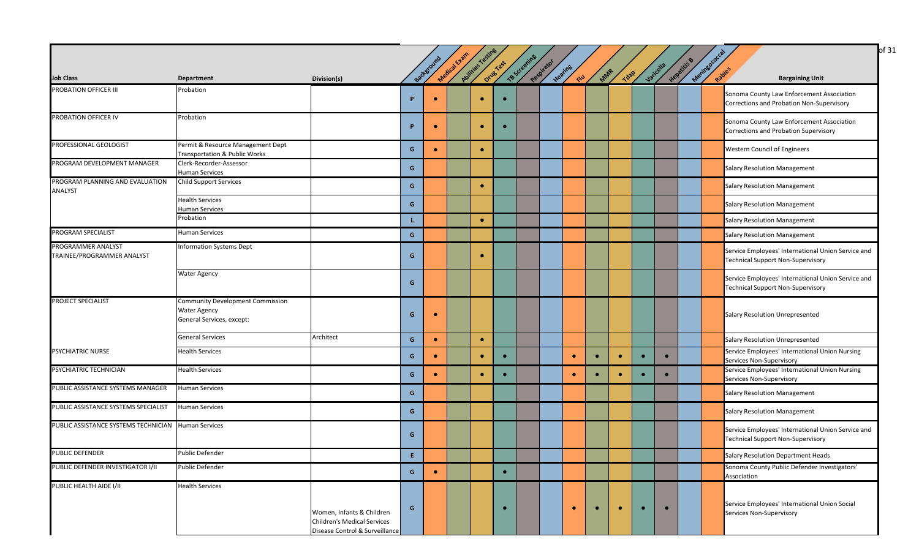|                                                       |                                                                                             |                                                                                                   |                |            | Medical Evan | Aultiles resting |           |              |            |                       |           |             |           |           |             |                      |                                                                                                |
|-------------------------------------------------------|---------------------------------------------------------------------------------------------|---------------------------------------------------------------------------------------------------|----------------|------------|--------------|------------------|-----------|--------------|------------|-----------------------|-----------|-------------|-----------|-----------|-------------|----------------------|------------------------------------------------------------------------------------------------|
| <b>Job Class</b>                                      | <b>Department</b>                                                                           | Division(s)                                                                                       |                | Background |              |                  | Drug Yest | TB Screening | Respirator | Heating<br><b>CIU</b> | MAR       | <b>Tdap</b> |           | Varicella | Hepatitis B | Meningococ<br>Rabies | <b>Bargaining Unit</b>                                                                         |
| PROBATION OFFICER III                                 | Probation                                                                                   |                                                                                                   | <b>P</b>       |            |              |                  |           |              |            |                       |           |             |           |           |             |                      | Sonoma County Law Enforcement Association<br>Corrections and Probation Non-Supervisory         |
| PROBATION OFFICER IV                                  | Probation                                                                                   |                                                                                                   | P              | $\bullet$  |              | $\bullet$        | $\bullet$ |              |            |                       |           |             |           |           |             |                      | Sonoma County Law Enforcement Association<br>Corrections and Probation Supervisory             |
| PROFESSIONAL GEOLOGIST                                | Permit & Resource Management Dept<br><b>Transportation &amp; Public Works</b>               |                                                                                                   | G              | $\bullet$  |              | $\bullet$        |           |              |            |                       |           |             |           |           |             |                      | Western Council of Engineers                                                                   |
| PROGRAM DEVELOPMENT MANAGER                           | Clerk-Recorder-Assessor<br><b>Human Services</b>                                            |                                                                                                   | G              |            |              |                  |           |              |            |                       |           |             |           |           |             |                      | <b>Salary Resolution Management</b>                                                            |
| PROGRAM PLANNING AND EVALUATION<br><b>ANALYST</b>     | Child Support Services                                                                      |                                                                                                   | G              |            |              | $\bullet$        |           |              |            |                       |           |             |           |           |             |                      | <b>Salary Resolution Management</b>                                                            |
|                                                       | <b>Health Services</b><br><b>Human Services</b>                                             |                                                                                                   | G              |            |              |                  |           |              |            |                       |           |             |           |           |             |                      | <b>Salary Resolution Management</b>                                                            |
|                                                       | Probation                                                                                   |                                                                                                   |                |            |              | $\bullet$        |           |              |            |                       |           |             |           |           |             |                      | <b>Salary Resolution Management</b>                                                            |
| PROGRAM SPECIALIST                                    | <b>Human Services</b>                                                                       |                                                                                                   | $\mathbf{G}$   |            |              |                  |           |              |            |                       |           |             |           |           |             |                      | Salary Resolution Management                                                                   |
| PROGRAMMER ANALYST<br>TRAINEE/PROGRAMMER ANALYST      | <b>Information Systems Dept</b>                                                             |                                                                                                   | G              |            |              |                  |           |              |            |                       |           |             |           |           |             |                      | Service Employees' International Union Service and<br><b>Technical Support Non-Supervisory</b> |
|                                                       | <b>Water Agency</b>                                                                         |                                                                                                   | G              |            |              |                  |           |              |            |                       |           |             |           |           |             |                      | Service Employees' International Union Service and<br><b>Technical Support Non-Supervisory</b> |
| <b>PROJECT SPECIALIST</b>                             | <b>Community Development Commission</b><br><b>Water Agency</b><br>General Services, except: |                                                                                                   | G              | $\bullet$  |              |                  |           |              |            |                       |           |             |           |           |             |                      | Salary Resolution Unrepresented                                                                |
|                                                       | <b>General Services</b>                                                                     | Architect                                                                                         | G              | $\bullet$  |              | $\bullet$        |           |              |            |                       |           |             |           |           |             |                      | Salary Resolution Unrepresented                                                                |
| <b>PSYCHIATRIC NURSE</b>                              | <b>Health Services</b>                                                                      |                                                                                                   | G              | $\bullet$  |              | $\bullet$        | $\bullet$ |              |            | $\bullet$             | $\bullet$ | $\bullet$   | $\bullet$ | $\bullet$ |             |                      | Service Employees' International Union Nursing<br>Services Non-Supervisory                     |
| PSYCHIATRIC TECHNICIAN                                | <b>Health Services</b>                                                                      |                                                                                                   | G              |            |              |                  |           |              |            | $\bullet$             | $\bullet$ | $\bullet$   |           | $\bullet$ |             |                      | Service Employees' International Union Nursing<br>Services Non-Supervisory                     |
| PUBLIC ASSISTANCE SYSTEMS MANAGER                     | <b>Human Services</b>                                                                       |                                                                                                   | G              |            |              |                  |           |              |            |                       |           |             |           |           |             |                      | <b>Salary Resolution Management</b>                                                            |
| PUBLIC ASSISTANCE SYSTEMS SPECIALIST                  | <b>Human Services</b>                                                                       |                                                                                                   | G              |            |              |                  |           |              |            |                       |           |             |           |           |             |                      | <b>Salary Resolution Management</b>                                                            |
| PUBLIC ASSISTANCE SYSTEMS TECHNICIAN   Human Services |                                                                                             |                                                                                                   | G              |            |              |                  |           |              |            |                       |           |             |           |           |             |                      | Service Employees' International Union Service and<br><b>Technical Support Non-Supervisory</b> |
| <b>PUBLIC DEFENDER</b>                                | <b>Public Defender</b>                                                                      |                                                                                                   | $\mathsf{E}^-$ |            |              |                  |           |              |            |                       |           |             |           |           |             |                      | Salary Resolution Department Heads                                                             |
| PUBLIC DEFENDER INVESTIGATOR I/II                     | Public Defender                                                                             |                                                                                                   | $\mathbf{G}$   | $\bullet$  |              |                  | $\bullet$ |              |            |                       |           |             |           |           |             |                      | Sonoma County Public Defender Investigators'<br>Association                                    |
| PUBLIC HEALTH AIDE I/II                               | <b>Health Services</b>                                                                      | Women, Infants & Children<br><b>Children's Medical Services</b><br>Disease Control & Surveillance | G              |            |              |                  | $\bullet$ |              |            | $\bullet$             |           |             |           | $\bullet$ |             |                      | Service Employees' International Union Social<br>Services Non-Supervisory                      |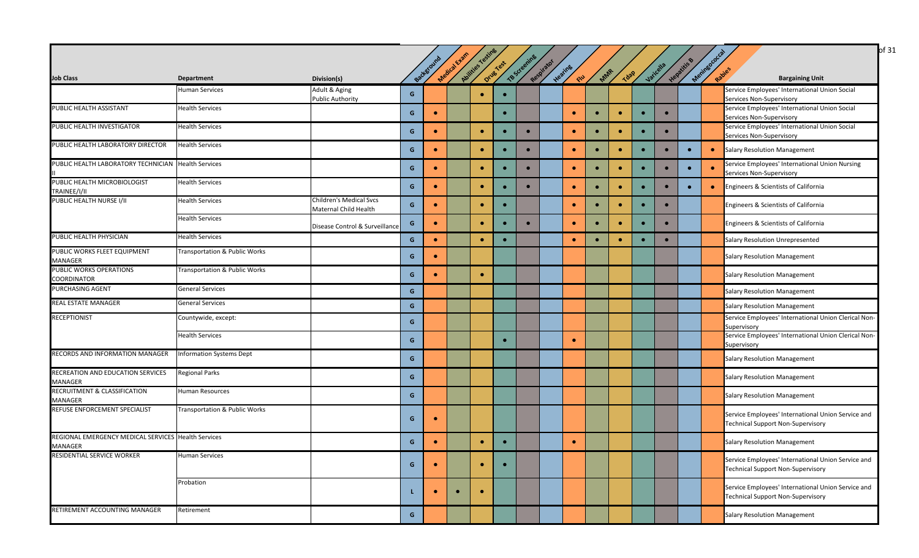|                                                                |                                          |                                                         |   |           |              |                   |           |              |            |            |           |             |           |           |             |                       | of 31                                                                                          |
|----------------------------------------------------------------|------------------------------------------|---------------------------------------------------------|---|-----------|--------------|-------------------|-----------|--------------|------------|------------|-----------|-------------|-----------|-----------|-------------|-----------------------|------------------------------------------------------------------------------------------------|
|                                                                |                                          |                                                         |   |           |              |                   |           |              |            |            |           |             |           |           |             |                       |                                                                                                |
|                                                                |                                          |                                                         |   | Backstoun | Medical Exam | Abilities Testing | Drug Yest | TB Screening | Respirator | Heating    | MAR       | <b>Tdap</b> |           | Varicella | Hepatitis B | Meninegococ<br>Rabies |                                                                                                |
| <b>Job Class</b>                                               | <b>Department</b>                        | Division(s)                                             |   |           |              |                   |           |              |            | <b>CIU</b> |           |             |           |           |             |                       | <b>Bargaining Unit</b>                                                                         |
|                                                                | <b>Human Services</b>                    | Adult & Aging<br><b>Public Authority</b>                | G |           |              | $\bullet$         | $\bullet$ |              |            |            |           |             |           |           |             |                       | Service Employees' International Union Social<br>Services Non-Supervisory                      |
| PUBLIC HEALTH ASSISTANT                                        | <b>Health Services</b>                   |                                                         | G | $\bullet$ |              |                   | $\bullet$ |              |            | $\bullet$  | $\bullet$ | $\bullet$   | $\bullet$ | $\bullet$ |             |                       | Service Employees' International Union Social                                                  |
|                                                                |                                          |                                                         |   |           |              |                   |           |              |            |            |           |             |           |           |             |                       | Services Non-Supervisory                                                                       |
| PUBLIC HEALTH INVESTIGATOR                                     | <b>Health Services</b>                   |                                                         | G | $\bullet$ |              | ٠                 | $\bullet$ | $\bullet$    |            | $\bullet$  | $\bullet$ | $\bullet$   | $\bullet$ | $\bullet$ |             |                       | Service Employees' International Union Social<br>Services Non-Supervisory                      |
| PUBLIC HEALTH LABORATORY DIRECTOR                              | <b>Health Services</b>                   |                                                         | G | $\bullet$ |              | $\bullet$         | $\bullet$ | $\bullet$    |            | $\bullet$  | $\bullet$ | $\bullet$   | $\bullet$ | $\bullet$ | $\bullet$   | $\bullet$             | <b>Salary Resolution Management</b>                                                            |
| PUBLIC HEALTH LABORATORY TECHNICIAN Health Services            |                                          |                                                         | G | $\bullet$ |              | $\bullet$         |           |              |            | $\bullet$  | $\bullet$ | $\bullet$   | $\bullet$ | $\bullet$ |             |                       | Service Employees' International Union Nursing<br>Services Non-Supervisory                     |
| PUBLIC HEALTH MICROBIOLOGIST                                   | <b>Health Services</b>                   |                                                         | G | $\bullet$ |              | ۰                 | $\bullet$ | $\bullet$    |            | $\bullet$  | $\bullet$ | $\bullet$   | $\bullet$ | $\bullet$ | $\bullet$   | $\bullet$             | Engineers & Scientists of California                                                           |
| TRAINEE/I/II                                                   |                                          |                                                         |   |           |              |                   |           |              |            |            |           |             |           |           |             |                       |                                                                                                |
| PUBLIC HEALTH NURSE I/II                                       | <b>Health Services</b>                   | <b>Children's Medical Svcs</b><br>Maternal Child Health | G | $\bullet$ |              | $\bullet$         | $\bullet$ |              |            | $\bullet$  | $\bullet$ | $\bullet$   | $\bullet$ | $\bullet$ |             |                       | Engineers & Scientists of California                                                           |
|                                                                | <b>Health Services</b>                   | Disease Control & Surveillance                          | G | $\bullet$ |              | ٠                 |           |              |            | $\bullet$  | $\bullet$ | $\bullet$   | $\bullet$ | $\bullet$ |             |                       | Engineers & Scientists of California                                                           |
| PUBLIC HEALTH PHYSICIAN                                        | <b>Health Services</b>                   |                                                         | G | $\bullet$ |              | $\bullet$         | $\bullet$ |              |            | $\bullet$  | $\bullet$ | $\bullet$   |           | $\bullet$ |             |                       | Salary Resolution Unrepresented                                                                |
| PUBLIC WORKS FLEET EQUIPMENT<br>MANAGER                        | Transportation & Public Works            |                                                         | G | $\bullet$ |              |                   |           |              |            |            |           |             |           |           |             |                       | <b>Salary Resolution Management</b>                                                            |
| <b>PUBLIC WORKS OPERATIONS</b><br><b>COORDINATOR</b>           | <b>Transportation &amp; Public Works</b> |                                                         | G | $\bullet$ |              | $\bullet$         |           |              |            |            |           |             |           |           |             |                       | <b>Salary Resolution Management</b>                                                            |
| PURCHASING AGENT                                               | <b>General Services</b>                  |                                                         | G |           |              |                   |           |              |            |            |           |             |           |           |             |                       | <b>Salary Resolution Management</b>                                                            |
| <b>REAL ESTATE MANAGER</b>                                     | <b>General Services</b>                  |                                                         | G |           |              |                   |           |              |            |            |           |             |           |           |             |                       | <b>Salary Resolution Management</b>                                                            |
| <b>RECEPTIONIST</b>                                            | Countywide, except:                      |                                                         | G |           |              |                   |           |              |            |            |           |             |           |           |             |                       | Service Employees' International Union Clerical Non-<br>Supervisory                            |
|                                                                | <b>Health Services</b>                   |                                                         | G |           |              |                   | $\bullet$ |              |            | $\bullet$  |           |             |           |           |             |                       | Service Employees' International Union Clerical Non-<br>Supervisory                            |
| RECORDS AND INFORMATION MANAGER                                | <b>Information Systems Dept</b>          |                                                         | G |           |              |                   |           |              |            |            |           |             |           |           |             |                       | <b>Salary Resolution Management</b>                                                            |
| RECREATION AND EDUCATION SERVICES<br>MANAGER                   | <b>Regional Parks</b>                    |                                                         | G |           |              |                   |           |              |            |            |           |             |           |           |             |                       | <b>Salary Resolution Management</b>                                                            |
| <b>RECRUITMENT &amp; CLASSIFICATION</b><br>MANAGER             | <b>Human Resources</b>                   |                                                         | G |           |              |                   |           |              |            |            |           |             |           |           |             |                       | Salary Resolution Management                                                                   |
| REFUSE ENFORCEMENT SPECIALIST                                  | <b>Transportation &amp; Public Works</b> |                                                         | G | $\bullet$ |              |                   |           |              |            |            |           |             |           |           |             |                       | Service Employees' International Union Service and<br><b>Technical Support Non-Supervisory</b> |
| REGIONAL EMERGENCY MEDICAL SERVICES Health Services<br>MANAGER |                                          |                                                         | G | $\bullet$ |              | $\bullet$         | $\bullet$ |              |            |            |           |             |           |           |             |                       | <b>Salary Resolution Management</b>                                                            |
| RESIDENTIAL SERVICE WORKER                                     | <b>Human Services</b>                    |                                                         | G | $\bullet$ |              | $\bullet$         | $\bullet$ |              |            |            |           |             |           |           |             |                       | Service Employees' International Union Service and<br><b>Technical Support Non-Supervisory</b> |
|                                                                | Probation                                |                                                         |   |           |              | ٠                 |           |              |            |            |           |             |           |           |             |                       | Service Employees' International Union Service and<br><b>Technical Support Non-Supervisory</b> |
| RETIREMENT ACCOUNTING MANAGER                                  | Retirement                               |                                                         | G |           |              |                   |           |              |            |            |           |             |           |           |             |                       | <b>Salary Resolution Management</b>                                                            |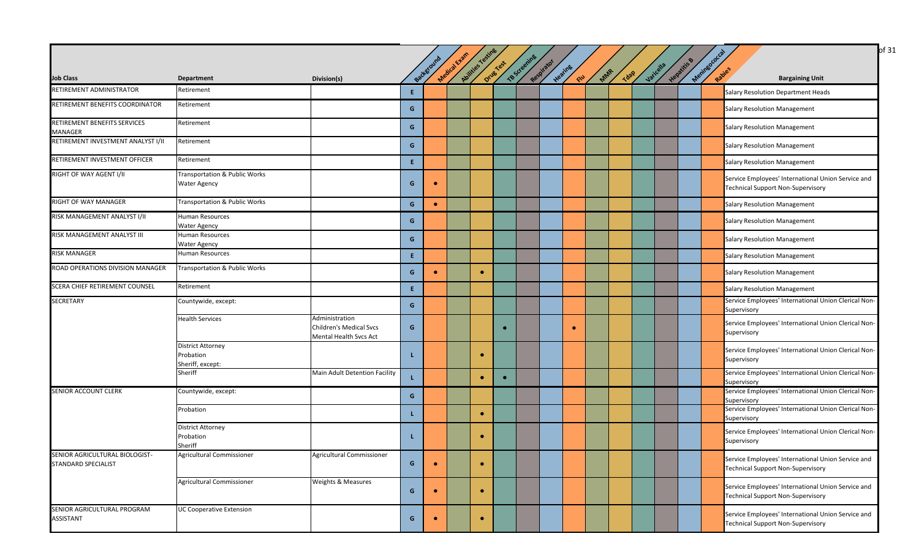|                                                       |                                                           |                                                                            |              | Background | Medical Exam | Abilities Testing | Drug Yest | TBScreening | Respirator | Heating   |     |      | Jaricella | Hepatitis & | Mentagooccal |                                                                                                |
|-------------------------------------------------------|-----------------------------------------------------------|----------------------------------------------------------------------------|--------------|------------|--------------|-------------------|-----------|-------------|------------|-----------|-----|------|-----------|-------------|--------------|------------------------------------------------------------------------------------------------|
| <b>Job Class</b>                                      | <b>Department</b>                                         | Division(s)                                                                |              |            |              |                   |           |             |            | $\infty$  | MAR | Tdap |           |             |              | <b>Bargaining Unit</b>                                                                         |
| RETIREMENT ADMINISTRATOR                              | Retirement                                                |                                                                            | Ε.           |            |              |                   |           |             |            |           |     |      |           |             |              | Salary Resolution Department Heads                                                             |
| RETIREMENT BENEFITS COORDINATOR                       | Retirement                                                |                                                                            | G            |            |              |                   |           |             |            |           |     |      |           |             |              | <b>Salary Resolution Management</b>                                                            |
| RETIREMENT BENEFITS SERVICES<br>MANAGER               | Retirement                                                |                                                                            | G            |            |              |                   |           |             |            |           |     |      |           |             |              | <b>Salary Resolution Management</b>                                                            |
| RETIREMENT INVESTMENT ANALYST I/II                    | Retirement                                                |                                                                            | G            |            |              |                   |           |             |            |           |     |      |           |             |              | <b>Salary Resolution Management</b>                                                            |
| RETIREMENT INVESTMENT OFFICER                         | Retirement                                                |                                                                            | Ε.           |            |              |                   |           |             |            |           |     |      |           |             |              | <b>Salary Resolution Management</b>                                                            |
| RIGHT OF WAY AGENT I/II                               | Transportation & Public Works<br>Water Agency             |                                                                            | G            |            |              |                   |           |             |            |           |     |      |           |             |              | Service Employees' International Union Service and<br><b>Technical Support Non-Supervisory</b> |
| RIGHT OF WAY MANAGER                                  | Transportation & Public Works                             |                                                                            | G            | $\bullet$  |              |                   |           |             |            |           |     |      |           |             |              | <b>Salary Resolution Management</b>                                                            |
| RISK MANAGEMENT ANALYST I/II                          | Human Resources<br><b>Water Agency</b>                    |                                                                            | G            |            |              |                   |           |             |            |           |     |      |           |             |              | <b>Salary Resolution Management</b>                                                            |
| RISK MANAGEMENT ANALYST III                           | Human Resources<br>Water Agency                           |                                                                            | $\mathbf{G}$ |            |              |                   |           |             |            |           |     |      |           |             |              | <b>Salary Resolution Management</b>                                                            |
| RISK MANAGER                                          | Human Resources                                           |                                                                            | E.           |            |              |                   |           |             |            |           |     |      |           |             |              | <b>Salary Resolution Management</b>                                                            |
| ROAD OPERATIONS DIVISION MANAGER                      | Transportation & Public Works                             |                                                                            | $\mathbf{G}$ | $\bullet$  |              | $\bullet$         |           |             |            |           |     |      |           |             |              | <b>Salary Resolution Management</b>                                                            |
| SCERA CHIEF RETIREMENT COUNSEL                        | Retirement                                                |                                                                            | Ε.           |            |              |                   |           |             |            |           |     |      |           |             |              | <b>Salary Resolution Management</b>                                                            |
| <b>SECRETARY</b>                                      | Countywide, except:                                       |                                                                            | $\mathbf{G}$ |            |              |                   |           |             |            |           |     |      |           |             |              | Service Employees' International Union Clerical Non-<br>Supervisory                            |
|                                                       | <b>Health Services</b>                                    | Administration<br><b>Children's Medical Svcs</b><br>Mental Health Svcs Act | G            |            |              |                   | $\bullet$ |             |            | $\bullet$ |     |      |           |             |              | Service Employees' International Union Clerical Non-<br>Supervisory                            |
|                                                       | <b>District Attorney</b><br>Probation<br>Sheriff, except: |                                                                            | L            |            |              | $\bullet$         |           |             |            |           |     |      |           |             |              | Service Employees' International Union Clerical Non-<br>Supervisory                            |
|                                                       | Sheriff                                                   | Main Adult Detention Facility                                              | L            |            |              | ٠                 |           |             |            |           |     |      |           |             |              | Service Employees' International Union Clerical Non-<br>Supervisory                            |
| SENIOR ACCOUNT CLERK                                  | Countywide, except:                                       |                                                                            | G            |            |              |                   |           |             |            |           |     |      |           |             |              | Service Employees' International Union Clerical Non-<br>Supervisory                            |
|                                                       | Probation                                                 |                                                                            | L            |            |              | $\bullet$         |           |             |            |           |     |      |           |             |              | Service Employees' International Union Clerical Non-<br>Supervisory                            |
|                                                       | <b>District Attorney</b><br>Probation<br>Sheriff          |                                                                            | L            |            |              | $\bullet$         |           |             |            |           |     |      |           |             |              | Service Employees' International Union Clerical Non-<br>Supervisory                            |
| SENIOR AGRICULTURAL BIOLOGIST-<br>STANDARD SPECIALIST | Agricultural Commissioner                                 | Agricultural Commissioner                                                  | G            | $\bullet$  |              | $\bullet$         |           |             |            |           |     |      |           |             |              | Service Employees' International Union Service and<br><b>Technical Support Non-Supervisory</b> |
|                                                       | Agricultural Commissioner                                 | Weights & Measures                                                         | $\mathbf{G}$ | $\bullet$  |              | $\bullet$         |           |             |            |           |     |      |           |             |              | Service Employees' International Union Service and<br><b>Technical Support Non-Supervisory</b> |
| SENIOR AGRICULTURAL PROGRAM<br>ASSISTANT              | <b>UC Cooperative Extension</b>                           |                                                                            | $\mathbf{G}$ |            |              | $\bullet$         |           |             |            |           |     |      |           |             |              | Service Employees' International Union Service and<br><b>Technical Support Non-Supervisory</b> |

 $\log 31$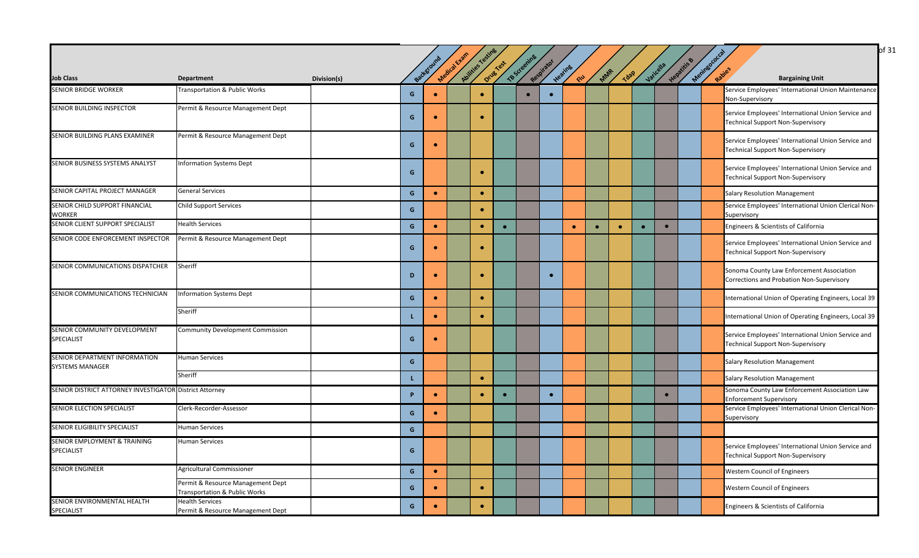|                                                         |                                                                    |             |              |           |              |                 |           |              |            |           |           |             |           |           |           |            | of 31                                                                                          |
|---------------------------------------------------------|--------------------------------------------------------------------|-------------|--------------|-----------|--------------|-----------------|-----------|--------------|------------|-----------|-----------|-------------|-----------|-----------|-----------|------------|------------------------------------------------------------------------------------------------|
|                                                         |                                                                    |             |              | Backgrou  | Medical Exam | Audities Testin | Drug Test | TB Screening | Respirator | Heating   |           |             |           | Varicella | Hepatitis | Meringococ |                                                                                                |
| <b>Job Class</b>                                        | <b>Department</b>                                                  | Division(s) |              |           |              |                 |           |              |            | END       | MAR       | <b>Tdap</b> |           |           |           |            | Rabies<br><b>Bargaining Unit</b>                                                               |
| <b>SENIOR BRIDGE WORKER</b>                             | Transportation & Public Works                                      |             | G            |           |              |                 |           |              |            |           |           |             |           |           |           |            | Service Employees' International Union Maintenance<br>Non-Supervisory                          |
| SENIOR BUILDING INSPECTOR                               | Permit & Resource Management Dept                                  |             | G            | $\bullet$ |              | $\bullet$       |           |              |            |           |           |             |           |           |           |            | Service Employees' International Union Service and<br><b>Technical Support Non-Supervisory</b> |
| SENIOR BUILDING PLANS EXAMINER                          | Permit & Resource Management Dept                                  |             | G            | $\bullet$ |              |                 |           |              |            |           |           |             |           |           |           |            | Service Employees' International Union Service and<br><b>Technical Support Non-Supervisory</b> |
| SENIOR BUSINESS SYSTEMS ANALYST                         | <b>Information Systems Dept</b>                                    |             | G            |           |              |                 |           |              |            |           |           |             |           |           |           |            | Service Employees' International Union Service and<br><b>Technical Support Non-Supervisory</b> |
| SENIOR CAPITAL PROJECT MANAGER                          | <b>General Services</b>                                            |             | $\mathsf{G}$ | $\bullet$ |              | $\bullet$       |           |              |            |           |           |             |           |           |           |            | Salary Resolution Management                                                                   |
| SENIOR CHILD SUPPORT FINANCIAL<br><b>WORKER</b>         | <b>Child Support Services</b>                                      |             | G            |           |              | $\bullet$       |           |              |            |           |           |             |           |           |           |            | Service Employees' International Union Clerical Non-<br>Supervisory                            |
| SENIOR CLIENT SUPPORT SPECIALIST                        | <b>Health Services</b>                                             |             | $\mathbf{G}$ | $\bullet$ |              | $\bullet$       | $\bullet$ |              |            | $\bullet$ | $\bullet$ | $\bullet$   | $\bullet$ | $\bullet$ |           |            | Engineers & Scientists of California                                                           |
| SENIOR CODE ENFORCEMENT INSPECTOR                       | Permit & Resource Management Dept                                  |             | G            | $\bullet$ |              | $\bullet$       |           |              |            |           |           |             |           |           |           |            | Service Employees' International Union Service and<br><b>Technical Support Non-Supervisory</b> |
| SENIOR COMMUNICATIONS DISPATCHER                        | Sheriff                                                            |             | D            | $\bullet$ |              |                 |           |              |            |           |           |             |           |           |           |            | Sonoma County Law Enforcement Association<br>Corrections and Probation Non-Supervisory         |
| SENIOR COMMUNICATIONS TECHNICIAN                        | <b>Information Systems Dept</b>                                    |             | G            | $\bullet$ |              | $\bullet$       |           |              |            |           |           |             |           |           |           |            | International Union of Operating Engineers, Local 39                                           |
|                                                         | Sheriff                                                            |             | L            | $\bullet$ |              |                 |           |              |            |           |           |             |           |           |           |            | International Union of Operating Engineers, Local 39                                           |
| SENIOR COMMUNITY DEVELOPMENT<br>SPECIALIST              | <b>Community Development Commission</b>                            |             | G            | $\bullet$ |              |                 |           |              |            |           |           |             |           |           |           |            | Service Employees' International Union Service and<br><b>Technical Support Non-Supervisory</b> |
| SENIOR DEPARTMENT INFORMATION<br><b>SYSTEMS MANAGER</b> | <b>Human Services</b>                                              |             | G            |           |              |                 |           |              |            |           |           |             |           |           |           |            | Salary Resolution Management                                                                   |
|                                                         | Sheriff                                                            |             | L.           |           |              | $\bullet$       |           |              |            |           |           |             |           |           |           |            | <b>Salary Resolution Management</b>                                                            |
| SENIOR DISTRICT ATTORNEY INVESTIGATOR District Attorney |                                                                    |             | P            | $\bullet$ |              | $\bullet$       |           |              | $\bullet$  |           |           |             |           | $\bullet$ |           |            | Sonoma County Law Enforcement Association Law<br><b>Enforcement Supervisory</b>                |
| SENIOR ELECTION SPECIALIST                              | Clerk-Recorder-Assessor                                            |             | $\mathsf{G}$ | $\bullet$ |              |                 |           |              |            |           |           |             |           |           |           |            | Service Employees' International Union Clerical Non-<br>Supervisory                            |
| SENIOR ELIGIBILITY SPECIALIST                           | <b>Human Services</b>                                              |             | G            |           |              |                 |           |              |            |           |           |             |           |           |           |            |                                                                                                |
| SENIOR EMPLOYMENT & TRAINING<br>SPECIALIST              | Human Services                                                     |             | G            |           |              |                 |           |              |            |           |           |             |           |           |           |            | Service Employees' International Union Service and<br><b>Technical Support Non-Supervisory</b> |
| <b>SENIOR ENGINEER</b>                                  | Agricultural Commissioner                                          |             | G            | $\bullet$ |              |                 |           |              |            |           |           |             |           |           |           |            | <b>Western Council of Engineers</b>                                                            |
|                                                         | Permit & Resource Management Dept<br>Transportation & Public Works |             | G            | $\bullet$ |              | $\bullet$       |           |              |            |           |           |             |           |           |           |            | <b>Western Council of Engineers</b>                                                            |
| SENIOR ENVIRONMENTAL HEALTH<br>SPECIALIST               | <b>Health Services</b><br>Permit & Resource Management Dept        |             | $\mathsf{G}$ | $\bullet$ |              | $\bullet$       |           |              |            |           |           |             |           |           |           |            | Engineers & Scientists of California                                                           |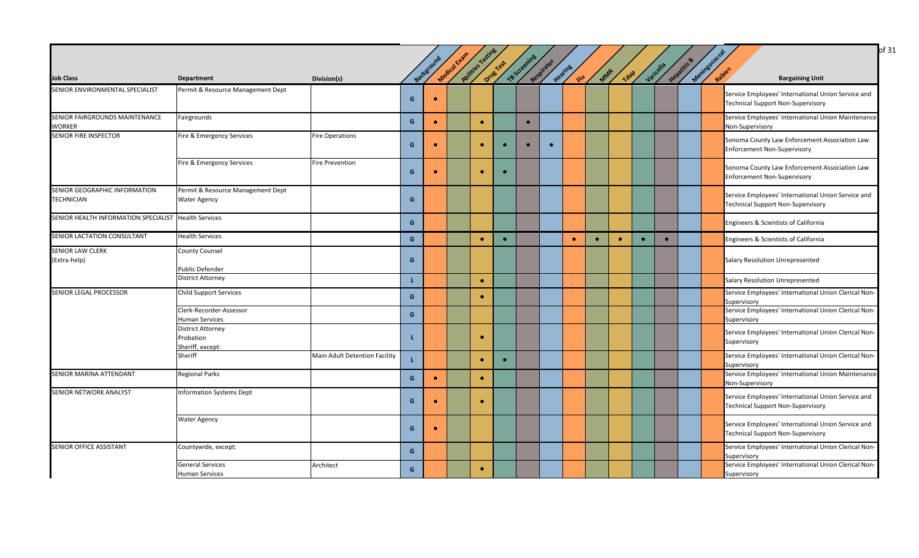| <b>Job Class</b>                                     | <b>Department</b>                                         | Division(s)                   |              | Background | Medical Evan | Abilities resting | Drug Yest | TB Screening | Respirator | Heating<br><b>CIU</b> | MAR       | <b>Tdap</b> | Varicella | Hepatitis | Meningococca<br>Rapies | <b>Bargaining Unit</b>                                                                         |
|------------------------------------------------------|-----------------------------------------------------------|-------------------------------|--------------|------------|--------------|-------------------|-----------|--------------|------------|-----------------------|-----------|-------------|-----------|-----------|------------------------|------------------------------------------------------------------------------------------------|
| SENIOR ENVIRONMENTAL SPECIALIST                      | Permit & Resource Management Dept                         |                               | G            | $\bullet$  |              |                   |           |              |            |                       |           |             |           |           |                        | Service Employees' International Union Service and<br>Technical Support Non-Supervisory        |
| SENIOR FAIRGROUNDS MAINTENANCE<br><b>WORKER</b>      | Fairgrounds                                               |                               | G            | $\bullet$  |              | $\bullet$         |           | $\bullet$    |            |                       |           |             |           |           | Non-Supervisory        | Service Employees' International Union Maintenance                                             |
| <b>SENIOR FIRE INSPECTOR</b>                         | Fire & Emergency Services                                 | <b>Fire Operations</b>        | G            | $\bullet$  |              | $\bullet$         | $\bullet$ |              | $\bullet$  |                       |           |             |           |           |                        | Sonoma County Law Enforcement Association Law<br><b>Enforcement Non-Supervisory</b>            |
|                                                      | Fire & Emergency Services                                 | <b>Fire Prevention</b>        | G            |            |              | $\bullet$         | $\bullet$ |              |            |                       |           |             |           |           |                        | Sonoma County Law Enforcement Association Law<br><b>Enforcement Non-Supervisory</b>            |
| SENIOR GEOGRAPHIC INFORMATION<br><b>TECHNICIAN</b>   | Permit & Resource Management Dept<br><b>Water Agency</b>  |                               | G            |            |              |                   |           |              |            |                       |           |             |           |           |                        | Service Employees' International Union Service and<br><b>Technical Support Non-Supervisory</b> |
| SENIOR HEALTH INFORMATION SPECIALIST Health Services |                                                           |                               | G            |            |              |                   |           |              |            |                       |           |             |           |           |                        | Engineers & Scientists of California                                                           |
| SENIOR LACTATION CONSULTANT                          | <b>Health Services</b>                                    |                               | G            |            |              | $\bullet$         | $\bullet$ |              |            | $\bullet$             | $\bullet$ | $\bullet$   | $\bullet$ |           |                        | Engineers & Scientists of California                                                           |
| <b>SENIOR LAW CLERK</b><br>(Extra-help)              | <b>County Counsel</b><br>Public Defender                  |                               | G            |            |              |                   |           |              |            |                       |           |             |           |           |                        | Salary Resolution Unrepresented                                                                |
|                                                      | <b>District Attorney</b>                                  |                               | $\mathbf{L}$ |            |              | $\bullet$         |           |              |            |                       |           |             |           |           |                        | Salary Resolution Unrepresented                                                                |
| SENIOR LEGAL PROCESSOR                               | <b>Child Support Services</b>                             |                               | G            |            |              | $\bullet$         |           |              |            |                       |           |             |           |           | Supervisory            | Service Employees' International Union Clerical Non-                                           |
|                                                      | Clerk-Recorder-Assessor<br><b>Human Services</b>          |                               | G            |            |              |                   |           |              |            |                       |           |             |           |           | Supervisory            | Service Employees' International Union Clerical Non-                                           |
|                                                      | <b>District Attorney</b><br>Probation<br>Sheriff, except: |                               | L            |            |              |                   |           |              |            |                       |           |             |           |           | Supervisory            | Service Employees' International Union Clerical Non-                                           |
|                                                      | Sheriff                                                   | Main Adult Detention Facility |              |            |              |                   | $\bullet$ |              |            |                       |           |             |           |           | Supervisory            | Service Employees' International Union Clerical Non-                                           |
| SENIOR MARINA ATTENDANT                              | <b>Regional Parks</b>                                     |                               | G            | $\bullet$  |              | $\bullet$         |           |              |            |                       |           |             |           |           | Non-Supervisory        | Service Employees' International Union Maintenance                                             |
| SENIOR NETWORK ANALYST                               | <b>Information Systems Dept</b>                           |                               | G            | $\bullet$  |              | $\bullet$         |           |              |            |                       |           |             |           |           |                        | Service Employees' International Union Service and<br><b>Technical Support Non-Supervisory</b> |
|                                                      | <b>Water Agency</b>                                       |                               | G            | $\bullet$  |              |                   |           |              |            |                       |           |             |           |           |                        | Service Employees' International Union Service and<br>Technical Support Non-Supervisory        |
| SENIOR OFFICE ASSISTANT                              | Countywide, except:                                       |                               | G            |            |              |                   |           |              |            |                       |           |             |           |           | Supervisory            | Service Employees' International Union Clerical Non-                                           |
|                                                      | <b>General Services</b><br><b>Human Services</b>          | Architect                     | G            |            |              | $\bullet$         |           |              |            |                       |           |             |           |           | Supervisory            | Service Employees' International Union Clerical Non-                                           |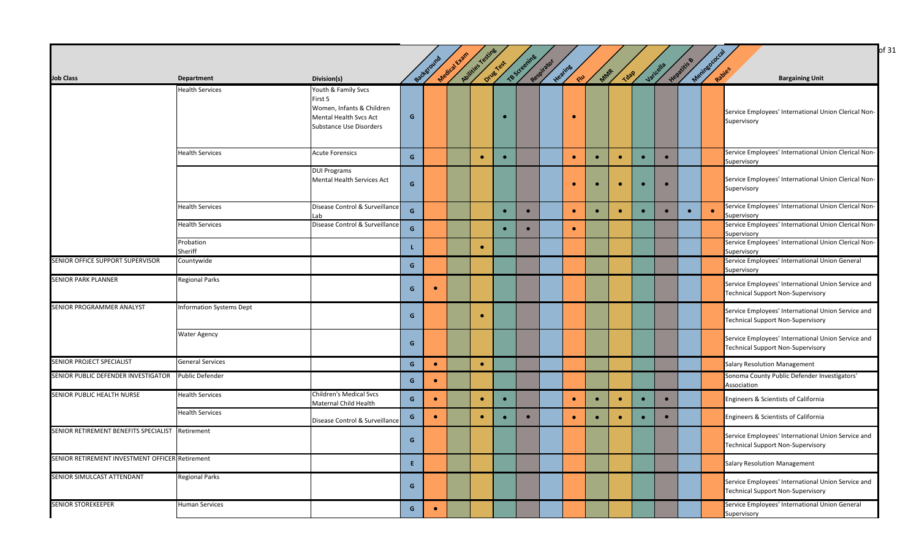|                                                  |                                 |                                                                                                                         |              | Background | Medical Exam | Autrices restings | Orives Test | TB Screening | Respirator | Heating   | MAR       | <b>Tdap</b> |           | Jaricella | Hepatitis & | Mentagoocal |                                                                                         |
|--------------------------------------------------|---------------------------------|-------------------------------------------------------------------------------------------------------------------------|--------------|------------|--------------|-------------------|-------------|--------------|------------|-----------|-----------|-------------|-----------|-----------|-------------|-------------|-----------------------------------------------------------------------------------------|
| <b>Job Class</b>                                 | <b>Department</b>               | Division(s)                                                                                                             |              |            |              |                   |             |              |            | <b>RN</b> |           |             |           |           |             |             | <b>Bargaining Unit</b>                                                                  |
|                                                  | <b>Health Services</b>          | Youth & Family Svcs<br>First 5<br>Women, Infants & Children<br>Mental Health Svcs Act<br><b>Substance Use Disorders</b> | G            |            |              |                   |             |              |            | $\bullet$ |           |             |           |           |             |             | Service Employees' International Union Clerical Non-<br>Supervisory                     |
|                                                  | <b>Health Services</b>          | <b>Acute Forensics</b>                                                                                                  | G            |            |              | $\bullet$         | $\bullet$   |              |            | $\bullet$ | $\bullet$ | $\bullet$   |           | $\bullet$ |             |             | Service Employees' International Union Clerical Non-<br>Supervisory                     |
|                                                  |                                 | <b>DUI Programs</b><br>Mental Health Services Act                                                                       | G            |            |              |                   |             |              |            | $\bullet$ | $\bullet$ | $\bullet$   | $\bullet$ | $\bullet$ |             |             | Service Employees' International Union Clerical Non-<br>Supervisory                     |
|                                                  | <b>Health Services</b>          | Disease Control & Surveillance<br>Lab                                                                                   | G            |            |              |                   | $\bullet$   | $\bullet$    |            | $\bullet$ |           |             |           |           | $\bullet$   | $\bullet$   | Service Employees' International Union Clerical Non-<br>Supervisory                     |
|                                                  | <b>Health Services</b>          | Disease Control & Surveillance                                                                                          | $\mathsf{G}$ |            |              |                   | $\bullet$   | $\bullet$    |            | $\bullet$ |           |             |           |           |             |             | Service Employees' International Union Clerical Non-<br>Supervisory                     |
|                                                  | Probation<br>Sheriff            |                                                                                                                         | L.           |            |              | $\bullet$         |             |              |            |           |           |             |           |           |             |             | Service Employees' International Union Clerical Non-<br>Supervisory                     |
| SENIOR OFFICE SUPPORT SUPERVISOR                 | Countywide                      |                                                                                                                         | G            |            |              |                   |             |              |            |           |           |             |           |           |             |             | Service Employees' International Union General<br>Supervisory                           |
| <b>SENIOR PARK PLANNER</b>                       | <b>Regional Parks</b>           |                                                                                                                         | G            | $\bullet$  |              |                   |             |              |            |           |           |             |           |           |             |             | Service Employees' International Union Service and<br>Technical Support Non-Supervisory |
| SENIOR PROGRAMMER ANALYST                        | <b>Information Systems Dept</b> |                                                                                                                         | G            |            |              | $\bullet$         |             |              |            |           |           |             |           |           |             |             | Service Employees' International Union Service and<br>Technical Support Non-Supervisory |
|                                                  | <b>Water Agency</b>             |                                                                                                                         | G            |            |              |                   |             |              |            |           |           |             |           |           |             |             | Service Employees' International Union Service and<br>Technical Support Non-Supervisory |
| SENIOR PROJECT SPECIALIST                        | <b>General Services</b>         |                                                                                                                         | G            | $\bullet$  |              | $\bullet$         |             |              |            |           |           |             |           |           |             |             | Salary Resolution Management                                                            |
| SENIOR PUBLIC DEFENDER INVESTIGATOR              | <b>Public Defender</b>          |                                                                                                                         | G            | $\bullet$  |              |                   |             |              |            |           |           |             |           |           |             |             | Sonoma County Public Defender Investigators'<br>Association                             |
| SENIOR PUBLIC HEALTH NURSE                       | <b>Health Services</b>          | <b>Children's Medical Svcs</b><br>Maternal Child Health                                                                 | G            | $\bullet$  |              | $\bullet$         |             |              |            | $\bullet$ |           |             |           | $\bullet$ |             |             | Engineers & Scientists of California                                                    |
|                                                  | <b>Health Services</b>          | Disease Control & Surveillance                                                                                          | G            | $\bullet$  |              | $\bullet$         |             | $\bullet$    |            | $\bullet$ | $\bullet$ | $\bullet$   |           |           |             |             | Engineers & Scientists of California                                                    |
| SENIOR RETIREMENT BENEFITS SPECIALIST Retirement |                                 |                                                                                                                         | G            |            |              |                   |             |              |            |           |           |             |           |           |             |             | Service Employees' International Union Service and<br>Technical Support Non-Supervisory |
| SENIOR RETIREMENT INVESTMENT OFFICER Retirement  |                                 |                                                                                                                         | E.           |            |              |                   |             |              |            |           |           |             |           |           |             |             | Salary Resolution Management                                                            |
| SENIOR SIMULCAST ATTENDANT                       | Regional Parks                  |                                                                                                                         | G            |            |              |                   |             |              |            |           |           |             |           |           |             |             | Service Employees' International Union Service and<br>Technical Support Non-Supervisory |
| <b>SENIOR STOREKEEPER</b>                        | <b>Human Services</b>           |                                                                                                                         | G            | $\bullet$  |              |                   |             |              |            |           |           |             |           |           |             |             | Service Employees' International Union General<br>Supervisory                           |

 $\log 31$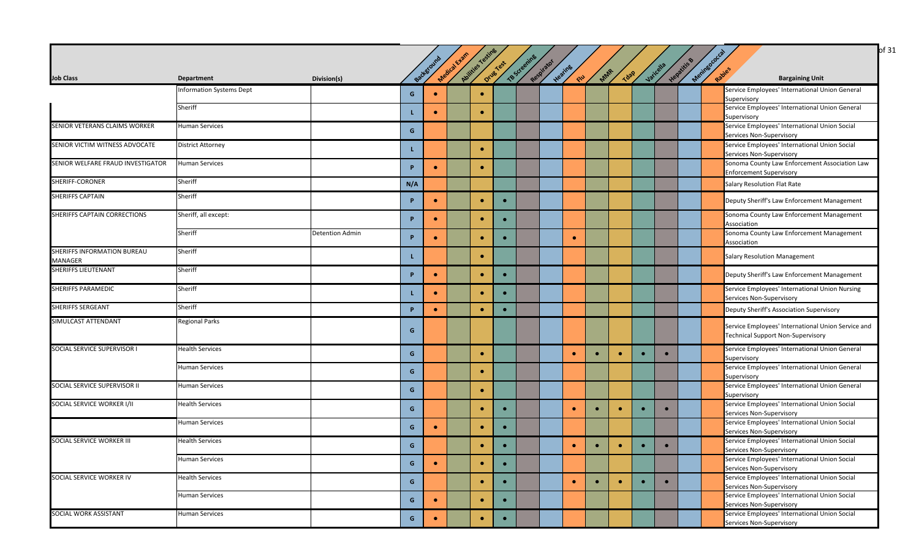|                                               |                                 |                        |              |            |              |                  |           |              |            |           |           |             |           |           |             | of 31                                                                                          |
|-----------------------------------------------|---------------------------------|------------------------|--------------|------------|--------------|------------------|-----------|--------------|------------|-----------|-----------|-------------|-----------|-----------|-------------|------------------------------------------------------------------------------------------------|
|                                               |                                 |                        |              | Background | Medical Exam | Avitties resting | Drug Yest | TB Screening | Respirator | Heating   | Mar       |             |           | Varicella | Hepatitis B | Mexingococ<br>Rabies                                                                           |
| <b>Job Class</b>                              | <b>Department</b>               | Division(s)            |              |            |              |                  |           |              |            | CIU       |           | <b>Tdap</b> |           |           |             | <b>Bargaining Unit</b>                                                                         |
|                                               | <b>Information Systems Dept</b> |                        | G            | $\bullet$  |              | $\bullet$        |           |              |            |           |           |             |           |           |             | Service Employees' International Union General<br>Supervisory                                  |
|                                               | Sheriff                         |                        | L            | $\bullet$  |              | $\bullet$        |           |              |            |           |           |             |           |           |             | Service Employees' International Union General<br>Supervisory                                  |
| SENIOR VETERANS CLAIMS WORKER                 | <b>Human Services</b>           |                        | G            |            |              |                  |           |              |            |           |           |             |           |           |             | Service Employees' International Union Social<br>Services Non-Supervisory                      |
| SENIOR VICTIM WITNESS ADVOCATE                | <b>District Attorney</b>        |                        | L            |            |              | $\bullet$        |           |              |            |           |           |             |           |           |             | Service Employees' International Union Social<br>Services Non-Supervisory                      |
| SENIOR WELFARE FRAUD INVESTIGATOR             | <b>Human Services</b>           |                        | D            | $\bullet$  |              | $\bullet$        |           |              |            |           |           |             |           |           |             | Sonoma County Law Enforcement Association Law<br><b>Enforcement Supervisory</b>                |
| SHERIFF-CORONER                               | Sheriff                         |                        | N/A          |            |              |                  |           |              |            |           |           |             |           |           |             | Salary Resolution Flat Rate                                                                    |
| <b>SHERIFFS CAPTAIN</b>                       | Sheriff                         |                        | P            | $\bullet$  |              | $\bullet$        |           |              |            |           |           |             |           |           |             | Deputy Sheriff's Law Enforcement Management                                                    |
| SHERIFFS CAPTAIN CORRECTIONS                  | Sheriff, all except:            |                        | P.           | $\bullet$  |              | $\bullet$        |           |              |            |           |           |             |           |           |             | Sonoma County Law Enforcement Management<br>Association                                        |
|                                               | Sheriff                         | <b>Detention Admin</b> | P.           | $\bullet$  |              | $\bullet$        |           |              |            | $\bullet$ |           |             |           |           |             | Sonoma County Law Enforcement Management<br>Association                                        |
| <b>SHERIFFS INFORMATION BUREAU</b><br>MANAGER | Sheriff                         |                        | L.           |            |              | $\bullet$        |           |              |            |           |           |             |           |           |             | <b>Salary Resolution Management</b>                                                            |
| <b>SHERIFFS LIEUTENANT</b>                    | Sheriff                         |                        | P            | $\bullet$  |              | $\bullet$        | $\bullet$ |              |            |           |           |             |           |           |             | Deputy Sheriff's Law Enforcement Management                                                    |
| <b>SHERIFFS PARAMEDIC</b>                     | Sheriff                         |                        |              | $\bullet$  |              | $\bullet$        |           |              |            |           |           |             |           |           |             | Service Employees' International Union Nursing<br>Services Non-Supervisory                     |
| <b>SHERIFFS SERGEANT</b>                      | Sheriff                         |                        | P            | $\bullet$  |              | $\bullet$        | $\bullet$ |              |            |           |           |             |           |           |             | Deputy Sheriff's Association Supervisory                                                       |
| SIMULCAST ATTENDANT                           | <b>Regional Parks</b>           |                        | G            |            |              |                  |           |              |            |           |           |             |           |           |             | Service Employees' International Union Service and<br><b>Technical Support Non-Supervisory</b> |
| SOCIAL SERVICE SUPERVISOR I                   | <b>Health Services</b>          |                        | G            |            |              | $\bullet$        |           |              |            | $\bullet$ | $\bullet$ | $\bullet$   | $\bullet$ | $\bullet$ |             | Service Employees' International Union General<br>Supervisory                                  |
|                                               | <b>Human Services</b>           |                        | G            |            |              | $\bullet$        |           |              |            |           |           |             |           |           |             | Service Employees' International Union General<br>Supervisory                                  |
| SOCIAL SERVICE SUPERVISOR II                  | <b>Human Services</b>           |                        | G            |            |              | $\bullet$        |           |              |            |           |           |             |           |           |             | Service Employees' International Union General<br>Supervisory                                  |
| SOCIAL SERVICE WORKER I/II                    | <b>Health Services</b>          |                        | G            |            |              | $\bullet$        |           |              |            | $\bullet$ | $\bullet$ | $\bullet$   |           | $\bullet$ |             | Service Employees' International Union Social<br>Services Non-Supervisory                      |
|                                               | <b>Human Services</b>           |                        | G            | $\bullet$  |              | $\bullet$        |           |              |            |           |           |             |           |           |             | Service Employees' International Union Social<br>Services Non-Supervisory                      |
| SOCIAL SERVICE WORKER III                     | <b>Health Services</b>          |                        | G            |            |              | $\bullet$        | $\bullet$ |              |            | $\bullet$ | $\bullet$ | $\bullet$   | $\bullet$ | $\bullet$ |             | Service Employees' International Union Social<br>Services Non-Supervisory                      |
|                                               | <b>Human Services</b>           |                        | $\mathbf{G}$ | $\bullet$  |              | $\bullet$        | $\bullet$ |              |            |           |           |             |           |           |             | Service Employees' International Union Social<br>Services Non-Supervisory                      |
| SOCIAL SERVICE WORKER IV                      | <b>Health Services</b>          |                        | G            |            |              | $\bullet$        | $\bullet$ |              |            | $\bullet$ | $\bullet$ | $\bullet$   | $\bullet$ | $\bullet$ |             | Service Employees' International Union Social<br>Services Non-Supervisory                      |
|                                               | <b>Human Services</b>           |                        | G            | $\bullet$  |              | $\bullet$        | $\bullet$ |              |            |           |           |             |           |           |             | Service Employees' International Union Social<br>Services Non-Supervisory                      |
| SOCIAL WORK ASSISTANT                         | Human Services                  |                        | G            | $\bullet$  |              | $\bullet$        | $\bullet$ |              |            |           |           |             |           |           |             | Service Employees' International Union Social<br>Services Non-Supervisory                      |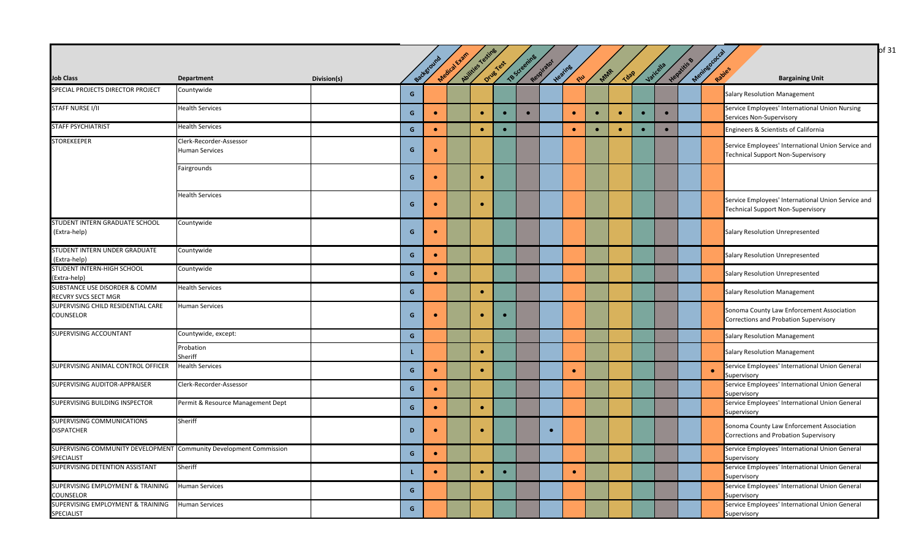|                                                                                  |                                                  |             |              |           |              |                |           |              |            |           |           |           |           |           |           |            | of 31                                                                                   |
|----------------------------------------------------------------------------------|--------------------------------------------------|-------------|--------------|-----------|--------------|----------------|-----------|--------------|------------|-----------|-----------|-----------|-----------|-----------|-----------|------------|-----------------------------------------------------------------------------------------|
|                                                                                  |                                                  |             |              |           |              |                |           |              |            |           |           |           |           |           |           |            |                                                                                         |
|                                                                                  |                                                  |             |              | Backgrow  | Medical Exam | Avilies Testif | Drug Test | TB Screening | Respirator | Heating   |           |           |           | Varicella | Hepatitis | Meringocou |                                                                                         |
| <b>Job Class</b>                                                                 | <b>Department</b>                                | Division(s) |              |           |              |                |           |              |            | ELL       | MAR       | Tdap      |           |           |           | Rabies     | <b>Bargaining Unit</b>                                                                  |
| SPECIAL PROJECTS DIRECTOR PROJECT                                                | Countywide                                       |             | G            |           |              |                |           |              |            |           |           |           |           |           |           |            | <b>Salary Resolution Management</b>                                                     |
| <b>STAFF NURSE I/II</b>                                                          | <b>Health Services</b>                           |             | G            | $\bullet$ |              | $\bullet$      |           |              |            | $\bullet$ | $\bullet$ | $\bullet$ | $\bullet$ | $\bullet$ |           |            | Service Employees' International Union Nursing<br>Services Non-Supervisory              |
| <b>STAFF PSYCHIATRIST</b>                                                        | <b>Health Services</b>                           |             | G            | $\bullet$ |              | $\bullet$      | $\bullet$ |              |            | $\bullet$ | $\bullet$ | $\bullet$ |           | $\bullet$ |           |            | Engineers & Scientists of California                                                    |
| <b>STOREKEEPER</b>                                                               | Clerk-Recorder-Assessor<br><b>Human Services</b> |             | G            | $\bullet$ |              |                |           |              |            |           |           |           |           |           |           |            | Service Employees' International Union Service and<br>Technical Support Non-Supervisory |
|                                                                                  | Fairgrounds                                      |             | G            | $\bullet$ |              | $\bullet$      |           |              |            |           |           |           |           |           |           |            |                                                                                         |
|                                                                                  | <b>Health Services</b>                           |             | G            | $\bullet$ |              | $\bullet$      |           |              |            |           |           |           |           |           |           |            | Service Employees' International Union Service and<br>Technical Support Non-Supervisory |
| STUDENT INTERN GRADUATE SCHOOL<br>(Extra-help)                                   | Countywide                                       |             | G            | $\bullet$ |              |                |           |              |            |           |           |           |           |           |           |            | Salary Resolution Unrepresented                                                         |
| STUDENT INTERN UNDER GRADUATE<br>(Extra-help)                                    | Countywide                                       |             | G            | $\bullet$ |              |                |           |              |            |           |           |           |           |           |           |            | Salary Resolution Unrepresented                                                         |
| STUDENT INTERN-HIGH SCHOOL<br>(Extra-help)                                       | Countywide                                       |             | G            | $\bullet$ |              |                |           |              |            |           |           |           |           |           |           |            | Salary Resolution Unrepresented                                                         |
| SUBSTANCE USE DISORDER & COMM<br>RECVRY SVCS SECT MGR                            | <b>Health Services</b>                           |             | G            |           |              | $\bullet$      |           |              |            |           |           |           |           |           |           |            | <b>Salary Resolution Management</b>                                                     |
| SUPERVISING CHILD RESIDENTIAL CARE<br>COUNSELOR                                  | <b>Human Services</b>                            |             | G            | $\bullet$ |              | $\bullet$      | $\bullet$ |              |            |           |           |           |           |           |           |            | Sonoma County Law Enforcement Association<br>Corrections and Probation Supervisory      |
| SUPERVISING ACCOUNTANT                                                           | Countywide, except:                              |             | $\mathsf{G}$ |           |              |                |           |              |            |           |           |           |           |           |           |            | <b>Salary Resolution Management</b>                                                     |
|                                                                                  | Probation<br>Sheriff                             |             | L.           |           |              | $\bullet$      |           |              |            |           |           |           |           |           |           |            | <b>Salary Resolution Management</b>                                                     |
| SUPERVISING ANIMAL CONTROL OFFICER                                               | <b>Health Services</b>                           |             | G            | $\bullet$ |              | $\bullet$      |           |              |            | $\bullet$ |           |           |           |           |           |            | Service Employees' International Union General<br>Supervisory                           |
| SUPERVISING AUDITOR-APPRAISER                                                    | Clerk-Recorder-Assessor                          |             | G            | $\bullet$ |              |                |           |              |            |           |           |           |           |           |           |            | Service Employees' International Union General<br>Supervisory                           |
| SUPERVISING BUILDING INSPECTOR                                                   | Permit & Resource Management Dept                |             | G            | $\bullet$ |              | $\bullet$      |           |              |            |           |           |           |           |           |           |            | Service Employees' International Union General<br>Supervisory                           |
| SUPERVISING COMMUNICATIONS<br><b>DISPATCHER</b>                                  | Sheriff                                          |             | D            | $\bullet$ |              | $\bullet$      |           |              |            |           |           |           |           |           |           |            | Sonoma County Law Enforcement Association<br>Corrections and Probation Supervisory      |
| SUPERVISING COMMUNITY DEVELOPMENT Community Development Commission<br>SPECIALIST |                                                  |             | $\mathsf{G}$ | $\bullet$ |              |                |           |              |            |           |           |           |           |           |           |            | Service Employees' International Union General<br>Supervisory                           |
| SUPERVISING DETENTION ASSISTANT                                                  | Sheriff                                          |             |              | $\bullet$ |              | $\bullet$      | $\bullet$ |              |            | $\bullet$ |           |           |           |           |           |            | Service Employees' International Union General<br>Supervisory                           |
| SUPERVISING EMPLOYMENT & TRAINING<br>COUNSELOR                                   | <b>Human Services</b>                            |             | G            |           |              |                |           |              |            |           |           |           |           |           |           |            | Service Employees' International Union General<br>Supervisory                           |
| SUPERVISING EMPLOYMENT & TRAINING<br>SPECIALIST                                  | <b>Human Services</b>                            |             | G            |           |              |                |           |              |            |           |           |           |           |           |           |            | Service Employees' International Union General<br>Supervisory                           |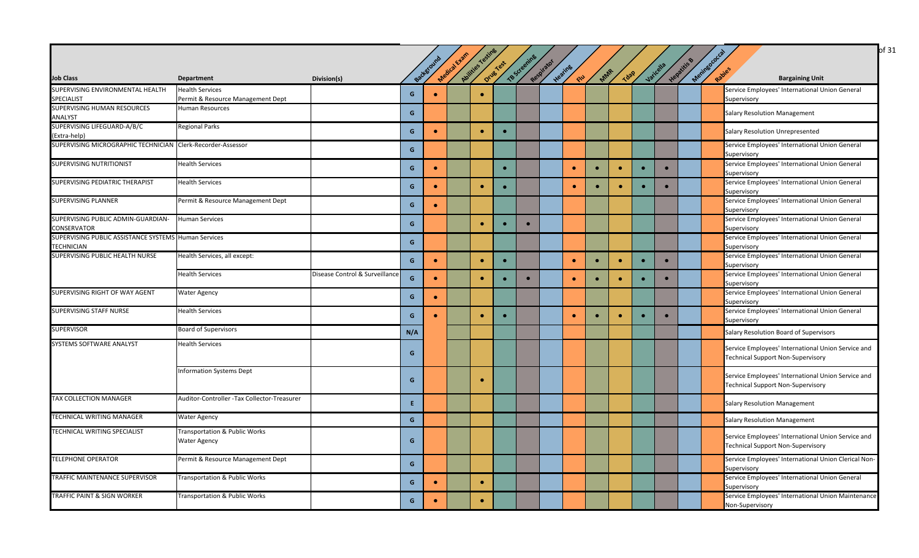|                                                             |                                             |                                |     | Background | Medical Exam | Avittles Testine | Orug Test | TB Screening | Respirator | Heating   | MAR       |             |           | Varicella | Hepatitis | Meningoroccal |                                                               |
|-------------------------------------------------------------|---------------------------------------------|--------------------------------|-----|------------|--------------|------------------|-----------|--------------|------------|-----------|-----------|-------------|-----------|-----------|-----------|---------------|---------------------------------------------------------------|
| <b>Job Class</b>                                            | <b>Department</b>                           | Division(s)                    |     |            |              |                  |           |              |            | END       |           | <b>Tdap</b> |           |           |           |               | <b>Bargaining Unit</b>                                        |
| SUPERVISING ENVIRONMENTAL HEALTH                            | <b>Health Services</b>                      |                                | G   | $\bullet$  |              | $\bullet$        |           |              |            |           |           |             |           |           |           |               | Service Employees' International Union General                |
| SPECIALIST                                                  | Permit & Resource Management Dept           |                                |     |            |              |                  |           |              |            |           |           |             |           |           |           |               | Supervisory                                                   |
| SUPERVISING HUMAN RESOURCES                                 | Human Resources                             |                                | G   |            |              |                  |           |              |            |           |           |             |           |           |           |               | <b>Salary Resolution Management</b>                           |
| ANALYST                                                     |                                             |                                |     |            |              |                  |           |              |            |           |           |             |           |           |           |               |                                                               |
| SUPERVISING LIFEGUARD-A/B/C                                 | <b>Regional Parks</b>                       |                                | G   | $\bullet$  |              | $\bullet$        | $\bullet$ |              |            |           |           |             |           |           |           |               | Salary Resolution Unrepresented                               |
| (Extra-help)                                                |                                             |                                |     |            |              |                  |           |              |            |           |           |             |           |           |           |               |                                                               |
| SUPERVISING MICROGRAPHIC TECHNICIAN Clerk-Recorder-Assessor |                                             |                                | G   |            |              |                  |           |              |            |           |           |             |           |           |           |               | Service Employees' International Union General<br>Supervisory |
| SUPERVISING NUTRITIONIST                                    | <b>Health Services</b>                      |                                | G   | $\bullet$  |              |                  | $\bullet$ |              |            | $\bullet$ | $\bullet$ | $\bullet$   | $\bullet$ |           |           |               | Service Employees' International Union General                |
|                                                             |                                             |                                |     |            |              |                  |           |              |            |           |           |             |           |           |           |               | Supervisory                                                   |
| SUPERVISING PEDIATRIC THERAPIST                             | <b>Health Services</b>                      |                                | G   | $\bullet$  |              | $\bullet$        |           |              |            | $\bullet$ | $\bullet$ | $\bullet$   |           |           |           |               | Service Employees' International Union General                |
|                                                             |                                             |                                |     |            |              |                  |           |              |            |           |           |             |           |           |           |               | Supervisory                                                   |
| SUPERVISING PLANNER                                         | Permit & Resource Management Dept           |                                | G   | $\bullet$  |              |                  |           |              |            |           |           |             |           |           |           |               | Service Employees' International Union General                |
|                                                             |                                             |                                |     |            |              |                  |           |              |            |           |           |             |           |           |           |               | Supervisory                                                   |
| SUPERVISING PUBLIC ADMIN-GUARDIAN-                          | <b>Human Services</b>                       |                                | G   |            |              | $\bullet$        | $\bullet$ |              |            |           |           |             |           |           |           |               | Service Employees' International Union General                |
| <b>CONSERVATOR</b>                                          |                                             |                                |     |            |              |                  |           |              |            |           |           |             |           |           |           |               | Supervisory                                                   |
| SUPERVISING PUBLIC ASSISTANCE SYSTEMS Human Services        |                                             |                                |     |            |              |                  |           |              |            |           |           |             |           |           |           |               | Service Employees' International Union General                |
| <b>TECHNICIAN</b>                                           |                                             |                                | G   |            |              |                  |           |              |            |           |           |             |           |           |           |               | Supervisory                                                   |
| SUPERVISING PUBLIC HEALTH NURSE                             | Health Services, all except:                |                                | G   | $\bullet$  |              |                  | $\bullet$ |              |            | $\bullet$ | $\bullet$ | $\bullet$   | $\bullet$ |           |           |               | Service Employees' International Union General                |
|                                                             |                                             |                                |     |            |              | $\bullet$        |           |              |            |           |           |             |           |           |           |               | Supervisory                                                   |
|                                                             | <b>Health Services</b>                      | Disease Control & Surveillance | G   | $\bullet$  |              | $\bullet$        |           |              |            | $\bullet$ | $\bullet$ | $\bullet$   |           |           |           |               | Service Employees' International Union General                |
|                                                             |                                             |                                |     |            |              |                  | $\bullet$ |              |            |           |           |             |           |           |           |               | Supervisory                                                   |
| SUPERVISING RIGHT OF WAY AGENT                              | <b>Water Agency</b>                         |                                |     |            |              |                  |           |              |            |           |           |             |           |           |           |               | Service Employees' International Union General                |
|                                                             |                                             |                                | G   | $\bullet$  |              |                  |           |              |            |           |           |             |           |           |           |               | Supervisory                                                   |
| SUPERVISING STAFF NURSE                                     | <b>Health Services</b>                      |                                |     |            |              | $\bullet$        | $\bullet$ |              |            | $\bullet$ |           | $\bullet$   |           |           |           |               | Service Employees' International Union General                |
|                                                             |                                             |                                | G   | $\bullet$  |              |                  |           |              |            |           | $\bullet$ |             |           |           |           |               | Supervisory                                                   |
| <b>SUPERVISOR</b>                                           | <b>Board of Supervisors</b>                 |                                | N/A |            |              |                  |           |              |            |           |           |             |           |           |           |               | Salary Resolution Board of Supervisors                        |
| SYSTEMS SOFTWARE ANALYST                                    | Health Services                             |                                |     |            |              |                  |           |              |            |           |           |             |           |           |           |               |                                                               |
|                                                             |                                             |                                | G   |            |              |                  |           |              |            |           |           |             |           |           |           |               | Service Employees' International Union Service and            |
|                                                             |                                             |                                |     |            |              |                  |           |              |            |           |           |             |           |           |           |               | <b>Technical Support Non-Supervisory</b>                      |
|                                                             | <b>Information Systems Dept</b>             |                                |     |            |              |                  |           |              |            |           |           |             |           |           |           |               |                                                               |
|                                                             |                                             |                                | G   |            |              | $\bullet$        |           |              |            |           |           |             |           |           |           |               | Service Employees' International Union Service and            |
|                                                             |                                             |                                |     |            |              |                  |           |              |            |           |           |             |           |           |           |               | Technical Support Non-Supervisory                             |
| TAX COLLECTION MANAGER                                      | Auditor-Controller -Tax Collector-Treasurer |                                |     |            |              |                  |           |              |            |           |           |             |           |           |           |               |                                                               |
|                                                             |                                             |                                | E.  |            |              |                  |           |              |            |           |           |             |           |           |           |               | <b>Salary Resolution Management</b>                           |
| TECHNICAL WRITING MANAGER                                   | <b>Water Agency</b>                         |                                |     |            |              |                  |           |              |            |           |           |             |           |           |           |               |                                                               |
|                                                             |                                             |                                | G   |            |              |                  |           |              |            |           |           |             |           |           |           |               | <b>Salary Resolution Management</b>                           |
| TECHNICAL WRITING SPECIALIST                                | Transportation & Public Works               |                                |     |            |              |                  |           |              |            |           |           |             |           |           |           |               | Service Employees' International Union Service and            |
|                                                             | <b>Water Agency</b>                         |                                | G   |            |              |                  |           |              |            |           |           |             |           |           |           |               | <b>Technical Support Non-Supervisory</b>                      |
|                                                             |                                             |                                |     |            |              |                  |           |              |            |           |           |             |           |           |           |               |                                                               |
| <b>TELEPHONE OPERATOR</b>                                   | Permit & Resource Management Dept           |                                | G   |            |              |                  |           |              |            |           |           |             |           |           |           |               | Service Employees' International Union Clerical Non-          |
|                                                             |                                             |                                |     |            |              |                  |           |              |            |           |           |             |           |           |           |               | Supervisory                                                   |
| TRAFFIC MAINTENANCE SUPERVISOR                              | Transportation & Public Works               |                                | G   | $\bullet$  |              | $\bullet$        |           |              |            |           |           |             |           |           |           |               | Service Employees' International Union General                |
|                                                             |                                             |                                |     |            |              |                  |           |              |            |           |           |             |           |           |           |               | Supervisory                                                   |
| TRAFFIC PAINT & SIGN WORKER                                 | Transportation & Public Works               |                                |     | $\bullet$  |              | $\bullet$        |           |              |            |           |           |             |           |           |           |               | Service Employees' International Union Maintenance            |
|                                                             |                                             |                                | G   |            |              |                  |           |              |            |           |           |             |           |           |           |               | Non-Supervisory                                               |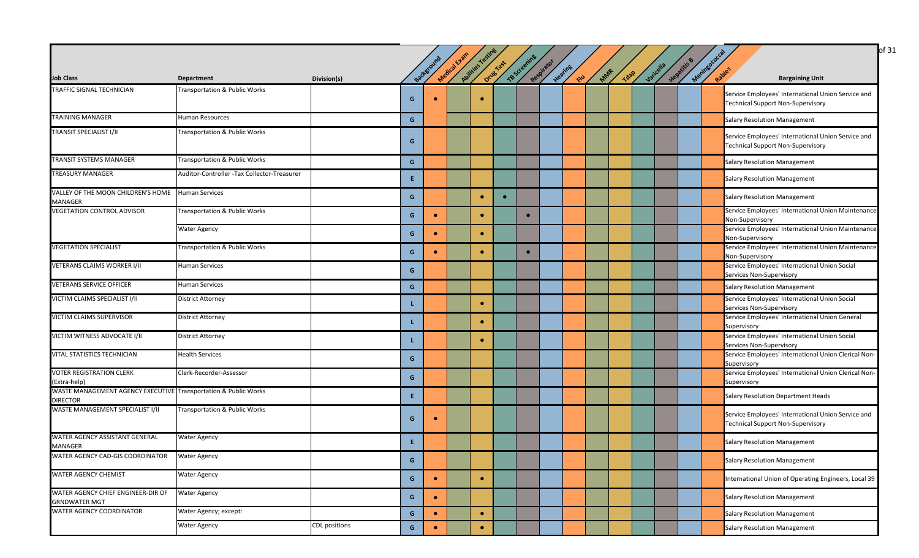| <b>Job Class</b>                                                                   | <b>Department</b>                           | Division(s)          |              | Background | Medical Exam | Abilities Testing | Drug Test | TB Screening | Respirator | Heating<br>END | MAR | Tdap | Varicella | Hepatitis & | Meninsococcal<br>Rapies | <b>Bargaining Unit</b>                                                                         |
|------------------------------------------------------------------------------------|---------------------------------------------|----------------------|--------------|------------|--------------|-------------------|-----------|--------------|------------|----------------|-----|------|-----------|-------------|-------------------------|------------------------------------------------------------------------------------------------|
|                                                                                    |                                             |                      |              |            |              |                   |           |              |            |                |     |      |           |             |                         |                                                                                                |
| TRAFFIC SIGNAL TECHNICIAN                                                          | <b>Transportation &amp; Public Works</b>    |                      | G            |            |              | $\bullet$         |           |              |            |                |     |      |           |             |                         | Service Employees' International Union Service and<br><b>Technical Support Non-Supervisory</b> |
| TRAINING MANAGER                                                                   | Human Resources                             |                      | G            |            |              |                   |           |              |            |                |     |      |           |             |                         | <b>Salary Resolution Management</b>                                                            |
| TRANSIT SPECIALIST I/II                                                            | Transportation & Public Works               |                      | G            |            |              |                   |           |              |            |                |     |      |           |             |                         | Service Employees' International Union Service and<br><b>Technical Support Non-Supervisory</b> |
| TRANSIT SYSTEMS MANAGER                                                            | Transportation & Public Works               |                      | G            |            |              |                   |           |              |            |                |     |      |           |             |                         | <b>Salary Resolution Management</b>                                                            |
| <b>TREASURY MANAGER</b>                                                            | Auditor-Controller -Tax Collector-Treasurer |                      | E.           |            |              |                   |           |              |            |                |     |      |           |             |                         | <b>Salary Resolution Management</b>                                                            |
| VALLEY OF THE MOON CHILDREN'S HOME   Human Services                                |                                             |                      | G            |            |              | ٠                 | $\bullet$ |              |            |                |     |      |           |             |                         | <b>Salary Resolution Management</b>                                                            |
| MANAGER                                                                            |                                             |                      |              |            |              |                   |           |              |            |                |     |      |           |             |                         |                                                                                                |
| <b>VEGETATION CONTROL ADVISOR</b>                                                  | Transportation & Public Works               |                      | G            |            |              | $\bullet$         |           |              |            |                |     |      |           |             |                         | Service Employees' International Union Maintenance<br>Non-Supervisory                          |
|                                                                                    | <b>Water Agency</b>                         |                      | G            | $\bullet$  |              | $\bullet$         |           |              |            |                |     |      |           |             |                         | Service Employees' International Union Maintenance<br>Non-Supervisory                          |
| <b>VEGETATION SPECIALIST</b>                                                       | Transportation & Public Works               |                      | G            | $\bullet$  |              | $\bullet$         |           |              |            |                |     |      |           |             |                         | Service Employees' International Union Maintenance<br>Non-Supervisory                          |
| <b>VETERANS CLAIMS WORKER I/II</b>                                                 | <b>Human Services</b>                       |                      | G            |            |              |                   |           |              |            |                |     |      |           |             |                         | Service Employees' International Union Social<br>Services Non-Supervisory                      |
| <b>VETERANS SERVICE OFFICER</b>                                                    | <b>Human Services</b>                       |                      | G            |            |              |                   |           |              |            |                |     |      |           |             |                         | <b>Salary Resolution Management</b>                                                            |
| VICTIM CLAIMS SPECIALIST I/II                                                      | <b>District Attorney</b>                    |                      | L            |            |              | ٠                 |           |              |            |                |     |      |           |             |                         | Service Employees' International Union Social<br>Services Non-Supervisory                      |
| VICTIM CLAIMS SUPERVISOR                                                           | <b>District Attorney</b>                    |                      | L            |            |              | $\bullet$         |           |              |            |                |     |      |           |             |                         | Service Employees' International Union General<br>Supervisory                                  |
| VICTIM WITNESS ADVOCATE I/II                                                       | <b>District Attorney</b>                    |                      |              |            |              | $\bullet$         |           |              |            |                |     |      |           |             |                         | Service Employees' International Union Social<br>Services Non-Supervisory                      |
| <b>VITAL STATISTICS TECHNICIAN</b>                                                 | <b>Health Services</b>                      |                      | G            |            |              |                   |           |              |            |                |     |      |           |             |                         | Service Employees' International Union Clerical Non-<br>Supervisory                            |
| <b>VOTER REGISTRATION CLERK</b><br>(Extra-help)                                    | Clerk-Recorder-Assessor                     |                      | G            |            |              |                   |           |              |            |                |     |      |           |             |                         | Service Employees' International Union Clerical Non-<br>Supervisory                            |
| WASTE MANAGEMENT AGENCY EXECUTIVE Transportation & Public Works<br><b>DIRECTOR</b> |                                             |                      | E.           |            |              |                   |           |              |            |                |     |      |           |             |                         | <b>Salary Resolution Department Heads</b>                                                      |
| WASTE MANAGEMENT SPECIALIST I/II                                                   | Transportation & Public Works               |                      | G            |            |              |                   |           |              |            |                |     |      |           |             |                         | Service Employees' International Union Service and<br><b>Technical Support Non-Supervisory</b> |
| WATER AGENCY ASSISTANT GENERAL<br>MANAGER                                          | <b>Water Agency</b>                         |                      | E.           |            |              |                   |           |              |            |                |     |      |           |             |                         | <b>Salary Resolution Management</b>                                                            |
| WATER AGENCY CAD-GIS COORDINATOR                                                   | <b>Water Agency</b>                         |                      | G            |            |              |                   |           |              |            |                |     |      |           |             |                         | <b>Salary Resolution Management</b>                                                            |
| WATER AGENCY CHEMIST                                                               | <b>Water Agency</b>                         |                      | $\mathbf{G}$ | $\bullet$  |              | $\bullet$         |           |              |            |                |     |      |           |             |                         | International Union of Operating Engineers, Local 39                                           |
| WATER AGENCY CHIEF ENGINEER-DIR OF<br><b>GRNDWATER MGT</b>                         | <b>Water Agency</b>                         |                      | $\mathbf{G}$ | $\bullet$  |              |                   |           |              |            |                |     |      |           |             |                         | <b>Salary Resolution Management</b>                                                            |
| WATER AGENCY COORDINATOR                                                           | Water Agency; except:                       |                      | $\mathbf{G}$ | $\bullet$  |              | $\bullet$         |           |              |            |                |     |      |           |             |                         | <b>Salary Resolution Management</b>                                                            |
|                                                                                    | <b>Water Agency</b>                         | <b>CDL</b> positions | $\mathbf{G}$ |            |              | $\bullet$         |           |              |            |                |     |      |           |             |                         | <b>Salary Resolution Management</b>                                                            |

 $\log 31$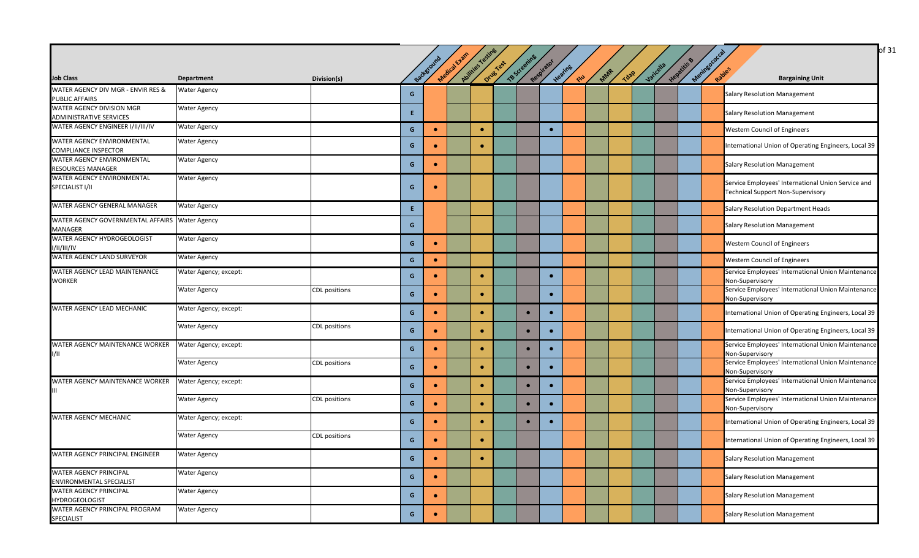|                                                                     |                       |                      |    | Background | Medical Evans | Avilies Testine | Drug Test | TBScreening | Respirator |                |     |             |           | Helatitis & | Meninsococcal |                                                                       |
|---------------------------------------------------------------------|-----------------------|----------------------|----|------------|---------------|-----------------|-----------|-------------|------------|----------------|-----|-------------|-----------|-------------|---------------|-----------------------------------------------------------------------|
| <b>Job Class</b>                                                    | Department            | Division(s)          |    |            |               |                 |           |             |            | Heating<br>ELU | MAR | <b>1828</b> | Varicella |             |               | Rabies<br><b>Bargaining Unit</b>                                      |
| WATER AGENCY DIV MGR - ENVIR RES &                                  | <b>Water Agency</b>   |                      | G  |            |               |                 |           |             |            |                |     |             |           |             |               | <b>Salary Resolution Management</b>                                   |
| <b>PUBLIC AFFAIRS</b>                                               |                       |                      |    |            |               |                 |           |             |            |                |     |             |           |             |               |                                                                       |
| WATER AGENCY DIVISION MGR                                           | <b>Water Agency</b>   |                      | E. |            |               |                 |           |             |            |                |     |             |           |             |               | <b>Salary Resolution Management</b>                                   |
| <b>ADMINISTRATIVE SERVICES</b><br>WATER AGENCY ENGINEER I/II/III/IV |                       |                      |    |            |               |                 |           |             |            |                |     |             |           |             |               |                                                                       |
|                                                                     | <b>Water Agency</b>   |                      | G  | $\bullet$  |               | $\bullet$       |           |             |            |                |     |             |           |             |               | <b>Western Council of Engineers</b>                                   |
| WATER AGENCY ENVIRONMENTAL                                          | <b>Water Agency</b>   |                      | G  | $\bullet$  |               | ٠               |           |             |            |                |     |             |           |             |               | International Union of Operating Engineers, Local 39                  |
| <b>COMPLIANCE INSPECTOR</b>                                         |                       |                      |    |            |               |                 |           |             |            |                |     |             |           |             |               |                                                                       |
| <b>WATER AGENCY ENVIRONMENTAL</b><br><b>RESOURCES MANAGER</b>       | <b>Water Agency</b>   |                      | G  | $\bullet$  |               |                 |           |             |            |                |     |             |           |             |               | Salary Resolution Management                                          |
| WATER AGENCY ENVIRONMENTAL                                          | <b>Water Agency</b>   |                      |    |            |               |                 |           |             |            |                |     |             |           |             |               |                                                                       |
| SPECIALIST I/II                                                     |                       |                      | G  | $\bullet$  |               |                 |           |             |            |                |     |             |           |             |               | Service Employees' International Union Service and                    |
|                                                                     |                       |                      |    |            |               |                 |           |             |            |                |     |             |           |             |               | <b>Technical Support Non-Supervisory</b>                              |
| WATER AGENCY GENERAL MANAGER                                        | <b>Water Agency</b>   |                      | E. |            |               |                 |           |             |            |                |     |             |           |             |               | Salary Resolution Department Heads                                    |
| WATER AGENCY GOVERNMENTAL AFFAIRS Water Agency                      |                       |                      |    |            |               |                 |           |             |            |                |     |             |           |             |               |                                                                       |
| <b>MANAGER</b>                                                      |                       |                      | G  |            |               |                 |           |             |            |                |     |             |           |             |               | <b>Salary Resolution Management</b>                                   |
| WATER AGENCY HYDROGEOLOGIST                                         | <b>Water Agency</b>   |                      | G  | $\bullet$  |               |                 |           |             |            |                |     |             |           |             |               | Western Council of Engineers                                          |
| 1/11/111/1V                                                         |                       |                      |    |            |               |                 |           |             |            |                |     |             |           |             |               |                                                                       |
| <b>WATER AGENCY LAND SURVEYOR</b>                                   | <b>Water Agency</b>   |                      | G  | $\bullet$  |               |                 |           |             |            |                |     |             |           |             |               | <b>Western Council of Engineers</b>                                   |
| <b>WATER AGENCY LEAD MAINTENANCE</b>                                | Water Agency; except: |                      | G  |            |               | ٠               |           |             | $\bullet$  |                |     |             |           |             |               | Service Employees' International Union Maintenance                    |
| <b>WORKER</b>                                                       |                       |                      |    |            |               |                 |           |             |            |                |     |             |           |             |               | Non-Supervisory                                                       |
|                                                                     | <b>Water Agency</b>   | <b>CDL</b> positions | G  | $\bullet$  |               | $\bullet$       |           |             | $\bullet$  |                |     |             |           |             |               | Service Employees' International Union Maintenance                    |
| WATER AGENCY LEAD MECHANIC                                          | Water Agency; except: |                      |    |            |               |                 |           |             |            |                |     |             |           |             |               | Non-Supervisory                                                       |
|                                                                     |                       |                      | G  | $\bullet$  |               | $\bullet$       |           | $\bullet$   |            |                |     |             |           |             |               | International Union of Operating Engineers, Local 39                  |
|                                                                     | <b>Water Agency</b>   | <b>CDL</b> positions |    |            |               |                 |           |             |            |                |     |             |           |             |               |                                                                       |
|                                                                     |                       |                      | G  | $\bullet$  |               | ٠               |           | $\bullet$   | $\bullet$  |                |     |             |           |             |               | International Union of Operating Engineers, Local 39                  |
| WATER AGENCY MAINTENANCE WORKER                                     | Water Agency; except: |                      | G  | $\bullet$  |               | $\bullet$       |           | $\bullet$   | $\bullet$  |                |     |             |           |             |               | Service Employees' International Union Maintenance                    |
| 1/11                                                                |                       |                      |    |            |               |                 |           |             |            |                |     |             |           |             |               | Non-Supervisory                                                       |
|                                                                     | <b>Water Agency</b>   | CDL positions        | G  | $\bullet$  |               | $\bullet$       |           | $\bullet$   |            |                |     |             |           |             |               | Service Employees' International Union Maintenance<br>Non-Supervisory |
| WATER AGENCY MAINTENANCE WORKER                                     | Water Agency; except: |                      |    |            |               |                 |           |             |            |                |     |             |           |             |               | Service Employees' International Union Maintenance                    |
|                                                                     |                       |                      | G  | $\bullet$  |               | ٠               |           | $\bullet$   | $\bullet$  |                |     |             |           |             |               | Non-Supervisory                                                       |
|                                                                     | <b>Water Agency</b>   | <b>CDL</b> positions | G  | $\bullet$  |               | $\bullet$       |           | $\bullet$   | $\bullet$  |                |     |             |           |             |               | Service Employees' International Union Maintenance                    |
|                                                                     |                       |                      |    |            |               |                 |           |             |            |                |     |             |           |             |               | Non-Supervisory                                                       |
| <b>WATER AGENCY MECHANIC</b>                                        | Water Agency; except: |                      | G  | $\bullet$  |               | $\bullet$       |           | $\bullet$   |            |                |     |             |           |             |               | International Union of Operating Engineers, Local 39                  |
|                                                                     | <b>Water Agency</b>   | <b>CDL</b> positions |    |            |               |                 |           |             |            |                |     |             |           |             |               |                                                                       |
|                                                                     |                       |                      | G  |            |               | ٠               |           |             |            |                |     |             |           |             |               | International Union of Operating Engineers, Local 39                  |
| WATER AGENCY PRINCIPAL ENGINEER                                     | <b>Water Agency</b>   |                      |    | $\bullet$  |               | $\bullet$       |           |             |            |                |     |             |           |             |               |                                                                       |
|                                                                     |                       |                      | G  |            |               |                 |           |             |            |                |     |             |           |             |               | <b>Salary Resolution Management</b>                                   |
| <b>WATER AGENCY PRINCIPAL</b>                                       | <b>Water Agency</b>   |                      | G  | $\bullet$  |               |                 |           |             |            |                |     |             |           |             |               | <b>Salary Resolution Management</b>                                   |
| <b>ENVIRONMENTAL SPECIALIST</b>                                     |                       |                      |    |            |               |                 |           |             |            |                |     |             |           |             |               |                                                                       |
| <b>WATER AGENCY PRINCIPAL</b><br><b>HYDROGEOLOGIST</b>              | <b>Water Agency</b>   |                      | G  | $\bullet$  |               |                 |           |             |            |                |     |             |           |             |               | <b>Salary Resolution Management</b>                                   |
| WATER AGENCY PRINCIPAL PROGRAM                                      | <b>Water Agency</b>   |                      |    |            |               |                 |           |             |            |                |     |             |           |             |               |                                                                       |
| <b>SPECIALIST</b>                                                   |                       |                      | G  | $\bullet$  |               |                 |           |             |            |                |     |             |           |             |               | <b>Salary Resolution Management</b>                                   |